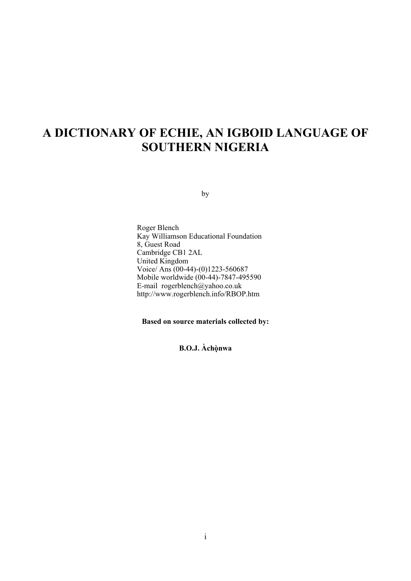# **A DICTIONARY OF ECHIE, AN IGBOID LANGUAGE OF SOUTHERN NIGERIA**

by

Roger Blench Kay Williamson Educational Foundation 8, Guest Road Cambridge CB1 2AL United Kingdom Voice/ Ans (00-44)-(0)1223-560687 Mobile worldwide (00-44)-7847-495590 E-mail rogerblench@yahoo.co.uk http://www.rogerblench.info/RBOP.htm

**Based on source materials collected by:** 

**B.O.J. Àchònwa ̣**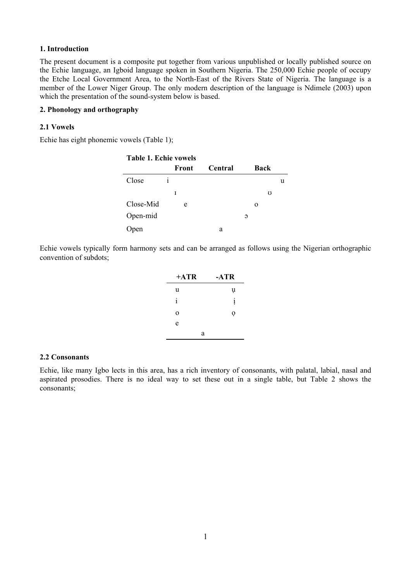### **1. Introduction**

The present document is a composite put together from various unpublished or locally published source on the Echie language, an Igboid language spoken in Southern Nigeria. The 250,000 Echie people of occupy the Etche Local Government Area, to the North-East of the Rivers State of Nigeria. The language is a member of the Lower Niger Group. The only modern description of the language is Ndimele (2003) upon which the presentation of the sound-system below is based.

### **2. Phonology and orthography**

### **2.1 Vowels**

Echie has eight phonemic vowels (Table 1);

| <b>Table 1. Echie vowels</b> |              |                |               |             |   |
|------------------------------|--------------|----------------|---------------|-------------|---|
|                              | Front        | <b>Central</b> |               | <b>Back</b> |   |
| Close                        | $\mathbf{1}$ |                |               |             | u |
|                              | I            |                |               | Ω           |   |
| Close-Mid                    | e            |                |               | $\Omega$    |   |
| Open-mid                     |              |                | $\mathcal{O}$ |             |   |
| pen                          |              | a              |               |             |   |

Echie vowels typically form harmony sets and can be arranged as follows using the Nigerian orthographic convention of subdots;

| $+ATR$      | -ATR         |
|-------------|--------------|
| u           | ų            |
| 1           | $\mathbf{1}$ |
| $\mathbf 0$ | 0            |
| e           |              |
| a           |              |

#### **2.2 Consonants**

Echie, like many Igbo lects in this area, has a rich inventory of consonants, with palatal, labial, nasal and aspirated prosodies. There is no ideal way to set these out in a single table, but Table 2 shows the consonants;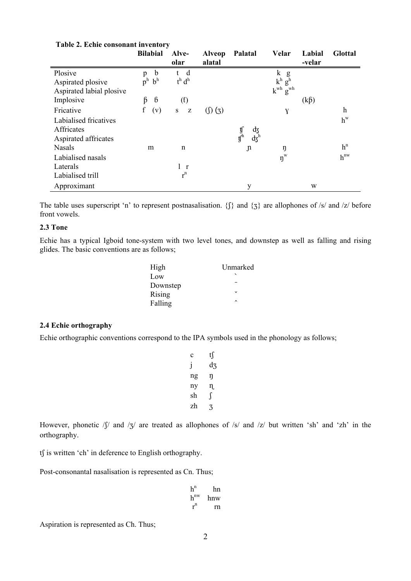| rapic 2. Ecuive consonant in ventor y |                                    |                                                                    |               |                               |                                |            |                |
|---------------------------------------|------------------------------------|--------------------------------------------------------------------|---------------|-------------------------------|--------------------------------|------------|----------------|
|                                       | <b>Bilabial</b>                    | Alve-                                                              | <b>Alveop</b> | Palatal                       | Velar                          | Labial     | <b>Glottal</b> |
|                                       |                                    | olar                                                               | alatal        |                               |                                | -velar     |                |
| Plosive                               | $\mathfrak b$<br>$\mathbf{p}$      | d<br>t                                                             |               |                               | k<br>g                         |            |                |
| Aspirated plosive                     | $b^h$<br>$\mathbf{p}^{\mathrm{h}}$ | $t^h d^h$                                                          |               |                               | $k^h$<br>$g^h$                 |            |                |
| Aspirated labial plosive              |                                    |                                                                    |               |                               | $k^{wh}$<br>$g^{\text{wh}}$    |            |                |
| Implosive                             | $6\phantom{1}6$<br>ß               | (f)                                                                |               |                               |                                | $(k\beta)$ |                |
| Fricative                             | f<br>(v)                           | ${\bf S}$<br>$\mathbf{Z}% ^{T}=\mathbf{Z}^{T}\times\mathbf{Z}^{T}$ | (1)(3)        |                               | Y                              |            | $\mathbf h$    |
| Labialised fricatives                 |                                    |                                                                    |               |                               |                                |            | $h^w$          |
| Affricates                            |                                    |                                                                    |               | фz                            |                                |            |                |
| Aspirated affricates                  |                                    |                                                                    |               | $\mathrm{d}_{5}^{\mathrm{h}}$ |                                |            |                |
| <b>Nasals</b>                         | m                                  | n                                                                  |               | $\mathfrak n$                 | ŋ                              |            | $h^n$          |
| Labialised nasals                     |                                    |                                                                    |               |                               | $\boldsymbol{\eta}^{\text{w}}$ |            | $h^{nw}$       |
| Laterals                              |                                    | 1 r                                                                |               |                               |                                |            |                |
| Labialised trill                      |                                    | $r^n$                                                              |               |                               |                                |            |                |
| Approximant                           |                                    |                                                                    |               | y                             |                                | W          |                |

### **Table 2. Echie consonant inventory**

The table uses superscript 'n' to represent postnasalisation. { $\{\}$ } and  $\{3\}$  are allophones of /s/ and /z/ before front vowels.

### **2.3 Tone**

Echie has a typical Igboid tone-system with two level tones, and downstep as well as falling and rising glides. The basic conventions are as follows;

| High     | Unmarked     |
|----------|--------------|
| Low      |              |
| Downstep |              |
| Rising   | $\checkmark$ |
| Falling  | $\lambda$    |

### **2.4 Echie orthography**

Echie orthographic conventions correspond to the IPA symbols used in the phonology as follows;

|    | t∫ |
|----|----|
| 1  | d3 |
| ng | η  |
| ny | η  |
| sh |    |
| zh |    |

However, phonetic  $\sqrt{S}$  and  $\sqrt{Z}$  are treated as allophones of  $\sqrt{S}$  and  $\sqrt{Z}$  but written 'sh' and 'zh' in the orthography.

tf is written 'ch' in deference to English orthography.

Post-consonantal nasalisation is represented as Cn. Thus;

| $h^n$    | hn  |
|----------|-----|
| $h^{nw}$ | hnw |
| $r^n$    | rn  |

Aspiration is represented as Ch. Thus;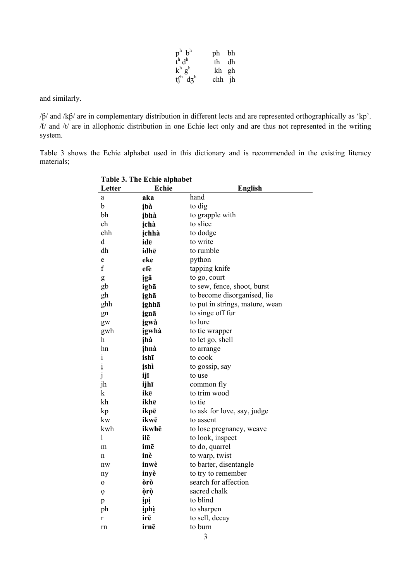| $p^h$ $b^h$                                            | ph bh  |  |
|--------------------------------------------------------|--------|--|
| $\frac{1}{t}$ h d <sup>h</sup>                         | th dh  |  |
| $\begin{array}{c} k^h\ g^h\\ t\ f^h\ dg^h \end{array}$ | kh gh  |  |
|                                                        | chh jh |  |

and similarly.

/β/ and /kβ/ are in complementary distribution in different lects and are represented orthographically as 'kp'. / $t$ / and / $t$ / are in allophonic distribution in one Echie lect only and are thus not represented in the writing system.

Table 3 shows the Echie alphabet used in this dictionary and is recommended in the existing literacy materials;

| <b>Table 3. The Echie alphabet</b> |              |                                 |
|------------------------------------|--------------|---------------------------------|
| Letter                             | Echie        | <b>English</b>                  |
| a                                  | aka          | hand                            |
| b                                  | ibà          | to dig                          |
| bh                                 | ibhà         | to grapple with                 |
| ch                                 | ichà         | to slice                        |
| chh                                | ichhà        | to dodge                        |
| d                                  | idē          | to write                        |
| dh                                 | idhē         | to rumble                       |
| e                                  | eke          | python                          |
| f                                  | efè          | tapping knife                   |
| g                                  | igā          | to go, court                    |
| gb                                 | igbā         | to sew, fence, shoot, burst     |
| gh                                 | ighā         | to become disorganised, lie     |
| ghh                                | ighhā        | to put in strings, mature, wean |
| gn                                 | ignā         | to singe off fur                |
| gw                                 | igwà         | to lure                         |
| gwh                                | igwhà        | to tie wrapper                  |
| h                                  | įhà          | to let go, shell                |
| hn                                 | ihnà         | to arrange                      |
| i                                  | ishī         | to cook                         |
| į                                  | įshì         | to gossip, say                  |
| $\dot{j}$                          | ijī          | to use                          |
| jh                                 | ijhī         | common fly                      |
| k                                  | ikē          | to trim wood                    |
| kh                                 | ikhē         | to tie                          |
| kp                                 | ikpē         | to ask for love, say, judge     |
| kw                                 | ikwē         | to assent                       |
| kwh.                               | ikwhē        | to lose pregnancy, weave        |
| 1                                  | ilē          | to look, inspect                |
| m                                  | imē          | to do, quarrel                  |
| n                                  | inè          | to warp, twist                  |
| nw                                 | inwè         | to barter, disentangle          |
| ny                                 | inyè         | to try to remember              |
| 0                                  | òrò          | search for affection            |
| Ô                                  | òrò          | sacred chalk                    |
| p                                  | <u>ipì</u>   | to blind                        |
| ph                                 | <u>ị</u> phị | to sharpen                      |
| r                                  | irē          | to sell, decay                  |
| rn                                 | irnē         | to burn                         |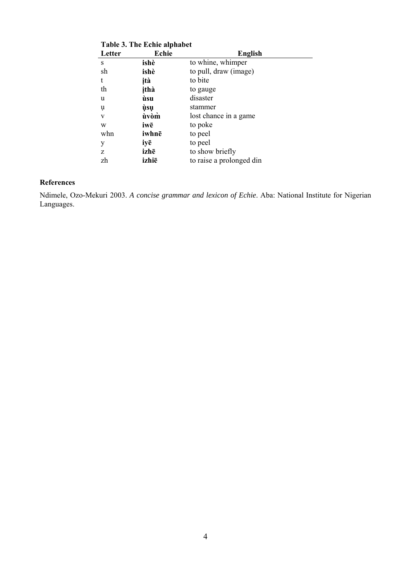| Table 3. The Echie alphabet |       |                          |  |
|-----------------------------|-------|--------------------------|--|
| Letter                      | Echie | <b>English</b>           |  |
| S                           | ishè  | to whine, whimper        |  |
| sh                          | ishè  | to pull, draw (image)    |  |
| t                           | ità   | to bite                  |  |
| th                          | ithà  | to gauge                 |  |
| u                           | ùsu   | disaster                 |  |
| ų                           | ùsų   | stammer                  |  |
| V                           | ùvòm  | lost chance in a game    |  |
| W                           | iwē   | to poke                  |  |
| whn                         | iwhnē | to peel                  |  |
| у                           | iyē   | to peel                  |  |
| Z                           | izhē  | to show briefly          |  |
| zh                          | izhiē | to raise a prolonged din |  |

### **References**

Ndimele, Ozo-Mekuri 2003. *A concise grammar and lexicon of Echie*. Aba: National Institute for Nigerian Languages.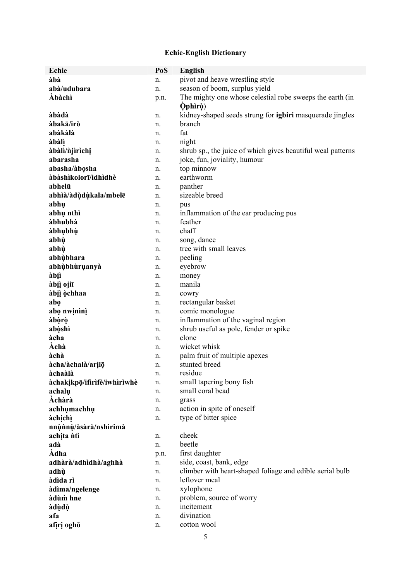### **Echie-English Dictionary**

| Echie                       | PoS      | <b>English</b>                                                            |
|-----------------------------|----------|---------------------------------------------------------------------------|
| àbà                         | n.       | pivot and heave wrestling style                                           |
| abà/udubara                 | n.       | season of boom, surplus yield                                             |
| <b>Abàchì</b>               | p.n.     | The mighty one whose celestial robe sweeps the earth (in                  |
|                             |          | <b>Ophiro</b> )                                                           |
| àbàdà                       | n.       | kidney-shaped seeds strung for <b>igbiri</b> masquerade jingles           |
| àbakā/irò                   | n.       | branch                                                                    |
| abàkàlà                     | n.       | fat                                                                       |
| àbàlì                       | n.       | night                                                                     |
| àbàlì/njìrìchị              | n.       | shrub sp., the juice of which gives beautiful weal patterns               |
| abarasha                    | n.       | joke, fun, joviality, humour                                              |
| abasha/àbosha               | n.       | top minnow                                                                |
| àbàshìkolorī/idhìdhè        | n.       | earthworm                                                                 |
| abhelū                      | n.       | panther                                                                   |
| abhìà/àdùdùkala/mbelē       | n.       | sizeable breed                                                            |
| abhu                        | n.       | pus                                                                       |
| abhų nthì                   | n.       | inflammation of the ear producing pus                                     |
| àbhubhà                     | n.       | feather                                                                   |
| àbhubhù                     | n.       | chaff                                                                     |
| abhù                        | n.       | song, dance                                                               |
| abhù                        | n.       | tree with small leaves                                                    |
| abhùbhara                   | n.       | peeling                                                                   |
| abhùbhùruanyà               | n.       | eyebrow                                                                   |
| àbịì                        | n.       | money                                                                     |
| àbiì ojiī                   | n.       | manila                                                                    |
| àbiì òchhaa                 | n.       | cowry                                                                     |
| abo                         | n.       | rectangular basket                                                        |
| abo nwinini                 | n.       | comic monologue                                                           |
| àbòrò                       | n.       | inflammation of the vaginal region                                        |
| abòshì                      | n.       | shrub useful as pole, fender or spike                                     |
| àcha                        | n.       | clone                                                                     |
| Àchà                        | n.       | wicket whisk                                                              |
| àchà                        | n.       | palm fruit of multiple apexes                                             |
| àcha/àchalà/arilō           | n.       | stunted breed                                                             |
| àchaàlà                     | n.       | residue                                                                   |
| àchakikpō/ifirìfè/iwhìrìwhè | n.       | small tapering bony fish                                                  |
| achalu                      | n.       | small coral bead                                                          |
| Àchàrà                      | n.       | grass                                                                     |
| achhumachhu                 | n.       | action in spite of oneself                                                |
| àchịchì                     | n.       | type of bitter spice                                                      |
| nnùnnù/àsàrà/nshìrimà       |          |                                                                           |
| achita ntì                  | n.       | cheek                                                                     |
| adà                         | n.       | beetle                                                                    |
| Àdha                        | p.n.     | first daughter                                                            |
| adhàrà/adhìdhà/aghhà        | n.       | side, coast, bank, edge                                                   |
| adhù                        | n.       | climber with heart-shaped foliage and edible aerial bulb<br>leftover meal |
| àdìda rì                    | n.       |                                                                           |
| àdìma/ngelenge<br>àdùm hne  | n.       | xylophone                                                                 |
|                             | n.       | problem, source of worry<br>incitement                                    |
| àdùdù<br>afa                | n.       | divination                                                                |
| afiri oghō                  | n.<br>n. | cotton wool                                                               |
|                             |          |                                                                           |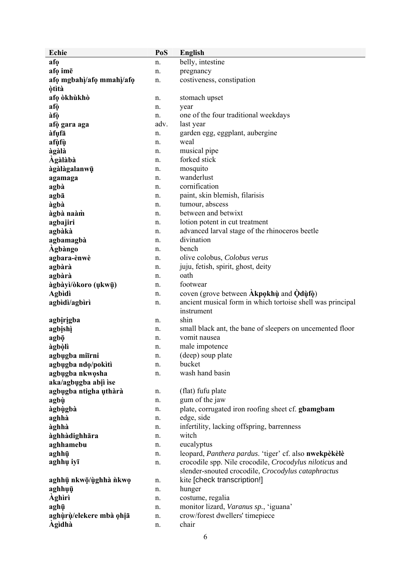| Echie                    | PoS      | <b>English</b>                                                    |
|--------------------------|----------|-------------------------------------------------------------------|
| afo                      | n.       | belly, intestine                                                  |
| afo ime                  | n.       | pregnancy                                                         |
| afo mgbahi/afo mmahi/afo | n.       | costiveness, constipation                                         |
| <b>òtìtà</b>             |          |                                                                   |
| afo òkhùkhò              | n.       | stomach upset                                                     |
| afò                      | n.       | year                                                              |
| àfò                      | n.       | one of the four traditional weekdays                              |
| afò gara aga             | adv.     | last year                                                         |
| àfụfā                    | n.       | garden egg, eggplant, aubergine                                   |
| afùfù                    | n.       | weal                                                              |
| àgàlà                    | n.       | musical pipe                                                      |
| Àgàlàbà                  | n.       | forked stick                                                      |
| àgàlàgalanwū             | n.       | mosquito                                                          |
| agamaga                  | n.       | wanderlust                                                        |
| agbà                     | n.       | cornification                                                     |
| agbā                     | n.       | paint, skin blemish, filarisis                                    |
| àgbà                     | n.       | tumour, abscess                                                   |
| àgbà naàm                | n.       | between and betwixt                                               |
| agbajiri                 | n.       | lotion potent in cut treatment                                    |
| agbàkà                   | n.       | advanced larval stage of the rhinoceros beetle                    |
| agbamagbà                | n.       | divination                                                        |
| <b>Agbàngo</b>           | n.       | bench                                                             |
| agbara-ènwè              | n.       | olive colobus, Colobus verus                                      |
| agbàrà                   | n.       | juju, fetish, spirit, ghost, deity                                |
| agbàrà                   | n.       | oath                                                              |
| àgbàyì/òkoro (ukwū)      | n.       | footwear                                                          |
| <b>Agbidi</b>            | n.       | coven (grove between Akpokhu and Odufo)                           |
| agbidi/agbiri            | n.       | ancient musical form in which tortoise shell was principal        |
|                          |          | instrument                                                        |
| agbirigba                | n.       | shin<br>small black ant, the bane of sleepers on uncemented floor |
| agbishì                  | n.       | vomit nausea                                                      |
| agbō<br>àgbòlì           | n.<br>n. | male impotence                                                    |
| agbugba miīrni           | n.       | (deep) soup plate                                                 |
| agbugba ndo/pokiti       | n.       | bucket                                                            |
| agbugba nkwosha          | n.       | wash hand basin                                                   |
| aka/agbugba abiì ise     |          |                                                                   |
| agbugba ntigha uthàrà    | n.       | (flat) fufu plate                                                 |
| agbù                     | n.       | gum of the jaw                                                    |
| àgbùgbà                  | n.       | plate, corrugated iron roofing sheet cf. gbamgbam                 |
| aghhà                    | n.       | edge, side                                                        |
| àghhà                    | n.       | infertility, lacking offspring, barrenness                        |
| àghhàdighhāra            | n.       | witch                                                             |
| aghhamebu                | n.       | eucalyptus                                                        |
| aghhū                    | n.       | leopard, Panthera pardus. 'tiger' cf. also nwekpèkèlè             |
| aghhụ iyī                | n.       | crocodile spp. Nile crocodile, Crocodylus niloticus and           |
|                          |          | slender-snouted crocodile, Crocodylus cataphractus                |
| aghhū nkwō/ùghhà nkwo    | n.       | kite [check transcription!]                                       |
| aghhụụ                   | n.       | hunger                                                            |
| <b>Aghiri</b>            | n.       | costume, regalia                                                  |
| aghū                     | n.       | monitor lizard, Varanus sp., 'iguana'                             |
| aghùrù/elekere mbà ohia  | n.       | crow/forest dwellers' timepiece                                   |
| <b>Agidhà</b>            | n.       | chair                                                             |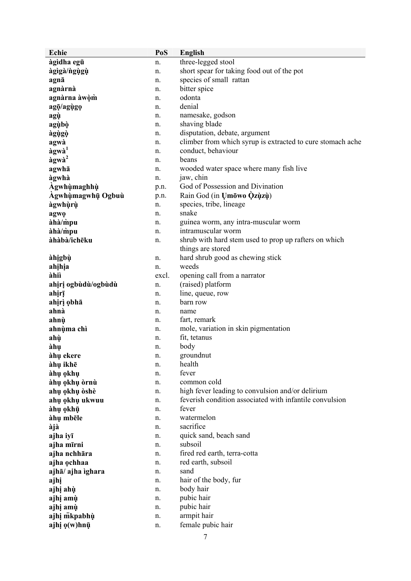| three-legged stool<br>àgìdha egū<br>n.<br>short spear for taking food out of the pot<br>àgìgà/ngụgụ<br>n.<br>species of small rattan<br>agnā<br>n.<br>bitter spice<br>agnàrnà<br>n.<br>odonta<br>agnàrna àwòm<br>n.<br>denial<br>agō/agùgo<br>n.<br>namesake, godson<br>agù<br>n.<br>shaving blade<br>agùbò<br>n.<br>disputation, debate, argument<br>àgùgò<br>n.<br>climber from which syrup is extracted to cure stomach ache<br>agwà<br>n.<br>àgwà <sup>1</sup><br>conduct, behaviour<br>n.<br>àgwà <sup>2</sup><br>beans<br>n.<br>agwhā<br>wooded water space where many fish live<br>n.<br>àgwhà<br>jaw, chin<br>n.<br>God of Possession and Divination<br>Àgwhùmaghhù<br>p.n.<br>Rain God (in Umowo Qzuzu)<br>Agwhùmagwhū Ogbuù<br>p.n.<br>species, tribe, lineage<br>àgwhùrù<br>n.<br>snake<br>agwo<br>n.<br>àhà/mpu<br>guinea worm, any intra-muscular worm<br>n.<br>àhà/mpu<br>intramuscular worm<br>n.<br>àhàbà/ichēku<br>shrub with hard stem used to prop up rafters on which<br>n.<br>things are stored<br>hard shrub good as chewing stick<br>àhịgbù<br>n.<br>weeds<br>ahihia<br>n.<br>àhiì<br>opening call from a narrator<br>excl.<br>(raised) platform<br>ahiri ogbùdù/ogbùdù<br>n.<br>line, queue, row<br>ahirī<br>n.<br>barn row<br>ahirì obha<br>n.<br>ahnà<br>name<br>n.<br>fart, remark<br>ahnù<br>n.<br>mole, variation in skin pigmentation<br>ahnùma chì<br>n.<br>fit, tetanus<br>ahù<br>n.<br>body<br>àhụ<br>n.<br>groundnut<br>àhu ekere<br>n.<br>àhụ ikhē<br>health<br>n.<br>fever<br>àhụ okhụ<br>n.<br>àhụ okhụ òrnù<br>common cold<br>n.<br>high fever leading to convulsion and/or delirium<br>ahų okhų oshè<br>n.<br>feverish condition associated with infantile convulsion<br>ahų okhų ukwuu<br>n.<br>fever<br>àhụ okhū<br>n.<br>watermelon<br>àhụ mbēle<br>n.<br>sacrifice<br>àjà<br>n.<br>quick sand, beach sand<br>ajha iyī<br>n.<br>subsoil<br>ajha mīrni<br>n.<br>ajha nchhāra<br>fired red earth, terra-cotta<br>n.<br>ajha ochhaa<br>red earth, subsoil<br>n.<br>sand<br>ajhā/ ajha ighara<br>n.<br>hair of the body, fur<br>ajhị<br>n.<br>body hair<br>ajhi ahù<br>n.<br>pubic hair<br>ajhį amų<br>n.<br>pubic hair<br>ajhį amų<br>n.<br>ajhi mkpabhù<br>armpit hair<br>n.<br>female pubic hair<br>ajhį o(w)hnū<br>n. | <b>Echie</b> | PoS | <b>English</b> |
|-----------------------------------------------------------------------------------------------------------------------------------------------------------------------------------------------------------------------------------------------------------------------------------------------------------------------------------------------------------------------------------------------------------------------------------------------------------------------------------------------------------------------------------------------------------------------------------------------------------------------------------------------------------------------------------------------------------------------------------------------------------------------------------------------------------------------------------------------------------------------------------------------------------------------------------------------------------------------------------------------------------------------------------------------------------------------------------------------------------------------------------------------------------------------------------------------------------------------------------------------------------------------------------------------------------------------------------------------------------------------------------------------------------------------------------------------------------------------------------------------------------------------------------------------------------------------------------------------------------------------------------------------------------------------------------------------------------------------------------------------------------------------------------------------------------------------------------------------------------------------------------------------------------------------------------------------------------------------------------------------------------------------------------------------------------------------------------------------------------------------------------------------------------------------------------------------------------------------------------------------------------------|--------------|-----|----------------|
|                                                                                                                                                                                                                                                                                                                                                                                                                                                                                                                                                                                                                                                                                                                                                                                                                                                                                                                                                                                                                                                                                                                                                                                                                                                                                                                                                                                                                                                                                                                                                                                                                                                                                                                                                                                                                                                                                                                                                                                                                                                                                                                                                                                                                                                                 |              |     |                |
|                                                                                                                                                                                                                                                                                                                                                                                                                                                                                                                                                                                                                                                                                                                                                                                                                                                                                                                                                                                                                                                                                                                                                                                                                                                                                                                                                                                                                                                                                                                                                                                                                                                                                                                                                                                                                                                                                                                                                                                                                                                                                                                                                                                                                                                                 |              |     |                |
|                                                                                                                                                                                                                                                                                                                                                                                                                                                                                                                                                                                                                                                                                                                                                                                                                                                                                                                                                                                                                                                                                                                                                                                                                                                                                                                                                                                                                                                                                                                                                                                                                                                                                                                                                                                                                                                                                                                                                                                                                                                                                                                                                                                                                                                                 |              |     |                |
|                                                                                                                                                                                                                                                                                                                                                                                                                                                                                                                                                                                                                                                                                                                                                                                                                                                                                                                                                                                                                                                                                                                                                                                                                                                                                                                                                                                                                                                                                                                                                                                                                                                                                                                                                                                                                                                                                                                                                                                                                                                                                                                                                                                                                                                                 |              |     |                |
|                                                                                                                                                                                                                                                                                                                                                                                                                                                                                                                                                                                                                                                                                                                                                                                                                                                                                                                                                                                                                                                                                                                                                                                                                                                                                                                                                                                                                                                                                                                                                                                                                                                                                                                                                                                                                                                                                                                                                                                                                                                                                                                                                                                                                                                                 |              |     |                |
|                                                                                                                                                                                                                                                                                                                                                                                                                                                                                                                                                                                                                                                                                                                                                                                                                                                                                                                                                                                                                                                                                                                                                                                                                                                                                                                                                                                                                                                                                                                                                                                                                                                                                                                                                                                                                                                                                                                                                                                                                                                                                                                                                                                                                                                                 |              |     |                |
|                                                                                                                                                                                                                                                                                                                                                                                                                                                                                                                                                                                                                                                                                                                                                                                                                                                                                                                                                                                                                                                                                                                                                                                                                                                                                                                                                                                                                                                                                                                                                                                                                                                                                                                                                                                                                                                                                                                                                                                                                                                                                                                                                                                                                                                                 |              |     |                |
|                                                                                                                                                                                                                                                                                                                                                                                                                                                                                                                                                                                                                                                                                                                                                                                                                                                                                                                                                                                                                                                                                                                                                                                                                                                                                                                                                                                                                                                                                                                                                                                                                                                                                                                                                                                                                                                                                                                                                                                                                                                                                                                                                                                                                                                                 |              |     |                |
|                                                                                                                                                                                                                                                                                                                                                                                                                                                                                                                                                                                                                                                                                                                                                                                                                                                                                                                                                                                                                                                                                                                                                                                                                                                                                                                                                                                                                                                                                                                                                                                                                                                                                                                                                                                                                                                                                                                                                                                                                                                                                                                                                                                                                                                                 |              |     |                |
|                                                                                                                                                                                                                                                                                                                                                                                                                                                                                                                                                                                                                                                                                                                                                                                                                                                                                                                                                                                                                                                                                                                                                                                                                                                                                                                                                                                                                                                                                                                                                                                                                                                                                                                                                                                                                                                                                                                                                                                                                                                                                                                                                                                                                                                                 |              |     |                |
|                                                                                                                                                                                                                                                                                                                                                                                                                                                                                                                                                                                                                                                                                                                                                                                                                                                                                                                                                                                                                                                                                                                                                                                                                                                                                                                                                                                                                                                                                                                                                                                                                                                                                                                                                                                                                                                                                                                                                                                                                                                                                                                                                                                                                                                                 |              |     |                |
|                                                                                                                                                                                                                                                                                                                                                                                                                                                                                                                                                                                                                                                                                                                                                                                                                                                                                                                                                                                                                                                                                                                                                                                                                                                                                                                                                                                                                                                                                                                                                                                                                                                                                                                                                                                                                                                                                                                                                                                                                                                                                                                                                                                                                                                                 |              |     |                |
|                                                                                                                                                                                                                                                                                                                                                                                                                                                                                                                                                                                                                                                                                                                                                                                                                                                                                                                                                                                                                                                                                                                                                                                                                                                                                                                                                                                                                                                                                                                                                                                                                                                                                                                                                                                                                                                                                                                                                                                                                                                                                                                                                                                                                                                                 |              |     |                |
|                                                                                                                                                                                                                                                                                                                                                                                                                                                                                                                                                                                                                                                                                                                                                                                                                                                                                                                                                                                                                                                                                                                                                                                                                                                                                                                                                                                                                                                                                                                                                                                                                                                                                                                                                                                                                                                                                                                                                                                                                                                                                                                                                                                                                                                                 |              |     |                |
|                                                                                                                                                                                                                                                                                                                                                                                                                                                                                                                                                                                                                                                                                                                                                                                                                                                                                                                                                                                                                                                                                                                                                                                                                                                                                                                                                                                                                                                                                                                                                                                                                                                                                                                                                                                                                                                                                                                                                                                                                                                                                                                                                                                                                                                                 |              |     |                |
|                                                                                                                                                                                                                                                                                                                                                                                                                                                                                                                                                                                                                                                                                                                                                                                                                                                                                                                                                                                                                                                                                                                                                                                                                                                                                                                                                                                                                                                                                                                                                                                                                                                                                                                                                                                                                                                                                                                                                                                                                                                                                                                                                                                                                                                                 |              |     |                |
|                                                                                                                                                                                                                                                                                                                                                                                                                                                                                                                                                                                                                                                                                                                                                                                                                                                                                                                                                                                                                                                                                                                                                                                                                                                                                                                                                                                                                                                                                                                                                                                                                                                                                                                                                                                                                                                                                                                                                                                                                                                                                                                                                                                                                                                                 |              |     |                |
|                                                                                                                                                                                                                                                                                                                                                                                                                                                                                                                                                                                                                                                                                                                                                                                                                                                                                                                                                                                                                                                                                                                                                                                                                                                                                                                                                                                                                                                                                                                                                                                                                                                                                                                                                                                                                                                                                                                                                                                                                                                                                                                                                                                                                                                                 |              |     |                |
|                                                                                                                                                                                                                                                                                                                                                                                                                                                                                                                                                                                                                                                                                                                                                                                                                                                                                                                                                                                                                                                                                                                                                                                                                                                                                                                                                                                                                                                                                                                                                                                                                                                                                                                                                                                                                                                                                                                                                                                                                                                                                                                                                                                                                                                                 |              |     |                |
|                                                                                                                                                                                                                                                                                                                                                                                                                                                                                                                                                                                                                                                                                                                                                                                                                                                                                                                                                                                                                                                                                                                                                                                                                                                                                                                                                                                                                                                                                                                                                                                                                                                                                                                                                                                                                                                                                                                                                                                                                                                                                                                                                                                                                                                                 |              |     |                |
|                                                                                                                                                                                                                                                                                                                                                                                                                                                                                                                                                                                                                                                                                                                                                                                                                                                                                                                                                                                                                                                                                                                                                                                                                                                                                                                                                                                                                                                                                                                                                                                                                                                                                                                                                                                                                                                                                                                                                                                                                                                                                                                                                                                                                                                                 |              |     |                |
|                                                                                                                                                                                                                                                                                                                                                                                                                                                                                                                                                                                                                                                                                                                                                                                                                                                                                                                                                                                                                                                                                                                                                                                                                                                                                                                                                                                                                                                                                                                                                                                                                                                                                                                                                                                                                                                                                                                                                                                                                                                                                                                                                                                                                                                                 |              |     |                |
|                                                                                                                                                                                                                                                                                                                                                                                                                                                                                                                                                                                                                                                                                                                                                                                                                                                                                                                                                                                                                                                                                                                                                                                                                                                                                                                                                                                                                                                                                                                                                                                                                                                                                                                                                                                                                                                                                                                                                                                                                                                                                                                                                                                                                                                                 |              |     |                |
|                                                                                                                                                                                                                                                                                                                                                                                                                                                                                                                                                                                                                                                                                                                                                                                                                                                                                                                                                                                                                                                                                                                                                                                                                                                                                                                                                                                                                                                                                                                                                                                                                                                                                                                                                                                                                                                                                                                                                                                                                                                                                                                                                                                                                                                                 |              |     |                |
|                                                                                                                                                                                                                                                                                                                                                                                                                                                                                                                                                                                                                                                                                                                                                                                                                                                                                                                                                                                                                                                                                                                                                                                                                                                                                                                                                                                                                                                                                                                                                                                                                                                                                                                                                                                                                                                                                                                                                                                                                                                                                                                                                                                                                                                                 |              |     |                |
|                                                                                                                                                                                                                                                                                                                                                                                                                                                                                                                                                                                                                                                                                                                                                                                                                                                                                                                                                                                                                                                                                                                                                                                                                                                                                                                                                                                                                                                                                                                                                                                                                                                                                                                                                                                                                                                                                                                                                                                                                                                                                                                                                                                                                                                                 |              |     |                |
|                                                                                                                                                                                                                                                                                                                                                                                                                                                                                                                                                                                                                                                                                                                                                                                                                                                                                                                                                                                                                                                                                                                                                                                                                                                                                                                                                                                                                                                                                                                                                                                                                                                                                                                                                                                                                                                                                                                                                                                                                                                                                                                                                                                                                                                                 |              |     |                |
|                                                                                                                                                                                                                                                                                                                                                                                                                                                                                                                                                                                                                                                                                                                                                                                                                                                                                                                                                                                                                                                                                                                                                                                                                                                                                                                                                                                                                                                                                                                                                                                                                                                                                                                                                                                                                                                                                                                                                                                                                                                                                                                                                                                                                                                                 |              |     |                |
|                                                                                                                                                                                                                                                                                                                                                                                                                                                                                                                                                                                                                                                                                                                                                                                                                                                                                                                                                                                                                                                                                                                                                                                                                                                                                                                                                                                                                                                                                                                                                                                                                                                                                                                                                                                                                                                                                                                                                                                                                                                                                                                                                                                                                                                                 |              |     |                |
|                                                                                                                                                                                                                                                                                                                                                                                                                                                                                                                                                                                                                                                                                                                                                                                                                                                                                                                                                                                                                                                                                                                                                                                                                                                                                                                                                                                                                                                                                                                                                                                                                                                                                                                                                                                                                                                                                                                                                                                                                                                                                                                                                                                                                                                                 |              |     |                |
|                                                                                                                                                                                                                                                                                                                                                                                                                                                                                                                                                                                                                                                                                                                                                                                                                                                                                                                                                                                                                                                                                                                                                                                                                                                                                                                                                                                                                                                                                                                                                                                                                                                                                                                                                                                                                                                                                                                                                                                                                                                                                                                                                                                                                                                                 |              |     |                |
|                                                                                                                                                                                                                                                                                                                                                                                                                                                                                                                                                                                                                                                                                                                                                                                                                                                                                                                                                                                                                                                                                                                                                                                                                                                                                                                                                                                                                                                                                                                                                                                                                                                                                                                                                                                                                                                                                                                                                                                                                                                                                                                                                                                                                                                                 |              |     |                |
|                                                                                                                                                                                                                                                                                                                                                                                                                                                                                                                                                                                                                                                                                                                                                                                                                                                                                                                                                                                                                                                                                                                                                                                                                                                                                                                                                                                                                                                                                                                                                                                                                                                                                                                                                                                                                                                                                                                                                                                                                                                                                                                                                                                                                                                                 |              |     |                |
|                                                                                                                                                                                                                                                                                                                                                                                                                                                                                                                                                                                                                                                                                                                                                                                                                                                                                                                                                                                                                                                                                                                                                                                                                                                                                                                                                                                                                                                                                                                                                                                                                                                                                                                                                                                                                                                                                                                                                                                                                                                                                                                                                                                                                                                                 |              |     |                |
|                                                                                                                                                                                                                                                                                                                                                                                                                                                                                                                                                                                                                                                                                                                                                                                                                                                                                                                                                                                                                                                                                                                                                                                                                                                                                                                                                                                                                                                                                                                                                                                                                                                                                                                                                                                                                                                                                                                                                                                                                                                                                                                                                                                                                                                                 |              |     |                |
|                                                                                                                                                                                                                                                                                                                                                                                                                                                                                                                                                                                                                                                                                                                                                                                                                                                                                                                                                                                                                                                                                                                                                                                                                                                                                                                                                                                                                                                                                                                                                                                                                                                                                                                                                                                                                                                                                                                                                                                                                                                                                                                                                                                                                                                                 |              |     |                |
|                                                                                                                                                                                                                                                                                                                                                                                                                                                                                                                                                                                                                                                                                                                                                                                                                                                                                                                                                                                                                                                                                                                                                                                                                                                                                                                                                                                                                                                                                                                                                                                                                                                                                                                                                                                                                                                                                                                                                                                                                                                                                                                                                                                                                                                                 |              |     |                |
|                                                                                                                                                                                                                                                                                                                                                                                                                                                                                                                                                                                                                                                                                                                                                                                                                                                                                                                                                                                                                                                                                                                                                                                                                                                                                                                                                                                                                                                                                                                                                                                                                                                                                                                                                                                                                                                                                                                                                                                                                                                                                                                                                                                                                                                                 |              |     |                |
|                                                                                                                                                                                                                                                                                                                                                                                                                                                                                                                                                                                                                                                                                                                                                                                                                                                                                                                                                                                                                                                                                                                                                                                                                                                                                                                                                                                                                                                                                                                                                                                                                                                                                                                                                                                                                                                                                                                                                                                                                                                                                                                                                                                                                                                                 |              |     |                |
|                                                                                                                                                                                                                                                                                                                                                                                                                                                                                                                                                                                                                                                                                                                                                                                                                                                                                                                                                                                                                                                                                                                                                                                                                                                                                                                                                                                                                                                                                                                                                                                                                                                                                                                                                                                                                                                                                                                                                                                                                                                                                                                                                                                                                                                                 |              |     |                |
|                                                                                                                                                                                                                                                                                                                                                                                                                                                                                                                                                                                                                                                                                                                                                                                                                                                                                                                                                                                                                                                                                                                                                                                                                                                                                                                                                                                                                                                                                                                                                                                                                                                                                                                                                                                                                                                                                                                                                                                                                                                                                                                                                                                                                                                                 |              |     |                |
|                                                                                                                                                                                                                                                                                                                                                                                                                                                                                                                                                                                                                                                                                                                                                                                                                                                                                                                                                                                                                                                                                                                                                                                                                                                                                                                                                                                                                                                                                                                                                                                                                                                                                                                                                                                                                                                                                                                                                                                                                                                                                                                                                                                                                                                                 |              |     |                |
|                                                                                                                                                                                                                                                                                                                                                                                                                                                                                                                                                                                                                                                                                                                                                                                                                                                                                                                                                                                                                                                                                                                                                                                                                                                                                                                                                                                                                                                                                                                                                                                                                                                                                                                                                                                                                                                                                                                                                                                                                                                                                                                                                                                                                                                                 |              |     |                |
|                                                                                                                                                                                                                                                                                                                                                                                                                                                                                                                                                                                                                                                                                                                                                                                                                                                                                                                                                                                                                                                                                                                                                                                                                                                                                                                                                                                                                                                                                                                                                                                                                                                                                                                                                                                                                                                                                                                                                                                                                                                                                                                                                                                                                                                                 |              |     |                |
|                                                                                                                                                                                                                                                                                                                                                                                                                                                                                                                                                                                                                                                                                                                                                                                                                                                                                                                                                                                                                                                                                                                                                                                                                                                                                                                                                                                                                                                                                                                                                                                                                                                                                                                                                                                                                                                                                                                                                                                                                                                                                                                                                                                                                                                                 |              |     |                |
|                                                                                                                                                                                                                                                                                                                                                                                                                                                                                                                                                                                                                                                                                                                                                                                                                                                                                                                                                                                                                                                                                                                                                                                                                                                                                                                                                                                                                                                                                                                                                                                                                                                                                                                                                                                                                                                                                                                                                                                                                                                                                                                                                                                                                                                                 |              |     |                |
|                                                                                                                                                                                                                                                                                                                                                                                                                                                                                                                                                                                                                                                                                                                                                                                                                                                                                                                                                                                                                                                                                                                                                                                                                                                                                                                                                                                                                                                                                                                                                                                                                                                                                                                                                                                                                                                                                                                                                                                                                                                                                                                                                                                                                                                                 |              |     |                |
|                                                                                                                                                                                                                                                                                                                                                                                                                                                                                                                                                                                                                                                                                                                                                                                                                                                                                                                                                                                                                                                                                                                                                                                                                                                                                                                                                                                                                                                                                                                                                                                                                                                                                                                                                                                                                                                                                                                                                                                                                                                                                                                                                                                                                                                                 |              |     |                |
|                                                                                                                                                                                                                                                                                                                                                                                                                                                                                                                                                                                                                                                                                                                                                                                                                                                                                                                                                                                                                                                                                                                                                                                                                                                                                                                                                                                                                                                                                                                                                                                                                                                                                                                                                                                                                                                                                                                                                                                                                                                                                                                                                                                                                                                                 |              |     |                |
|                                                                                                                                                                                                                                                                                                                                                                                                                                                                                                                                                                                                                                                                                                                                                                                                                                                                                                                                                                                                                                                                                                                                                                                                                                                                                                                                                                                                                                                                                                                                                                                                                                                                                                                                                                                                                                                                                                                                                                                                                                                                                                                                                                                                                                                                 |              |     |                |
|                                                                                                                                                                                                                                                                                                                                                                                                                                                                                                                                                                                                                                                                                                                                                                                                                                                                                                                                                                                                                                                                                                                                                                                                                                                                                                                                                                                                                                                                                                                                                                                                                                                                                                                                                                                                                                                                                                                                                                                                                                                                                                                                                                                                                                                                 |              |     |                |
|                                                                                                                                                                                                                                                                                                                                                                                                                                                                                                                                                                                                                                                                                                                                                                                                                                                                                                                                                                                                                                                                                                                                                                                                                                                                                                                                                                                                                                                                                                                                                                                                                                                                                                                                                                                                                                                                                                                                                                                                                                                                                                                                                                                                                                                                 |              |     | 7              |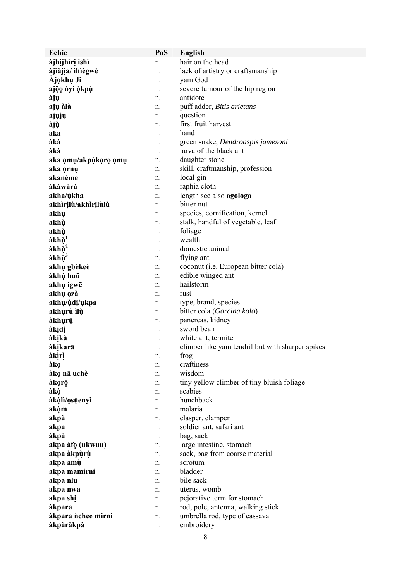| <b>Echie</b>         | PoS      | <b>English</b>                                   |
|----------------------|----------|--------------------------------------------------|
| àjhijhìrị ishì       | n.       | hair on the head                                 |
| àjìàjịa/ ìhìègwè     | n.       | lack of artistry or craftsmanship                |
| Ajokhų Ji            | n.       | yam God                                          |
| ajōo dyi okpù        | n.       | severe tumour of the hip region                  |
| àjụ                  | n.       | antidote                                         |
| ajų àlà              | n.       | puff adder, Bitis arietans                       |
| ajųjų                | n.       | question                                         |
| àjù                  | n.       | first fruit harvest                              |
| aka                  | n.       | hand                                             |
| àkà                  | n.       | green snake, Dendroaspis jamesoni                |
| àkà                  | n.       | larva of the black ant                           |
| aka omū/akpùkoro omū | n.       | daughter stone                                   |
| aka ornū             | n.       | skill, craftmanship, profession                  |
| akanème              | n.       | local gin                                        |
| àkàwàrà              | n.       | raphia cloth                                     |
| akha/ùkha            | n.       | length see also ogologo                          |
| akhìrịlù/akhìrịlùlù  | n.       | bitter nut                                       |
| akhų                 | n.       | species, cornification, kernel                   |
| akhù                 | n.       | stalk, handful of vegetable, leaf                |
| akhù                 | n.       | foliage                                          |
| àkhù                 | n.       | wealth                                           |
| àkhù <sup>2</sup>    | n.       | domestic animal                                  |
| àkhù <sup>3</sup>    | n.       | flying ant                                       |
| akhų gbèkeè          | n.       | coconut ( <i>i.e.</i> European bitter cola)      |
| àkhù huū             | n.       | edible winged ant                                |
| akhų igwē            | n.       | hailstorm                                        |
| akhų ozà             | n.       | rust                                             |
| akhu/ùdi/ukpa        | n.       | type, brand, species                             |
| akhurù ìlù           | n.       | bitter cola (Garcina kola)                       |
| àkhụrụ               | n.       | pancreas, kidney                                 |
| àkịdị                | n.       | sword bean                                       |
| àkịkà                | n.       | white ant, termite                               |
| àkịkarā              | n.       | climber like yam tendril but with sharper spikes |
| àkìrì                | n.       | frog                                             |
| àkọ                  | n.       | craftiness                                       |
| àkọ nā uchè          | n.       | wisdom                                           |
| àkọrō                | n.       | tiny yellow climber of tiny bluish foliage       |
| àkò                  | n.       | scabies                                          |
| àkòlì/osūenyì        | n.       | hunchback<br>malaria                             |
| akòm                 | n.       |                                                  |
| akpà<br>akpā         | n.<br>n. | clasper, clamper<br>soldier ant, safari ant      |
| àkpà                 | n.       | bag, sack                                        |
| akpa àfo (ukwuu)     | n.       | large intestine, stomach                         |
| akpa àkpùrù          | n.       | sack, bag from coarse material                   |
| akpa amù             | n.       | scrotum                                          |
| akpa mamirni         | n.       | bladder                                          |
| akpa nlu             | n.       | bile sack                                        |
| akpa nwa             | n.       | uterus, womb                                     |
| akpa shi             | n.       | pejorative term for stomach                      |
| àkpara               | n.       | rod, pole, antenna, walking stick                |
| àkpara ncheē mirni   | n.       | umbrella rod, type of cassava                    |
| àkpàràkpà            | n.       | embroidery                                       |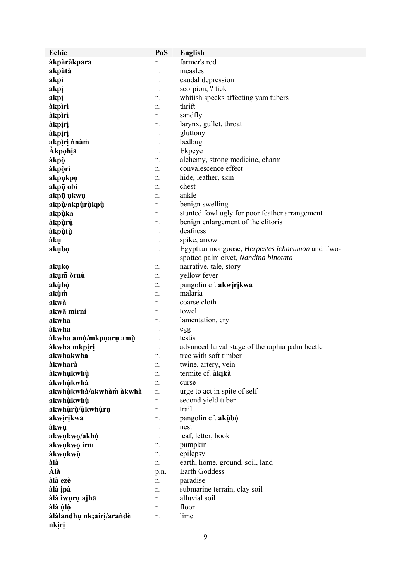| <b>Echie</b>             | PoS  | English                                         |
|--------------------------|------|-------------------------------------------------|
| àkpàràkpara              | n.   | farmer's rod                                    |
| akpàtà                   | n.   | measles                                         |
| akpì                     | n.   | caudal depression                               |
| akpì                     | n.   | scorpion, ? tick                                |
| akpi                     | n.   | whitish specks affecting yam tubers             |
| àkpìrì                   | n.   | thrift                                          |
| àkpìrì                   | n.   | sandfly                                         |
| àkpiri                   | n.   | larynx, gullet, throat                          |
| àkpiri                   | n.   | gluttony                                        |
| akpiri nnàm              | n.   | bedbug                                          |
| Akpohiā                  | n.   | Ekpeye                                          |
| àkpò                     | n.   | alchemy, strong medicine, charm                 |
| àkpòrì                   | n.   | convalescence effect                            |
| akpukpo                  | n.   | hide, leather, skin                             |
| akpū obì                 | n.   | chest                                           |
| akpū ukwu                | n.   | ankle                                           |
| akpù/akpùrùkpù           | n.   | benign swelling                                 |
| akpùka                   | n.   | stunted fowl ugly for poor feather arrangement  |
|                          | n.   | benign enlargement of the clitoris              |
| àkpùrù                   |      | deafness                                        |
| àkpùtù                   | n.   |                                                 |
| àkụ                      | n.   | spike, arrow                                    |
| akubo                    | n.   | Egyptian mongoose, Herpestes ichneumon and Two- |
|                          |      | spotted palm civet, Nandina binotata            |
| akuko                    | n.   | narrative, tale, story                          |
| akum drnù                | n.   | yellow fever                                    |
| akùbò                    | n.   | pangolin cf. akwirikwa                          |
| akùm                     | n.   | malaria                                         |
| akwà                     | n.   | coarse cloth                                    |
| akwā mirni               | n.   | towel                                           |
| akwha                    | n.   | lamentation, cry                                |
| àkwha                    | n.   | egg                                             |
| àkwha amù/mkpụarụ amù    | n.   | testis                                          |
| àkwha mkpiri             | n.   | advanced larval stage of the raphia palm beetle |
| akwhakwha                | n.   | tree with soft timber                           |
| àkwharà                  | n.   | twine, artery, vein                             |
| àkwhukwhù                | n.   | termite cf. àkikà                               |
| àkwhùkwhà                | n.   | curse                                           |
| akwhùkwhà/akwhàm àkwhà   | n.   | urge to act in spite of self                    |
| akwhùkwhù                | n.   | second yield tuber                              |
| akwhùrù/ùkwhùru          | n.   | trail                                           |
| akwirikwa                | n.   | pangolin cf. akubo                              |
| àkwụ                     | n.   | nest                                            |
| akwukwo/akhù             | n.   | leaf, letter, book                              |
| akwukwo irnī             | n.   | pumpkin                                         |
| àkwụkwụ                  | n.   | epilepsy                                        |
| àlà                      | n.   | earth, home, ground, soil, land                 |
| Àlà                      | p.n. | <b>Earth Goddess</b>                            |
| àlà ezè                  | n.   | paradise                                        |
| àlà ipà                  | n.   | submarine terrain, clay soil                    |
| àlà ìwụrụ ajhā           | n.   | alluvial soil                                   |
| àlà ùlò                  | n.   | floor                                           |
| àlàlandhū nk;airi/arandè | n.   | lime                                            |
| nkiri                    |      |                                                 |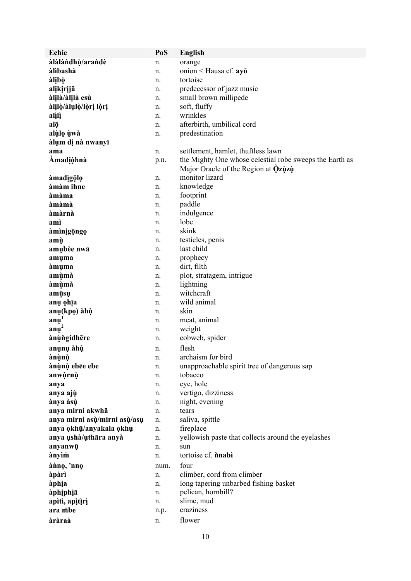| Echie                        | PoS      | English                                                                                        |
|------------------------------|----------|------------------------------------------------------------------------------------------------|
| àlàlàndhù/arandè             | n.       | orange                                                                                         |
| àlìbashà                     | n.       | onion < Hausa cf. ayo                                                                          |
| àlịbò                        | n.       | tortoise                                                                                       |
| alįkįrįjā                    | n.       | predecessor of jazz music                                                                      |
| àlilà/àlilà esù              | n.       | small brown millipede                                                                          |
| àlilò/àlulò/lòri lòri        | n.       | soft, fluffy                                                                                   |
| alili                        | n.       | wrinkles                                                                                       |
| alō                          | n.       | afterbirth, umbilical cord                                                                     |
| alùlo ùwà                    | n.       | predestination                                                                                 |
| àlụm dị nà nwanyī            |          |                                                                                                |
| ama                          | n.       | settlement, hamlet, thuftless lawn                                                             |
| Amadiòhnà                    | p.n.     | the Mighty One whose celestial robe sweeps the Earth as<br>Major Oracle of the Region at Qzuzu |
|                              |          | monitor lizard                                                                                 |
| àmadigōlo<br>àmàm ihne       | n.<br>n. | knowledge                                                                                      |
| àmàma                        | n.       | footprint                                                                                      |
| àmàmà                        | n.       | paddle                                                                                         |
| àmàrnà                       | n.       | indulgence                                                                                     |
| amì                          | n.       | lobe                                                                                           |
| àmìnigọngọ                   | n.       | skink                                                                                          |
| amù                          | n.       | testicles, penis                                                                               |
| amubèe nwā                   | n.       | last child                                                                                     |
| amuma                        | n.       | prophecy                                                                                       |
| àmuma                        | n.       | dirt, filth                                                                                    |
| amùmà                        | n.       | plot, stratagem, intrigue                                                                      |
| àmùmà                        | n.       | lightning                                                                                      |
| amūsu                        | n.       | witchcraft                                                                                     |
| anų ohīa                     | n.       | wild animal                                                                                    |
| anų(kpo) àhù                 | n.       | skin                                                                                           |
| $an\mu'$                     | n.       | meat, animal                                                                                   |
| $an\mu^2$                    | n.       | weight                                                                                         |
| ànùngidhēre                  | n.       | cobweb, spider                                                                                 |
| anụnụ àhù                    | n.       | flesh                                                                                          |
| ànùnù                        | n.       | archaism for bird                                                                              |
| ànùnù ebēe ebe               | n.       | unapproachable spirit tree of dangerous sap                                                    |
| anwùrnù                      | n.       | tobacco                                                                                        |
| anya                         | n.       | eye, hole                                                                                      |
| anya ajù                     | n.       | vertigo, dizziness                                                                             |
| ànya àsù                     | n.       | night, evening                                                                                 |
| anya mirni akwhā             | n.       | tears                                                                                          |
| anya mirni asù/mirni asù/asu | n.       | saliva, spittle                                                                                |
| anya okhū/anyakala okhu      | n.       | fireplace                                                                                      |
| anya ushà/uthāra anyà        | n.       | yellowish paste that collects around the eyelashes                                             |
| anyanwū                      | n.       | sun                                                                                            |
| ànyìm                        | n.       | tortoise cf. nnabi                                                                             |
| ànno, 'nno                   | num.     | four                                                                                           |
| àpàrì                        | n.       | climber, cord from climber                                                                     |
| àphịa                        | n.       | long tapering unbarbed fishing basket                                                          |
| àphịphịā                     | n.       | pelican, hornbill?                                                                             |
| apìtì, apìtìrì               | n.       | slime, mud                                                                                     |
| ara mbe                      | n.p.     | craziness                                                                                      |
| àràraà                       | n.       | flower                                                                                         |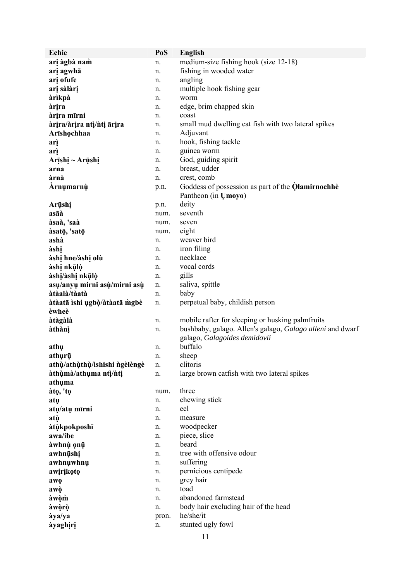| Echie                         | PoS      | <b>English</b>                                            |
|-------------------------------|----------|-----------------------------------------------------------|
| arį àgbà nam                  | n.       | medium-size fishing hook (size 12-18)                     |
| arį agwhā                     | n.       | fishing in wooded water                                   |
| ari ofufe                     | n.       | angling                                                   |
| arį sàlàrį                    | n.       | multiple hook fishing gear                                |
| àrìkpà                        | n.       | worm                                                      |
| àrira                         | n.       | edge, brim chapped skin                                   |
| àrira mīrni                   | n.       | coast                                                     |
| àrira/àrira ntì/nti ārira     | n.       | small mud dwelling cat fish with two lateral spikes       |
| Arīshochhaa                   | n.       | Adjuvant                                                  |
| arì                           | n.       | hook, fishing tackle                                      |
| arì                           | n.       | guinea worm                                               |
| Arīshi ~ Arūshi               | n.       | God, guiding spirit                                       |
| arna                          | n.       | breast, udder                                             |
| àrnà                          | n.       | crest, comb                                               |
| Arnumarnù                     | p.n.     | Goddess of possession as part of the <b>Qlamirnochhe</b>  |
|                               |          | Pantheon (in Umoyo)                                       |
| Arūshi                        | p.n.     | deity                                                     |
| asāà                          | num.     | seventh                                                   |
| àsaà, 'saà                    | num.     | seven                                                     |
| àsatō, 'satō                  | num.     | eight                                                     |
| ashà                          | n.       | weaver bird                                               |
| àshị                          | n.       | iron filing                                               |
| àshị hne/àshị olù             | n.       | necklace                                                  |
| àshị nkūlò                    | n.       | vocal cords                                               |
| àshị/àshị nkūlò               | n.       | gills                                                     |
| asu/anyu mirni asù/mirni asù  | n.       | saliva, spittle                                           |
| àtàalà/tàatà                  | n.       | baby                                                      |
| àtàatā ìshi ugbò/àtàatā mgbè  | n.       | perpetual baby, childish person                           |
| èwheè                         |          |                                                           |
| àtàgàlà                       | n.       | mobile rafter for sleeping or husking palmfruits          |
| àthànì                        | n.       | bushbaby, galago. Allen's galago, Galago alleni and dwarf |
|                               |          | galago, Galagoides demidovii                              |
| athu                          | n.       | buffalo                                                   |
| athurū                        | n.       | sheep                                                     |
| athù/athùthù/ishishi ngèlèngè | n.       | clitoris                                                  |
| àthùmà/athuma ntì/nti         | n.       | large brown catfish with two lateral spikes               |
| athuma                        |          | three                                                     |
| àtọ, 'tọ<br>atu               | num.     | chewing stick                                             |
| atų/atų mīrni                 | n.<br>n. | eel                                                       |
| atù                           | n.       | measure                                                   |
| àtùkpokposhī                  | n.       | woodpecker                                                |
| awa/ibe                       | n.       | piece, slice                                              |
| àwhnù ọnū                     | n.       | beard                                                     |
| awhnūshi                      | n.       | tree with offensive odour                                 |
| awhnuwhnu                     | n.       | suffering                                                 |
| awirikoto                     | n.       | pernicious centipede                                      |
| awo                           | n.       | grey hair                                                 |
| awò                           | n.       | toad                                                      |
| àwòm                          | n.       | abandoned farmstead                                       |
| àwòrò                         | n.       | body hair excluding hair of the head                      |
| àya/ya                        | pron.    | he/she/it                                                 |
| àyaghịrị                      | n.       | stunted ugly fowl                                         |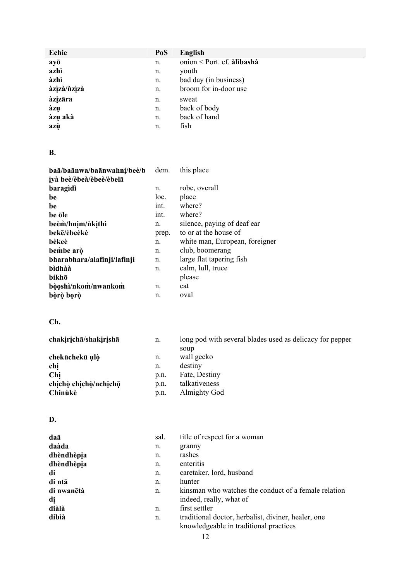| <b>Echie</b>                 | PoS          | <b>English</b>                                                                                |
|------------------------------|--------------|-----------------------------------------------------------------------------------------------|
| ayō                          | n.           | onion < Port. cf. àlibashà                                                                    |
| azhì                         | n.           | youth                                                                                         |
| àzhì                         | n.           | bad day (in business)                                                                         |
| àzìzà/ñzìzà                  | n.           | broom for in-door use                                                                         |
| àzizāra                      | n.           | sweat                                                                                         |
| àzụ                          | n.           | back of body                                                                                  |
| àzụ akà                      | n.           | back of hand                                                                                  |
| azù                          | n.           | fish                                                                                          |
|                              |              |                                                                                               |
| <b>B.</b>                    |              |                                                                                               |
| baā/baānwa/baānwahni/beè/b   | dem.         | this place                                                                                    |
| iyà beè/èbeà/èbeè/èbelā      |              |                                                                                               |
| baragidì                     | n.           | robe, overall                                                                                 |
| be                           | loc.         | place                                                                                         |
| be                           | int.         | where?                                                                                        |
| be öle                       | int.         | where?                                                                                        |
| beèm/hnim/nkithì             | n.           | silence, paying of deaf ear                                                                   |
| bekē/èbeèkè                  | prep.        | to or at the house of                                                                         |
| bèkeè                        | n.           | white man, European, foreigner                                                                |
| bembe arò                    | n.           | club, boomerang                                                                               |
| bharabhara/alafinji/lafinji  | n.           | large flat tapering fish                                                                      |
| bìdhàà                       | n.           | calm, lull, truce                                                                             |
| bikhō                        |              | please                                                                                        |
| bòoshì/nkom/nwankom          | n.           | cat                                                                                           |
| bòrò bọrò                    | n.           | oval                                                                                          |
| Ch.                          |              |                                                                                               |
|                              |              |                                                                                               |
| chakirichā/shakirishā        | n.           | long pod with several blades used as delicacy for pepper                                      |
|                              |              | soup                                                                                          |
| chekūchekū ulò               | n.           | wall gecko                                                                                    |
| chị                          | n.           | destiny                                                                                       |
| Chị<br>chịchò chịchò/nchịchō | p.n.         | Fate, Destiny<br>talkativeness                                                                |
| Chinùkè                      | p.n.<br>p.n. | <b>Almighty God</b>                                                                           |
|                              |              |                                                                                               |
|                              |              |                                                                                               |
| D.                           |              |                                                                                               |
| daā                          | sal.         | title of respect for a woman                                                                  |
| daàda                        | n.           | granny                                                                                        |
| dhèndhèpia                   | n.           | rashes                                                                                        |
| dhèndhèpia                   | n.           | enteritis                                                                                     |
| di                           | n.           | caretaker, lord, husband                                                                      |
| di ntā                       | n.           | hunter                                                                                        |
| di nwanētà                   | n.           | kinsman who watches the conduct of a female relation                                          |
| dį                           |              | indeed, really, what of                                                                       |
| diàlà                        | n.           | first settler                                                                                 |
| dibìà                        | n.           | traditional doctor, herbalist, diviner, healer, one<br>knowledgeable in traditional practices |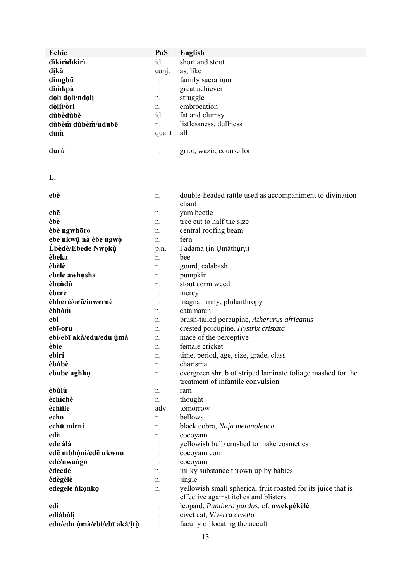| Echie                       | PoS   | English                                                       |
|-----------------------------|-------|---------------------------------------------------------------|
| dikiridikiri                | id.   | short and stout                                               |
| dikà                        | conj. | as, like                                                      |
| dimgbū                      | n.    | family sacrarium                                              |
| dimkpà                      | n.    | great achiever                                                |
| dolì dolì/ndolì             | n.    | struggle                                                      |
| dòliì/òri                   | n.    | embrocation                                                   |
| dùbèdùbè                    | id.   | fat and clumsy                                                |
| dùbèm dùbèm/ndubē           | n.    | listlessness, dullness                                        |
| dum                         | quant | all                                                           |
|                             |       |                                                               |
| durù                        | n.    | griot, wazir, counsellor                                      |
|                             |       |                                                               |
| E.                          |       |                                                               |
|                             |       |                                                               |
| ebè                         | n.    | double-headed rattle used as accompaniment to divination      |
|                             |       | chant                                                         |
| ebē                         | n.    | yam beetle                                                    |
| èbè                         | n.    | tree cut to half the size                                     |
| èbè ngwhōro                 | n.    | central roofing beam                                          |
| ebe nkwū nà èbe ngwò        | n.    | fern                                                          |
| <b>Èbèdè/Ebede Nwoku</b>    | p.n.  | Fadama (in Umāthuru)                                          |
| èbeka                       | n.    | bee                                                           |
| èbèlè                       | n.    | gourd, calabash                                               |
| ebele awhusha               | n.    | pumpkin                                                       |
| èbendù                      | n.    | stout corm weed                                               |
| èberè                       | n.    | mercy                                                         |
| èbherè/orū/inwèrnè          | n.    | magnanimity, philanthropy                                     |
| èbhòm                       | n.    | catamaran                                                     |
| ebì                         | n.    | brush-tailed porcupine, Atherurus africanus                   |
| ebī-oru                     | n.    | crested porcupine, Hystrix cristata                           |
| ebì/ebī akà/edu/edu ùmà     | n.    | mace of the perceptive                                        |
| èbie                        | n.    | female cricket                                                |
| ebiri                       | n.    | time, period, age, size, grade, class                         |
| èbùbè                       | n.    | charisma                                                      |
| ebube aghhu                 | n.    | evergreen shrub of striped laminate foliage mashed for the    |
|                             |       | treatment of infantile convulsion                             |
| èbùlù                       | n.    | ram                                                           |
| èchìchè                     | n.    | thought                                                       |
| èchiīle                     | adv.  | tomorrow                                                      |
| echo                        | n.    | bellows                                                       |
| echū mirni                  | n.    | black cobra, Naja melanoleuca                                 |
| edè                         | n.    | cocoyam                                                       |
| edē àlà                     | n.    | yellowish bulb crushed to make cosmetics                      |
| edē mbhònì/edē ukwuu        | n.    | cocoyam corm                                                  |
| edè/nwango                  | n.    | cocoyam                                                       |
| èdèedè                      | n.    | milky substance thrown up by babies                           |
| èdègèlè                     | n.    | jingle                                                        |
| edegele nkonko              | n.    | yellowish small spherical fruit roasted for its juice that is |
|                             |       | effective against itches and blisters                         |
| edi                         | n.    | leopard, Panthera pardus. cf. nwekpèkèlè                      |
| ediàbàlì                    | n.    | civet cat, Viverra civetta                                    |
| edu/edu ùmà/ebì/ebī akà/itù | n.    | faculty of locating the occult                                |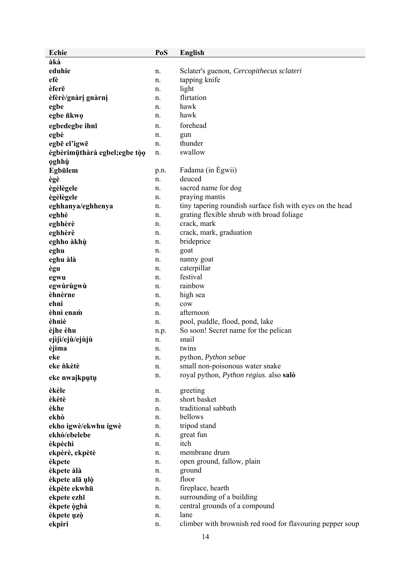| Echie                         | PoS  | English                                                   |
|-------------------------------|------|-----------------------------------------------------------|
| àkà                           |      |                                                           |
| eduhie                        | n.   | Sclater's guenon, Cercopithecus sclateri                  |
| efè                           | n.   | tapping knife                                             |
| èferē                         | n.   | light                                                     |
| èfèrè/gnàrị gnàrnị            | n.   | flirtation                                                |
| egbe                          | n.   | hawk                                                      |
| egbe nkwo                     | n.   | hawk                                                      |
| egbedegbe ihnī                | n.   | forehead                                                  |
| egbè                          | n.   | gun                                                       |
| egbē el'igwē                  | n.   | thunder                                                   |
| ègbèrimūthàrà egbel; egbe tòo | n.   | swallow                                                   |
| oghhù                         |      |                                                           |
| Egbülem                       | p.n. | Fadama (in Egwii)                                         |
| ègè                           | n.   | deuced                                                    |
| ègèlègele                     | n.   | sacred name for dog                                       |
| ègèlègele                     | n.   | praying mantis                                            |
| eghhanya/eghhenya             | n.   | tiny tapering roundish surface fish with eyes on the head |
| eghhè                         | n.   | grating flexible shrub with broad foliage                 |
| eghhèrè                       | n.   | crack, mark                                               |
| eghhèrè                       | n.   | crack, mark, graduation                                   |
| eghho àkhù                    | n.   | brideprice                                                |
| eghu                          | n.   | goat                                                      |
| eghu àlà                      | n.   | nanny goat                                                |
| ègu                           | n.   | caterpillar                                               |
| egwu                          | n.   | festival                                                  |
| egwùrùgwù                     | n.   | rainbow                                                   |
| èhnèrne                       | n.   | high sea                                                  |
| ehni                          | n.   | cow                                                       |
| èhnì enam                     | n.   | afternoon                                                 |
| èhnìè                         | n.   | pool, puddle, flood, pond, lake                           |
| èjhe èhu                      | n.p. | So soon! Secret name for the pelican                      |
| ejìjì/ejù/ejùjù               | n.   | snail                                                     |
| èjima                         | n.   | twins                                                     |
| eke                           | п.   | python, Python sebae                                      |
| eke nkètè                     | n.   | small non-poisonous water snake                           |
| eke nwaikputu                 | n.   | royal python, <i>Python regius</i> . also salò            |
| èkèle                         | n.   | greeting                                                  |
| èkètè                         | n.   | short basket                                              |
| èkhe                          | n.   | traditional sabbath                                       |
| ekhò                          | n.   | bellows                                                   |
| ekho igwè/ekwhu igwè          | n.   | tripod stand                                              |
| ekhò/ebelebe                  | n.   | great fun                                                 |
| èkpèchì                       | n.   | itch                                                      |
| ekpèrè, ekpètè                | n.   | membrane drum                                             |
| èkpete                        | n.   | open ground, fallow, plain                                |
| èkpete àlà                    | n.   | ground                                                    |
| èkpete alā ulò                | n.   | floor                                                     |
| èkpète ekwhū                  | n.   | fireplace, hearth                                         |
| ekpete ezhī                   | n.   | surrounding of a building                                 |
| èkpete ògbà                   | n.   | central grounds of a compound                             |
| èkpete uzò                    | n.   | lane                                                      |
| ekpiri                        | n.   | climber with brownish red rood for flavouring pepper soup |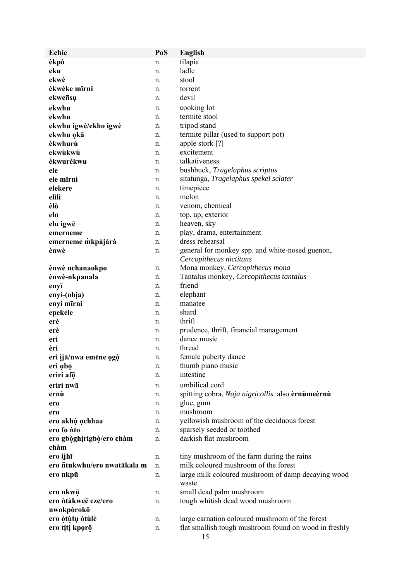| Echie                       | PoS | <b>English</b>                                              |
|-----------------------------|-----|-------------------------------------------------------------|
| èkpò                        | n.  | tilapia                                                     |
| eku                         | n.  | ladle                                                       |
| ekwè                        | n.  | stool                                                       |
| èkwèke mīrni                | n.  | torrent                                                     |
| ekweñsu                     | n.  | devil                                                       |
| ekwhu                       | n.  | cooking lot                                                 |
| ekwhu                       | n.  | termite stool                                               |
| ekwhu igwè/ekho igwè        | n.  | tripod stand                                                |
| ekwhu okā                   | n.  | termite pillar (used to support pot)                        |
| èkwhurù                     | n.  | apple stork [?]                                             |
| ekwùkwù                     | n.  | excitement                                                  |
| èkwurèkwu                   | n.  | talkativeness                                               |
| ele                         | n.  | bushbuck, Tragelaphus scriptus                              |
| ele mīrni                   | n.  | sitatunga, Tragelaphus spekei sclater                       |
| elekere                     | n.  | timepiece                                                   |
| elìlì                       | n.  | melon                                                       |
| èlò                         | n.  | venom, chemical                                             |
| elū                         | n.  | top, up, exterior                                           |
| elu igwē                    | n.  | heaven, sky                                                 |
| emerneme                    | n.  | play, drama, entertainment                                  |
| emerneme mkpàjàrà           | n.  | dress rehearsal                                             |
| ènwè                        | n.  | general for monkey spp. and white-nosed guenon,             |
|                             |     | Cercopithecus nictitans                                     |
| ènwè nchanaokpo             | n.  | Mona monkey, Cercopithecus mona                             |
| ènwè-nkpanala               | n.  | Tantalus monkey, Cercopithecus tantalus                     |
| enyī                        | n.  | friend                                                      |
| enyi-(ohia)                 | n.  | elephant                                                    |
| enyi mīrni                  | n.  | manatee                                                     |
| epekele                     | n.  | shard                                                       |
| erè                         | n.  | thrift                                                      |
| erè                         | n.  | prudence, thrift, financial management                      |
| eri                         | n.  | dance music                                                 |
| èri                         | n.  | thread                                                      |
| eri ijā/nwa emēne ogò       | n.  | female puberty dance                                        |
| eri ubō                     | n.  | thumb piano music                                           |
| eriri afo                   | n.  | intestine                                                   |
| eriri nwā                   | n.  | umbilical cord                                              |
| ernù                        | n.  | spitting cobra, Naja nigricollis. also èrnùmeèrnù           |
| ero                         | n.  | glue, gum                                                   |
| ero                         | n.  | mushroom                                                    |
| ero akhù ochhaa             | n.  | yellowish mushroom of the deciduous forest                  |
| ero fo <i>n</i> to          | n.  | sparsely seeded or toothed                                  |
| ero gbòghirigbò/ero chàm    | n.  | darkish flat mushroom                                       |
| chàm                        |     |                                                             |
| ero ijhī                    | n.  | tiny mushroom of the farm during the rains                  |
| ero ntukwhu/ero nwatākala m | n.  | milk coloured mushroom of the forest                        |
| ero nkpū                    | n.  | large milk coloured mushroom of damp decaying wood<br>waste |
| ero nkwū                    | n.  | small dead palm mushroom                                    |
| ero ntàkweē eze/ero         | n.  | tough whitish dead wood mushroom                            |
| nwokpòrokō                  |     |                                                             |
| ero òtùtụ òtùlè             | n.  | large carnation coloured mushroom of the forest             |
| ero titi kporō              | n.  | flat smallish tough mushroom found on wood in freshly       |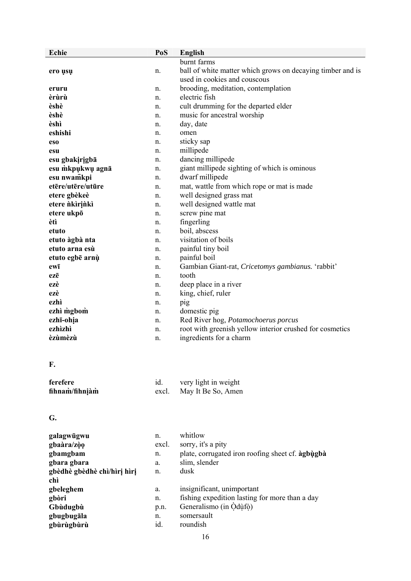| Echie             | PoS   | English                                                    |
|-------------------|-------|------------------------------------------------------------|
|                   |       | burnt farms                                                |
| ero usu           | n.    | ball of white matter which grows on decaying timber and is |
|                   |       | used in cookies and couscous                               |
| eruru             | n.    | brooding, meditation, contemplation                        |
| èrùrù             | n.    | electric fish                                              |
| èshè              | n.    | cult drumming for the departed elder                       |
| èshè              | n.    | music for ancestral worship                                |
| èshì              | n.    | day, date                                                  |
| eshishi           | n.    | omen                                                       |
| eso               | n.    | sticky sap                                                 |
| esu               | n.    | millipede                                                  |
| esu gbakirigbā    | n.    | dancing millipede                                          |
| esu mkpukwu agnā  | n.    | giant millipede sighting of which is ominous               |
| esu nwamkpi       | n.    | dwarf millipede                                            |
| etēre/utēre/utūre | n.    | mat, wattle from which rope or mat is made                 |
| etere gbèkeè      | n.    | well designed grass mat                                    |
| etere nkirinki    | n.    | well designed wattle mat                                   |
| etere ukpō        | n.    | screw pine mat                                             |
| ètì               | n.    | fingerling                                                 |
| etuto             | n.    | boil, abscess                                              |
| etuto àgbà nta    | n.    | visitation of boils                                        |
| etuto arna esù    | n.    | painful tiny boil                                          |
| etuto egbē arnù   | n.    | painful boil                                               |
| ewī               | n.    | Gambian Giant-rat, Cricetomys gambianus. 'rabbit'          |
| ezē               | n.    | tooth                                                      |
| ezè               | n.    | deep place in a river                                      |
| ezè<br>ezhì       | n.    | king, chief, ruler                                         |
| ezhì mgbom        | n.    | pig                                                        |
| ezhī-ohia         | n.    | domestic pig<br>Red River hog, Potamochoerus porcus        |
| ezhìzhì           | n.    | root with greenish yellow interior crushed for cosmetics   |
| èzùmèzù           | n.    | ingredients for a charm                                    |
|                   | n.    |                                                            |
| F.                |       |                                                            |
| ferefere          | id.   | very light in weight                                       |
| fihnam/fihniàm    | excl. | May It Be So, Amen                                         |
| G.                |       |                                                            |
| galagwūgwu        | n.    | whitlow                                                    |
| ghaàra/zòo        | excl  | sorry it's a nity                                          |

| gbaàra/zòo                  | excl. | sorry, it's a pity                               |
|-----------------------------|-------|--------------------------------------------------|
| gbamgbam                    | n.    | plate, corrugated iron roofing sheet cf. agbugba |
| gbara gbara                 | a.    | slim, slender                                    |
| gbèdhè gbèdhè chì/hìrị hìrị | n.    | dusk                                             |
| chì                         |       |                                                  |
| gbeleghem                   | a.    | insignificant, unimportant                       |
| gbòri                       | n.    | fishing expedition lasting for more than a day   |
| Gbùdugbù                    | p.n.  | Generalismo (in Òduto)                           |
| gbugbugāla                  | n.    | somersault                                       |
| gbùrùgbùrù                  | id.   | roundish                                         |
|                             |       |                                                  |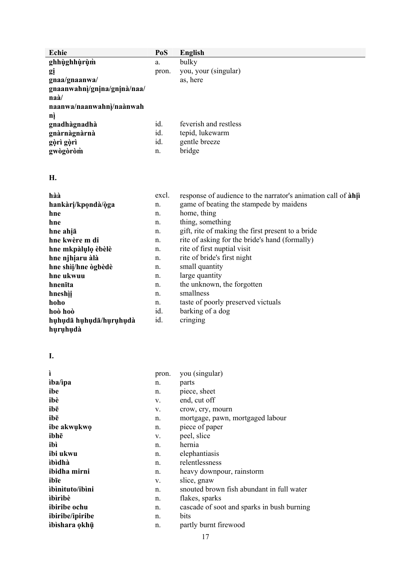| Echie                                  | PoS   | English               |
|----------------------------------------|-------|-----------------------|
| ghhùghhùrùm                            | a.    | bulky                 |
| gį                                     | pron. | you, your (singular)  |
| gnaa/gnaanwa/                          |       | as, here              |
| gnaanwahni/gnina/gnina/naa/            |       |                       |
| $\mathbf{n}\mathbf{a}\mathbf{\dot{a}}$ |       |                       |
| naanwa/naanwahni/naànwah               |       |                       |
| nì                                     |       |                       |
| gnadhàgnadhà                           | id.   | feverish and restless |
| gnàrnàgnàrnà                           | id.   | tepid, lukewarm       |
| gòrì gòrì                              | id.   | gentle breeze         |
| gwògòròm                               | n.    | bridge                |

**H.** 

| hàà                    | excl. | response of audience to the narrator's animation call of $\lambda$ hi |
|------------------------|-------|-----------------------------------------------------------------------|
| hankàrị/kpondà/òga     | n.    | game of beating the stampede by maidens                               |
| hne                    | n.    | home, thing                                                           |
| hne                    | n.    | thing, something                                                      |
| hne ahia               | n.    | gift, rite of making the first present to a bride                     |
| hne kwère m di         | n.    | rite of asking for the bride's hand (formally)                        |
| hne mkpàlụlo èbèlè     | n.    | rite of first nuptial visit                                           |
| hne njhiaru àlà        | n.    | rite of bride's first night                                           |
| hne shìi/hne ògbèdè    | n.    | small quantity                                                        |
| hne ukwuu              | n.    | large quantity                                                        |
| hnenīta                | n.    | the unknown, the forgotten                                            |
| hneshìi                | n.    | smallness                                                             |
| hoho                   | n.    | taste of poorly preserved victuals                                    |
| hoò hoò                | id.   | barking of a dog                                                      |
| huhudā huhudā/huruhudà | id.   | cringing                                                              |
| huruhudà               |       |                                                                       |

**I.** 

| ì                      | pron. | you (singular)                             |
|------------------------|-------|--------------------------------------------|
| iba/ipa                | n.    | parts                                      |
| ibe                    | n.    | piece, sheet                               |
| ibè                    | V.    | end, cut off                               |
| ibē                    | V.    | crow, cry, mourn                           |
| ibē                    | n.    | mortgage, pawn, mortgaged labour           |
| ibe akwukwo            | n.    | piece of paper                             |
| ibhē                   | V.    | peel, slice                                |
| ibì                    | n.    | hernia                                     |
| ibi ukwu               | n.    | elephantiasis                              |
| ibìdhà                 | n.    | relentlessness                             |
| ibidha mirni           | n.    | heavy downpour, rainstorm                  |
| ibīe                   | V.    | slice, gnaw                                |
| ibinituto/ibini        | n.    | snouted brown fish abundant in full water  |
| ìbìrìbè                | n.    | flakes, sparks                             |
| <i>ibiribe</i> ochu    | n.    | cascade of soot and sparks in bush burning |
| <i>ibiribe/ipiribe</i> | n.    | bits                                       |
| ibishara okhū          | n.    | partly burnt firewood                      |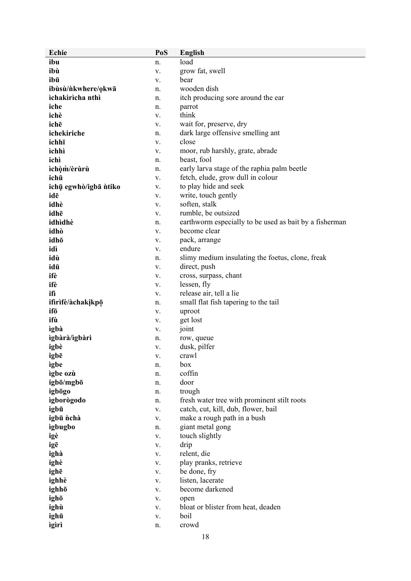| <b>Echie</b>          | PoS | <b>English</b>                                         |
|-----------------------|-----|--------------------------------------------------------|
| ibu                   | n.  | load                                                   |
| ibù                   | V.  | grow fat, swell                                        |
| ibū                   | V.  | bear                                                   |
| ibùsù/nkwhere/okwā    | n.  | wooden dish                                            |
| ichakiricha nthì      | n.  | itch producing sore around the ear                     |
| iche                  | n.  | parrot                                                 |
| ichè                  | V.  | think                                                  |
| ichē                  | V.  | wait for, preserve, dry                                |
| ichekiriche           | n.  | dark large offensive smelling ant                      |
| ichhī                 | V.  | close                                                  |
| ìchhì                 | V.  | moor, rub harshly, grate, abrade                       |
| ichì                  | n.  | beast, fool                                            |
| ìchòm/èrùrù           |     | early larva stage of the raphia palm beetle            |
| ichū                  | n.  | fetch, elude, grow dull in colour                      |
|                       | V.  | to play hide and seek                                  |
| ichų egwhò/igbā ntiko | V.  |                                                        |
| idē<br>idhè           | V.  | write, touch gently                                    |
|                       | V.  | soften, stalk                                          |
| idhē                  | V.  | rumble, be outsized                                    |
| idhìdhè               | n.  | earthworm especially to be used as bait by a fisherman |
| idhò                  | V.  | become clear                                           |
| idhō                  | V.  | pack, arrange                                          |
| idì                   | V.  | endure                                                 |
| idù                   | n.  | slimy medium insulating the foetus, clone, freak       |
| idū                   | V.  | direct, push                                           |
| ifè                   | V.  | cross, surpass, chant                                  |
| ifè                   | V.  | lessen, fly                                            |
| ifì                   | V.  | release air, tell a lie                                |
| ifirifè/àchakikpō     | n.  | small flat fish tapering to the tail                   |
| ifō                   | V.  | uproot                                                 |
| ifù                   | V.  | get lost                                               |
| ìgbà                  | V.  | joint                                                  |
| ìgbàrà/ìgbàrì         | n.  | row, queue                                             |
| igbè                  | V.  | dusk, pilfer                                           |
| igbē                  | V.  | crawl                                                  |
| ìgbe                  | n.  | box                                                    |
| igbe ozù              | n.  | coffin                                                 |
| igbō/mgbō             | n.  | door                                                   |
| igbogo                | n.  | trough                                                 |
| igborògodo            | n.  | fresh water tree with prominent stilt roots            |
| igbū                  | V.  | catch, cut, kill, dub, flower, bail                    |
| igbū nchà             | V.  | make a rough path in a bush                            |
| igbugbo               | n.  | giant metal gong                                       |
| igè                   | V.  | touch slightly                                         |
| igē                   | V.  | drip                                                   |
| ighà                  | V.  | relent, die                                            |
| ighè                  | V.  | play pranks, retrieve                                  |
| ighē                  | V.  | be done, fry                                           |
| ighhè                 | V.  | listen, lacerate                                       |
| ighhō                 | V.  | become darkened                                        |
| ighō                  | V.  | open                                                   |
| ighù                  | V.  | bloat or blister from heat, deaden                     |
| ighū                  |     | boil                                                   |
|                       | V.  |                                                        |
| igiri                 | n.  | crowd                                                  |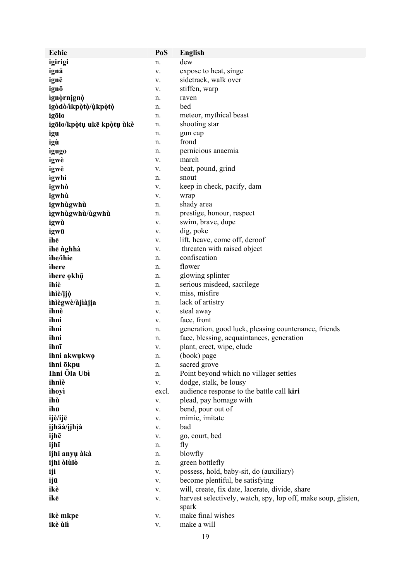| Echie                     | PoS        | <b>English</b>                                                |
|---------------------------|------------|---------------------------------------------------------------|
| igirigi                   | n.         | dew                                                           |
| ignā                      | V.         | expose to heat, singe                                         |
| ignē                      | V.         | sidetrack, walk over                                          |
| ignō                      | V.         | stiffen, warp                                                 |
| ìgnòrnignò                | n.         | raven                                                         |
| igòdò/ìkpòtò/ùkpòtò       | n.         | bed                                                           |
| igōlo                     | n.         | meteor, mythical beast                                        |
| igōlo/kpòtụ ukē kpòtụ ùkè | n.         | shooting star                                                 |
| igu                       | n.         | gun cap                                                       |
| igù                       | n.         | frond                                                         |
| igugo                     | n.         | pernicious anaemia                                            |
| igwè                      | V.         | march                                                         |
|                           |            |                                                               |
| igwē                      | V.         | beat, pound, grind<br>snout                                   |
| ìgwhì                     | n.         |                                                               |
| igwhò                     | V.         | keep in check, pacify, dam                                    |
| igwhù                     | V.         | wrap                                                          |
| igwhùgwhù                 | n.         | shady area                                                    |
| ìgwhùgwhù/ùgwhù           | n.         | prestige, honour, respect                                     |
| igwù                      | V.         | swim, brave, dupe                                             |
| igwū                      | V.         | dig, poke                                                     |
| ihē                       | V.         | lift, heave, come off, deroof                                 |
| ihē nghhà                 | V.         | threaten with raised object                                   |
| ìhe/ìhie                  | n.         | confiscation                                                  |
| ihere                     | n.         | flower                                                        |
| ihere okhū                | n.         | glowing splinter                                              |
| ihiè                      | n.         | serious misdeed, sacrilege                                    |
| ìhìè/ijò                  | V.         | miss, misfire                                                 |
| ihiègwè/àjiàjia           | n.         | lack of artistry                                              |
| ihnè                      | V.         | steal away                                                    |
| ihni                      | V.         | face, front                                                   |
| ihni                      | n.         | generation, good luck, pleasing countenance, friends          |
| ihni                      | n.         | face, blessing, acquaintances, generation                     |
| ihnī                      | V.         | plant, erect, wipe, elude                                     |
| ihni akwukwo              | n.         | (book) page                                                   |
| ihni ökpu                 | n.         | sacred grove                                                  |
| Ihni Öla Ubì              | n.         | Point beyond which no villager settles                        |
| ihnìè                     | V.         | dodge, stalk, be lousy                                        |
| ìhoyì                     | excl.      | audience response to the battle call kiri                     |
| ihù                       | V.         | plead, pay homage with                                        |
| ihū                       | V.         | bend, pour out of                                             |
| ijè/ijē                   | ${\bf V}.$ | mimic, imitate                                                |
| ijhāà/ijhìà               |            | bad                                                           |
|                           | ${\bf V}.$ | go, court, bed                                                |
| ijhē                      | V.         |                                                               |
| ijhī                      | n.         | fly                                                           |
| ijhi anyų àkà             | n.         | blowfly                                                       |
| ijhi òlùlò                | n.         | green bottlefly                                               |
| iji                       | V.         | possess, hold, baby-sit, do (auxiliary)                       |
| ijū                       | V.         | become plentiful, be satisfying                               |
| ikè                       | V.         | will, create, fix date, lacerate, divide, share               |
| ikē                       | V.         | harvest selectively, watch, spy, lop off, make soup, glisten, |
|                           |            | spark                                                         |
| ikè mkpe                  | ${\bf V}.$ | make final wishes                                             |
| ikè ùlì                   | V.         | make a will                                                   |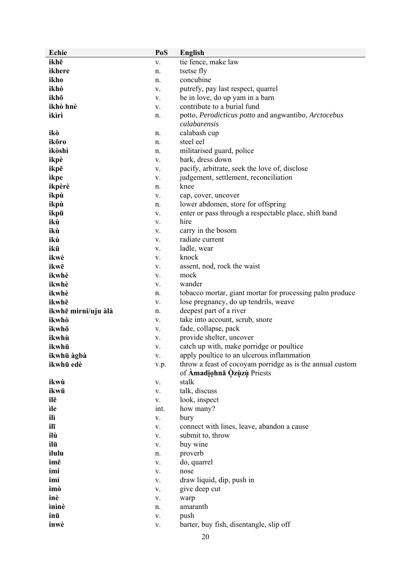| Echie               | PoS         | <b>English</b>                                                                          |
|---------------------|-------------|-----------------------------------------------------------------------------------------|
| ikhē                | V.          | tie fence, make law                                                                     |
| ikhere              | n.          | tsetse fly                                                                              |
| ikho                | n.          | concubine                                                                               |
| ikhò                | V.          | putrefy, pay last respect, quarrel                                                      |
| ikhō                | V.          | be in love, do up yam in a barn                                                         |
| ikhò hnè            | V.          | contribute to a burial fund                                                             |
| ìkìrì               | n.          | potto, Perodicticus potto and angwantibo, Arctocebus                                    |
|                     |             | calabarensis                                                                            |
| ikò                 | n.          | calabash cup                                                                            |
| ikōro               | n.          | steel eel                                                                               |
| ìkòshì              | n.          | militarised guard, police                                                               |
| ikpè                | V.          | bark, dress down                                                                        |
| ikpē                | V.          | pacify, arbitrate, seek the love of, disclose                                           |
| ìkpe                | V.          | judgement, settlement, reconciliation                                                   |
| ikpèrè              | n.          | knee                                                                                    |
| ikpù                | V.          | cap, cover, uncover                                                                     |
| ikpù                | n.          | lower abdomen, store for offspring                                                      |
| ikpū                | V.          | enter or pass through a respectable place, shift band                                   |
| ikù                 | V.          | hire                                                                                    |
| ikù                 | V.          | carry in the bosom                                                                      |
| ikù                 | V.          | radiate current                                                                         |
| ikū                 | V.          | ladle, wear                                                                             |
| ikwè                | V.          | knock                                                                                   |
| ikwē                | V.          | assent, nod, rock the waist                                                             |
| ikwhè               | V.          | mock                                                                                    |
| ikwhè               | V.          | wander                                                                                  |
| ikwhè               | n.          | tobacco mortar, giant mortar for processing palm produce                                |
| ikwhē               | V.          | lose pregnancy, do up tendrils, weave                                                   |
| ikwhē mirni/uju àlà | n.          | deepest part of a river                                                                 |
| ikwhò               | V.          | take into account, scrub, snore                                                         |
| ikwhō               | V.          | fade, collapse, pack                                                                    |
| ikwhù               | V.          | provide shelter, uncover                                                                |
| ikwhū               | V.          | catch up with, make porridge or poultice                                                |
| ikwhū àgbà          | V.          | apply poultice to an ulcerous inflammation                                              |
| ikwhū edè           | v.p.        | throw a feast of cocoyam porridge as is the annual custom<br>of Amadiohnā Qzuzu Priests |
| ikwù                | ${\bf V}.$  | stalk                                                                                   |
| ikwū                | ${\bf V}.$  | talk, discuss                                                                           |
| ilē                 | V.          | look, inspect                                                                           |
| ìle                 | int.        | how many?                                                                               |
| ilì                 | V.          | bury                                                                                    |
| ilī                 | ${\bf V}$ . | connect with lines, leave, abandon a cause                                              |
| ilù                 | ${\bf V}.$  | submit to, throw                                                                        |
| ilū                 | ${\bf V}.$  | buy wine                                                                                |
| ilulu               | n.          | proverb                                                                                 |
| imē                 | V.          | do, quarrel                                                                             |
| imi                 | ${\bf V}.$  | nose                                                                                    |
| imì                 | V.          | draw liquid, dip, push in                                                               |
| imò                 | V.          | give deep cut                                                                           |
| inè                 | ${\bf V}.$  | warp                                                                                    |
| ìnìnè               | n.          | amaranth                                                                                |
| inū                 | ${\bf V}.$  | push                                                                                    |
| inwè                | ${\bf V}.$  | barter, buy fish, disentangle, slip off                                                 |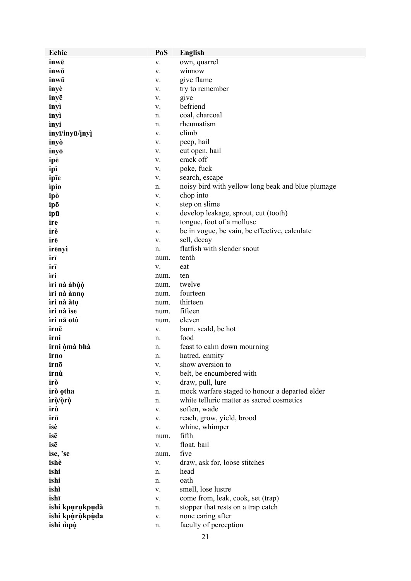| Echie           | PoS         | <b>English</b>                                    |
|-----------------|-------------|---------------------------------------------------|
| inwē            | V.          | own, quarrel                                      |
| inwō            | V.          | winnow                                            |
| inwū            | V.          | give flame                                        |
| inyè            | V.          | try to remember                                   |
| inyē            | V.          | give                                              |
| inyì            | V.          | befriend                                          |
| inyì            | n.          | coal, charcoal                                    |
| ìnyi            | n.          | rheumatism                                        |
| inyī/inyū/inyì  | V.          | climb                                             |
| inyò            | V.          | peep, hail                                        |
| inyō            | V.          | cut open, hail                                    |
| ipē             | V.          | crack off                                         |
| ipì             | V.          | poke, fuck                                        |
| ipīe            | V.          | search, escape                                    |
| ipio            | n.          | noisy bird with yellow long beak and blue plumage |
| ipò             | V.          | chop into                                         |
| ipō             | V.          | step on slime                                     |
| ipū             | V.          | develop leakage, sprout, cut (tooth)              |
| ire             | n.          | tongue, foot of a mollusc                         |
| irè             | V.          | be in vogue, be vain, be effective, calculate     |
| irē             | V.          | sell, decay                                       |
| irēnyì          | n.          | flatfish with slender snout                       |
| irī             | num.        | tenth                                             |
| irī             | V.          | eat                                               |
| ìri             | num.        | ten                                               |
| ìri nà àbùò     | num.        | twelve                                            |
| ìri nà ànnọ     | num.        | fourteen                                          |
| ìri nà àtọ      | num.        | thirteen                                          |
| ìri nà ìse      | num.        | fifteen                                           |
| ìri nā otù      | num.        | eleven                                            |
| irnē            | V.          | burn, scald, be hot                               |
| irni            | n.          | food                                              |
| irni òmà bhà    | n.          | feast to calm down mourning                       |
| irno            | n.          | hatred, enmity                                    |
| irnō            | V.          | show aversion to                                  |
| irnù            | V.          | belt, be encumbered with                          |
| irò             | ${\bf V}.$  | draw, pull, lure                                  |
| irò otha        | n.          | mock warfare staged to honour a departed elder    |
| ìrò/òrò         | n.          | white telluric matter as sacred cosmetics         |
| irù             | ${\bf V}$ . | soften, wade                                      |
| irū             | V.          | reach, grow, yield, brood                         |
| isè<br>isē      | V.          | whine, whimper<br>fifth                           |
| isē             | num.        | float, bail                                       |
| ise, 'se        | V.          | five                                              |
| ishè            | num.<br>V.  | draw, ask for, loose stitches                     |
| ishi            | n.          | head                                              |
| ishi            | n.          | oath                                              |
| ishì            | V.          | smell, lose lustre                                |
| ishī            | ${\bf V}.$  | come from, leak, cook, set (trap)                 |
| ishi kpurukpudà | n.          | stopper that rests on a trap catch                |
| ishi kpùrùkpùda | ${\bf V}.$  | none caring after                                 |
| ishi mpu        | n.          | faculty of perception                             |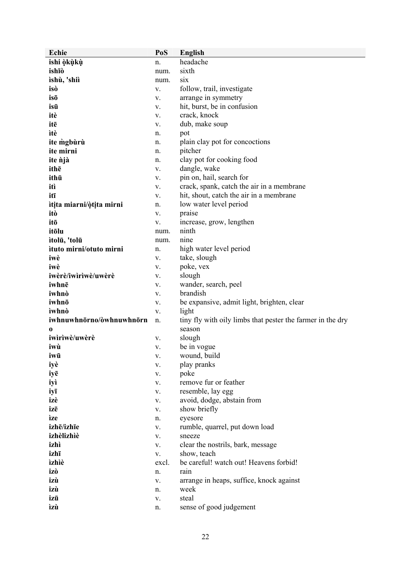| Echie                    | PoS   | <b>English</b>                                             |
|--------------------------|-------|------------------------------------------------------------|
| ishi òkùkù               | n.    | headache                                                   |
| ishīò                    | num.  | sixth                                                      |
| ìshù, 'shiì              | num.  | six                                                        |
| isò                      | V.    | follow, trail, investigate                                 |
| isō                      | V.    | arrange in symmetry                                        |
| isū                      | V.    | hit, burst, be in confusion                                |
| itè                      | V.    | crack, knock                                               |
| itē                      | V.    | dub, make soup                                             |
| ìtè                      | n.    | pot                                                        |
| ite mgbùrù               | n.    | plain clay pot for concoctions                             |
| ite mirni                | n.    | pitcher                                                    |
| ite <i>n</i> jà          | n.    | clay pot for cooking food                                  |
| ithē                     | V.    | dangle, wake                                               |
| ithū                     | V.    | pin on, hail, search for                                   |
| itì                      | V.    | crack, spank, catch the air in a membrane                  |
| itī                      | V.    | hit, shout, catch the air in a membrane                    |
| itita miarni/òtita mirni | n.    | low water level period                                     |
| itò                      | V.    | praise                                                     |
| itō                      | V.    | increase, grow, lengthen                                   |
| itōlu                    | num.  | ninth                                                      |
| ìtolū, 'tolū             | num.  | nine                                                       |
| ituto mirni/otuto mirni  | n.    | high water level period                                    |
| iwè                      | V.    | take, slough                                               |
| iwè                      | V.    | poke, vex                                                  |
| iwèrè/iwìrìwè/uwèrè      | V.    | slough                                                     |
| iwhnē                    | V.    | wander, search, peel                                       |
| iwhnò                    | V.    | brandish                                                   |
| iwhnō                    | V.    | be expansive, admit light, brighten, clear                 |
| ìwhnò                    | V.    | light                                                      |
| iwhnuwhnōrno/òwhnuwhnōrn | n.    | tiny fly with oily limbs that pester the farmer in the dry |
|                          |       | season                                                     |
| 0<br>iwìrìwè/uwèrè       | V.    | slough                                                     |
| iwù                      | V.    | be in vogue                                                |
| iwū                      | V.    | wound, build                                               |
| iyè                      | V.    | play pranks                                                |
|                          | V.    | poke                                                       |
| iyē<br>iyì               | V.    | remove fur or feather                                      |
|                          | V.    | resemble, lay egg                                          |
| iyī<br>izè               | V.    | avoid, dodge, abstain from                                 |
| izē                      | V.    | show briefly                                               |
| ìze                      |       | eyesore                                                    |
| izhē/izhīe               | n.    |                                                            |
| izhèlizhìè               | V.    | rumble, quarrel, put down load                             |
|                          | V.    | sneeze                                                     |
| izhì                     | V.    | clear the nostrils, bark, message                          |
| izhī                     | V.    | show, teach<br>be careful! watch out! Heavens forbid!      |
| ìzhìè                    | excl. |                                                            |
| izò                      | n.    | rain                                                       |
| izù                      | V.    | arrange in heaps, suffice, knock against                   |
| izù                      | n.    | week                                                       |
| izū                      | V.    | steal                                                      |
| ìzù                      | n.    | sense of good judgement                                    |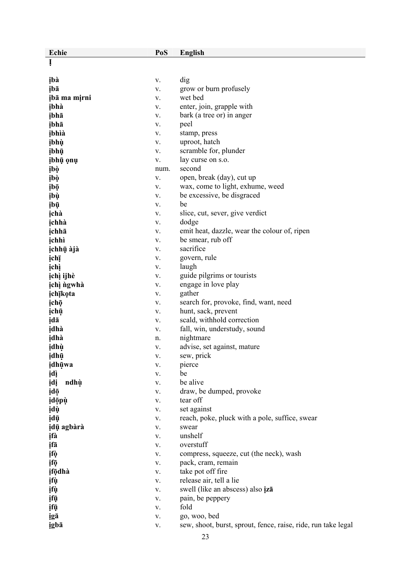| Echie        | PoS         | <b>English</b>                                                |
|--------------|-------------|---------------------------------------------------------------|
| Į            |             |                                                               |
|              |             |                                                               |
| įbà          | V.          | dig                                                           |
| ibā          | V.          | grow or burn profusely                                        |
| įbā ma mįrni | V.          | wet bed                                                       |
| ibhà         | V.          | enter, join, grapple with                                     |
| įbhā         | V.          | bark (a tree or) in anger                                     |
| įbhā         | V.          | peel                                                          |
| įbhìà        | V.          | stamp, press                                                  |
| įbhù         | V.          | uproot, hatch                                                 |
| įbhū         | V.          | scramble for, plunder                                         |
| įbhų ęnų     | V.          | lay curse on s.o.                                             |
| įbò          | num.        | second                                                        |
| įbò          | V.          | open, break (day), cut up                                     |
| įbō          | V.          | wax, come to light, exhume, weed                              |
| įbù          | V.          | be excessive, be disgraced                                    |
| įbū          | V.          | be                                                            |
| ichà         | V.          | slice, cut, sever, give verdict                               |
| ichhà        | V.          | dodge                                                         |
| ichhā        | V.          | emit heat, dazzle, wear the colour of, ripen                  |
| ichhì        | V.          | be smear, rub off                                             |
| ịchhụ àjà    | V.          | sacrifice                                                     |
| įchį         | V.          | govern, rule                                                  |
| įchì         | V.          | laugh                                                         |
| ịchì ijhè    | V.          | guide pilgrims or tourists                                    |
| ịchì ngwhà   | V.          | engage in love play                                           |
| ichīkota     | V.          | gather                                                        |
| įchō         | V.          | search for, provoke, find, want, need                         |
| įchū         | V.          | hunt, sack, prevent                                           |
| įdā          | V.          | scald, withhold correction                                    |
| idhà         | V.          | fall, win, understudy, sound                                  |
| idhà         | n.          | nightmare                                                     |
| įdhù         | V.          | advise, set against, mature                                   |
| įdhų         | V.          | sew, prick                                                    |
| idhūwa       | V.          | pierce                                                        |
| įdį          | ${\bf V}$ . | be                                                            |
| įdį<br>ndhù  | V.          | be alive                                                      |
| įdō          | V.          | draw, be dumped, provoke                                      |
| idōpù        | V.          | tear off                                                      |
| įdù          | V.          | set against                                                   |
| įdū          | V.          | reach, poke, pluck with a pole, suffice, swear                |
| įdų agbàrà   | V.          | swear                                                         |
| įfà          | V.          | unshelf                                                       |
| įfā          | V.          | overstuff                                                     |
| įfò          | V.          | compress, squeeze, cut (the neck), wash                       |
| įfō          | V.          | pack, cram, remain                                            |
| ifodhà       | V.          | take pot off fire                                             |
| įfų          | V.          | release air, tell a lie                                       |
| įfų          | V.          | swell (like an abscess) also izā                              |
| įfų          | V.          | pain, be peppery<br>fold                                      |
| įfū          | V.          | go, woo, bed                                                  |
| igā<br>igbā  | V.<br>V.    | sew, shoot, burst, sprout, fence, raise, ride, run take legal |
|              |             |                                                               |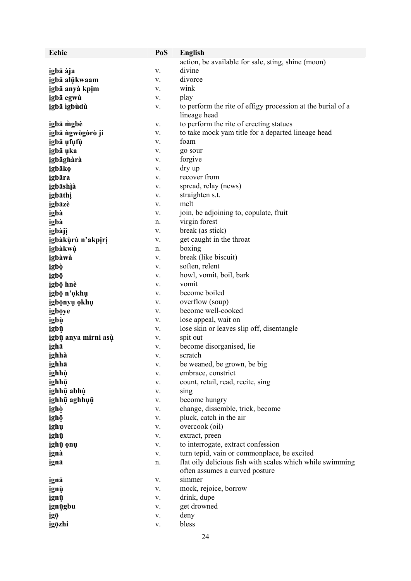| Echie               | PoS        | <b>English</b>                                              |
|---------------------|------------|-------------------------------------------------------------|
|                     |            | action, be available for sale, sting, shine (moon)          |
| igbā àja            | V.         | divine                                                      |
| igbā alūkwaam       | V.         | divorce                                                     |
| igbā anyà kpim      | V.         | wink                                                        |
| įgbā egwù           | V.         | play                                                        |
| igbā ìgbùdù         | V.         | to perform the rite of effigy procession at the burial of a |
|                     |            | lineage head                                                |
| igbā mgbè           | V.         | to perform the rite of erecting statues                     |
| igbā ngwogoro ji    | V.         | to take mock yam title for a departed lineage head          |
| igbā ufufu          | V.         | foam                                                        |
| igbā uka            | V.         | go sour                                                     |
| igbāghàrà           | V.         | forgive                                                     |
| igbāko              | V.         | dry up                                                      |
| igbāra              | V.         | recover from                                                |
| igbāshìà            | V.         | spread, relay (news)                                        |
| igbāthi             | V.         | straighten s.t.                                             |
| igbāzè              | V.         | melt                                                        |
| igbà                | V.         | join, be adjoining to, copulate, fruit                      |
| igbà                | n.         | virgin forest                                               |
| igbàjì              | V.         | break (as stick)                                            |
| igbàkùrù n'akpiri   | V.         | get caught in the throat                                    |
| igbàkwù             | n.         | boxing                                                      |
| igbàwà              | V.         | break (like biscuit)                                        |
| igbò                | V.         | soften, relent                                              |
| igbō                | V.         | howl, vomit, boil, bark                                     |
| igbō hnè            | V.         | vomit                                                       |
| igbō n'okhu         | V.         | become boiled                                               |
| igbōnyu okhu        | V.         | overflow (soup)                                             |
| igbōye              | V.         | become well-cooked                                          |
| igbù                | V.         | lose appeal, wait on                                        |
| igbū                | V.         | lose skin or leaves slip off, disentangle                   |
| igbū anya mirni asù | V.         | spit out                                                    |
| igha                | V.         | become disorganised, lie                                    |
| ighhà               | V.         | scratch                                                     |
| ighhā               | V.         | be weaned, be grown, be big                                 |
| ighhù               | V.         | embrace, constrict                                          |
| ighhū               | ${\bf V}.$ | count, retail, read, recite, sing                           |
| ighhū abhù          | ${\bf V}.$ | sing                                                        |
| ighhū aghhuū        | V.         | become hungry                                               |
| ighò                | V.         | change, dissemble, trick, become                            |
| ighō                | ${\bf V}.$ | pluck, catch in the air                                     |
| ighų                | ${\bf V}.$ | overcook (oil)                                              |
| ighū                | V.         | extract, preen                                              |
| ighū onu            | ${\bf V}.$ | to interrogate, extract confession                          |
| ignà                | ${\bf V}.$ | turn tepid, vain or commonplace, be excited                 |
| ignā                | n.         | flat oily delicious fish with scales which while swimming   |
|                     |            | often assumes a curved posture                              |
| ignā                | V.         | simmer                                                      |
| ignù                | ${\bf V}.$ | mock, rejoice, borrow                                       |
| ignū                | V.         | drink, dupe                                                 |
| ignūgbu             | V.         | get drowned                                                 |
| igō                 | V.         | deny                                                        |
| igōzhi              | ${\bf V}.$ | bless                                                       |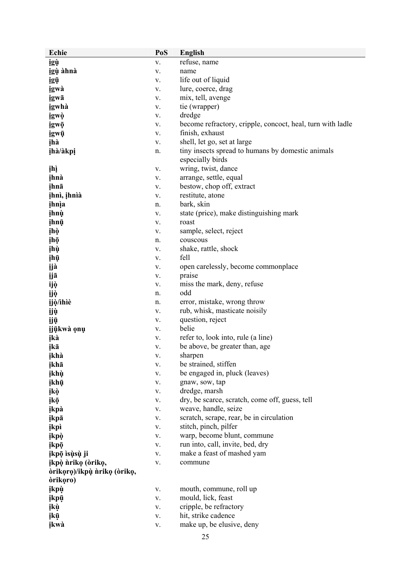| Echie                       | PoS              | <b>English</b>                                             |
|-----------------------------|------------------|------------------------------------------------------------|
| igù                         | V.               | refuse, name                                               |
| igù àhnà                    | V.               | name                                                       |
| igū                         | V.               | life out of liquid                                         |
| igwà                        | V.               | lure, coerce, drag                                         |
| igwā                        | V.               | mix, tell, avenge                                          |
| igwhà                       | V.               | tie (wrapper)                                              |
| igwò                        | V.               | dredge                                                     |
| igwō                        | V.               | become refractory, cripple, concoct, heal, turn with ladle |
| įgwū                        | V.               | finish, exhaust                                            |
| įhà                         | V.               | shell, let go, set at large                                |
| įhà/àkpį                    | n.               | tiny insects spread to humans by domestic animals          |
|                             |                  | especially birds                                           |
| įhì                         | V.               | wring, twist, dance                                        |
| ihnà                        | V.               | arrange, settle, equal                                     |
| ihnā                        | V.               | bestow, chop off, extract                                  |
| įhnì, įhnìà                 | V.               | restitute, atone                                           |
| ihnia                       | n.               | bark, skin                                                 |
| <i>ihnù</i>                 | V.               | state (price), make distinguishing mark                    |
| ihnū                        | V.               | roast                                                      |
| įhò                         | V.               | sample, select, reject                                     |
| įhọ                         | n.               | couscous                                                   |
| įhù                         | V.               | shake, rattle, shock                                       |
| įhū                         | V.               | fell                                                       |
| ijà                         | V.               | open carelessly, become commonplace                        |
| ijā                         | V.               | praise                                                     |
| ijò                         | V.               | miss the mark, deny, refuse                                |
| ijò                         | n.               | odd                                                        |
| įjò/ìhìè                    | n.               | error, mistake, wrong throw                                |
| ijù                         | V.               | rub, whisk, masticate noisily                              |
| ijū                         | V.               | question, reject                                           |
| ijūkwà onu                  | V.               | belie                                                      |
| įkà                         | V.               | refer to, look into, rule (a line)                         |
| ikā                         | V.               | be above, be greater than, age                             |
| įkhà                        | V.               | sharpen                                                    |
| ikhā                        | V.               | be strained, stiffen                                       |
| įkhù                        | V.               | be engaged in, pluck (leaves)                              |
| įkhū                        | V.               | gnaw, sow, tap                                             |
| įkò                         | V.               | dredge, marsh                                              |
| įkō                         | V.               | dry, be scarce, scratch, come off, guess, tell             |
| ikpà                        | V.               | weave, handle, seize                                       |
| įkpā                        | V.               | scratch, scrape, rear, be in circulation                   |
| įkpì                        | V.               | stitch, pinch, pilfer                                      |
| įkpò                        | V.               | warp, become blunt, commune                                |
| įkpō                        | V.               | run into, call, invite, bed, dry                           |
| įkpō isų̀sų̀ ji             | V.               | make a feast of mashed yam                                 |
| įkpò nriko (driko,          | ${\bf V}.$       | commune                                                    |
| òrikoro)/ikpù nriko (òriko, |                  |                                                            |
| òrikoro)                    | V.               | mouth, commune, roll up                                    |
| įkpù                        |                  | mould, lick, feast                                         |
| įkpū<br>įkù                 | V.               | cripple, be refractory                                     |
| įkū                         | V.<br>${\bf V}.$ | hit, strike cadence                                        |
| įkwà                        | V.               | make up, be elusive, deny                                  |
|                             |                  |                                                            |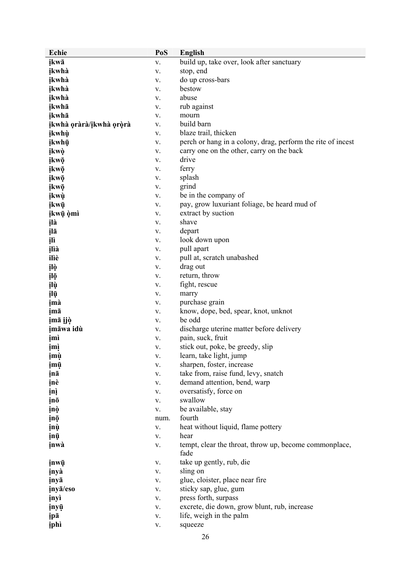| Echie                   | PoS        | <b>English</b>                                                 |
|-------------------------|------------|----------------------------------------------------------------|
| įkwā                    | V.         | build up, take over, look after sanctuary                      |
| ikwhà                   | V.         | stop, end                                                      |
| ikwhà                   | V.         | do up cross-bars                                               |
| ikwhà                   | V.         | bestow                                                         |
| ikwhà                   | V.         | abuse                                                          |
| įkwhā                   | V.         | rub against                                                    |
| įkwhā                   | V.         | mourn                                                          |
| įkwhà oràrà/įkwhà oròrà | V.         | build barn                                                     |
| įkwhù                   | V.         | blaze trail, thicken                                           |
| įkwhū                   | V.         | perch or hang in a colony, drag, perform the rite of incest    |
| ikwò                    | V.         | carry one on the other, carry on the back                      |
| įkwō                    | V.         | drive                                                          |
| įkwō                    | V.         | ferry                                                          |
| įkwō                    | V.         | splash                                                         |
| įkwō                    | V.         | grind                                                          |
| įkwù                    | V.         | be in the company of                                           |
| įkwū                    | V.         | pay, grow luxuriant foliage, be heard mud of                   |
| įkwų òmì                | V.         | extract by suction                                             |
| įlà                     | V.         | shave                                                          |
| įlā                     | V.         | depart                                                         |
| įlì                     | V.         | look down upon                                                 |
| įlìà                    | V.         | pull apart                                                     |
| ilìè                    | V.         | pull at, scratch unabashed                                     |
| įlò                     | V.         | drag out                                                       |
| įlō                     | V.         | return, throw                                                  |
| įlù                     | V.         | fight, rescue                                                  |
| įlū                     | V.         | marry                                                          |
| įmà                     | V.         | purchase grain                                                 |
| imā                     | V.         | know, dope, bed, spear, knot, unknot                           |
| įmā įjò                 | V.         | be odd                                                         |
| įmāwa idù               | V.         | discharge uterine matter before delivery                       |
| įmì                     | V.         | pain, suck, fruit                                              |
| <u>įmį</u>              | V.         | stick out, poke, be greedy, slip                               |
| įmų                     | ٧.         | learn, take light, jump                                        |
| įmų                     | V.         | sharpen, foster, increase                                      |
| įnā                     | V.         | take from, raise fund, levy, snatch                            |
| inè                     | V.         | demand attention, bend, warp                                   |
| įnį                     | V.         | oversatisfy, force on                                          |
| įnō                     | V.         | swallow                                                        |
| įnò                     | V.         | be available, stay                                             |
| įną                     | num.       | fourth                                                         |
| įnù                     | V.         | heat without liquid, flame pottery                             |
| įnų                     | V.         | hear                                                           |
| inwà                    | V.         | tempt, clear the throat, throw up, become commonplace,<br>fade |
| įnwū                    | V.         | take up gently, rub, die                                       |
| inyà                    | V.         | sling on                                                       |
| inyā                    | V.         | glue, cloister, place near fire                                |
| inya/eso                | V.         | sticky sap, glue, gum                                          |
| inyì                    | V.         | press forth, surpass                                           |
| inyū                    | V.         | excrete, die down, grow blunt, rub, increase                   |
| įpā                     | ${\bf V}.$ | life, weigh in the palm                                        |
| iphì                    | V.         | squeeze                                                        |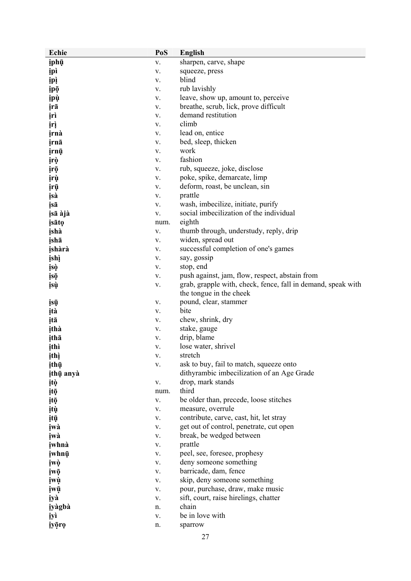| <b>Echie</b> | PoS  | <b>English</b>                                               |
|--------------|------|--------------------------------------------------------------|
| įphū         | V.   | sharpen, carve, shape                                        |
| <b>ipì</b>   | V.   | squeeze, press                                               |
| <b>ipi</b>   | V.   | blind                                                        |
| įpō          | V.   | rub lavishly                                                 |
| įpù          | V.   | leave, show up, amount to, perceive                          |
| įrā          | V.   | breathe, scrub, lick, prove difficult                        |
| įrì          |      | demand restitution                                           |
|              | V.   |                                                              |
| įrį          | V.   | climb                                                        |
| irnà         | V.   | lead on, entice                                              |
| irnā         | V.   | bed, sleep, thicken                                          |
| įrnū         | V.   | work                                                         |
| įrò          | V.   | fashion                                                      |
| įrō          | V.   | rub, squeeze, joke, disclose                                 |
| įrù          | V.   | poke, spike, demarcate, limp                                 |
| įrū          | V.   | deform, roast, be unclean, sin                               |
| įsà          | V.   | prattle                                                      |
| įsā          | V.   | wash, imbecilize, initiate, purify                           |
| įsā àjà      | V.   | social imbecilization of the individual                      |
| isāto        | num. | eighth                                                       |
| įshà         | V.   | thumb through, understudy, reply, drip                       |
| įshā         | V.   | widen, spread out                                            |
| ishàrà       | V.   | successful completion of one's games                         |
| įshì         | V.   | say, gossip                                                  |
| įsò          | V.   | stop, end                                                    |
| įsō          | V.   | push against, jam, flow, respect, abstain from               |
|              | V.   | grab, grapple with, check, fence, fall in demand, speak with |
| įsų          |      |                                                              |
|              |      | the tongue in the cheek                                      |
| įsų          | V.   | pound, clear, stammer                                        |
| įtà          | V.   | bite                                                         |
| įtā          | V.   | chew, shrink, dry                                            |
| ithà         | V.   | stake, gauge                                                 |
| įthā         | V.   | drip, blame                                                  |
| įthì         | V.   | lose water, shrivel                                          |
| ithì         | V.   | stretch                                                      |
| įthų         | V.   | ask to buy, fail to match, squeeze onto                      |
| ithū anyà    |      | dithyrambic imbecilization of an Age Grade                   |
| įtò          | V.   | drop, mark stands                                            |
| įtō          | num. | third                                                        |
| įtō          | V.   | be older than, precede, loose stitches                       |
| įtų          | V.   | measure, overrule                                            |
| įtū          | V.   | contribute, carve, cast, hit, let stray                      |
| įwà          | V.   | get out of control, penetrate, cut open                      |
| įwà          | V.   | break, be wedged between                                     |
| iwhnà        | V.   | prattle                                                      |
| įwhnų        | V.   | peel, see, foresee, prophesy                                 |
| įwò          | V.   | deny someone something                                       |
|              |      |                                                              |
| įwō          | V.   | barricade, dam, fence                                        |
| įwù          | V.   | skip, deny someone something                                 |
| įwū          | V.   | pour, purchase, draw, make music                             |
| iyà          | V.   | sift, court, raise hirelings, chatter                        |
| iyàgbà       | n.   | chain                                                        |
| iyì          | V.   | be in love with                                              |
| iyōro        | n.   | sparrow                                                      |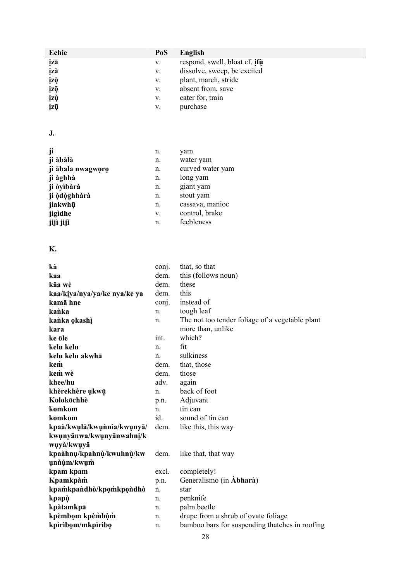| Echie                        | PoS   | <b>English</b>                                  |
|------------------------------|-------|-------------------------------------------------|
| įzā                          | V.    | respond, swell, bloat cf. ifu                   |
| įzà                          | V.    | dissolve, sweep, be excited                     |
| įzò                          | V.    | plant, march, stride                            |
| įzō                          | V.    | absent from, save                               |
| įzù                          | V.    | cater for, train                                |
| įzū                          | V.    | purchase                                        |
|                              |       |                                                 |
|                              |       |                                                 |
| J.                           |       |                                                 |
|                              |       |                                                 |
| ji                           | n.    | yam                                             |
| ji àbàlà                     | n.    | water yam                                       |
| ji ābala nwagworo            | n.    | curved water yam                                |
| ji àghhà                     | n.    | long yam                                        |
| ji òyìbàrà                   | n.    | giant yam                                       |
| ji òdòghhàrà                 | n.    | stout yam                                       |
| jiakwhū                      | n.    | cassava, manioc                                 |
| jigìdhe                      | V.    | control, brake                                  |
| jijì jijì                    | n.    | feebleness                                      |
|                              |       |                                                 |
| <b>K.</b>                    |       |                                                 |
| kà                           | conj. | that, so that                                   |
| kaa                          | dem.  | this (follows noun)                             |
| kāa wè                       | dem.  | these                                           |
| kaa/kiya/nya/ya/ke nya/ke ya | dem.  | this                                            |
| kamā hne                     | conj. | instead of                                      |
| kanka                        | n.    | tough leaf                                      |
| kanka okashi                 | n.    | The not too tender foliage of a vegetable plant |
| kara                         |       | more than, unlike                               |
| ke öle                       | int.  | which?                                          |
| kelu kelu                    | n.    | fit                                             |
| kelu kelu akwhā              | n.    | sulkiness                                       |
| kem                          | dem.  | that, those                                     |
| kem wè                       | dem.  | those                                           |
| khee/hu                      | adv.  | again                                           |
| khèrekhère ukwū              | n.    | back of foot                                    |
| Kolokōchhè                   | p.n.  | Adjuvant                                        |
| komkom                       | n.    | tin can                                         |
| komkom                       | id.   | sound of tin can                                |
| kpaà/kwulā/kwunnia/kwunyā/   | dem.  | like this, this way                             |
| kwunyānwa/kwunyānwahni/k     |       |                                                 |
| wụyà/kwụyā                   |       |                                                 |
| kpaàhnų/kpahnų/kwuhnų/kw     | dem.  | like that, that way                             |
| unnum/kwum                   |       |                                                 |

| excl. | completely!                                    |
|-------|------------------------------------------------|
| p.n.  | Generalismo (in Abharà)                        |
| n.    | star                                           |
| n.    | penknife                                       |
| n.    | palm beetle                                    |
| n.    | drupe from a shrub of ovate foliage            |
| n.    | bamboo bars for suspending thatches in roofing |
|       |                                                |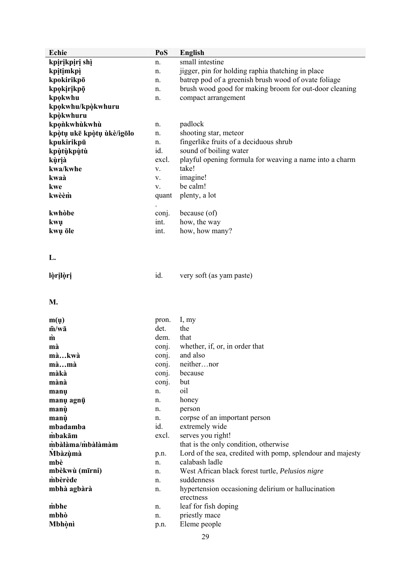| Echie                     | PoS   | <b>English</b>                                             |
|---------------------------|-------|------------------------------------------------------------|
| kpirikpiri shì            | n.    | small intestine                                            |
| kpitimkpi                 | n.    | jigger, pin for holding raphia thatching in place          |
| kpokirikpō                | n.    | batrep pod of a greenish brush wood of ovate foliage       |
| kpokirikpō                | n.    | brush wood good for making broom for out-door cleaning     |
| kpokwhu                   | n.    | compact arrangement                                        |
| kpokwhu/kpokwhuru         |       |                                                            |
| kpòkwhuru                 |       |                                                            |
| kponkwhùkwhù              | n.    | padlock                                                    |
| kpòtų ukē kpòtų ùkè/igōlo | n.    | shooting star, meteor                                      |
| kpukirikpū                | n.    | fingerlike fruits of a deciduous shrub                     |
| kpùtùkpùtù                | id.   | sound of boiling water                                     |
| kùrià                     | excl. | playful opening formula for weaving a name into a charm    |
| kwa/kwhe                  |       | take!                                                      |
|                           | V.    |                                                            |
| kwaà                      | V.    | imagine!                                                   |
| kwe                       | V.    | be calm!                                                   |
| kwèèm                     | quant | plenty, a lot                                              |
| kwhòbe                    | conj. | because (of)                                               |
|                           | int.  | how, the way                                               |
| kwu<br>kwų ōle            | int.  | how, how many?                                             |
|                           |       |                                                            |
|                           |       |                                                            |
| L.                        |       |                                                            |
|                           |       |                                                            |
| lòrilòri                  | id.   | very soft (as yam paste)                                   |
|                           |       |                                                            |
|                           |       |                                                            |
| M.                        |       |                                                            |
|                           |       |                                                            |
| m(u)                      | pron. | I, my                                                      |
| $\bar{m}/w\bar{a}$        | det.  | the                                                        |
| $\dot{\mathbf{m}}$        | dem.  | that                                                       |
| mà                        | conj. | whether, if, or, in order that                             |
| màkwà                     | conj. | and also                                                   |
| màmà                      | conj. | neithernor                                                 |
| màkà                      | conj. | because                                                    |
| mànà                      | conj. | but                                                        |
| manų                      | n.    | oil                                                        |
| manų agnų                 | n.    | honey                                                      |
| manù                      | n.    | person                                                     |
| manù                      | n.    | corpse of an important person                              |
| mbadamba                  | id.   | extremely wide                                             |
| mbakām                    | excl. | serves you right!                                          |
| mbàlàma/mbàlàmàm          |       | that is the only condition, otherwise                      |
| <b>Mbàzùmà</b>            | p.n.  | Lord of the sea, credited with pomp, splendour and majesty |
| mbè                       | n.    | calabash ladle                                             |
| mbèkwù (mīrni)            | n.    | West African black forest turtle, Pelusios nigre           |
| mbèrède                   | n.    | suddenness                                                 |
| mbhà agbàrà               | n.    | hypertension occasioning delirium or hallucination         |
|                           |       | erectness                                                  |
| mbhe                      | n.    | leaf for fish doping                                       |
| mbhò                      | n.    | priestly mace                                              |
| Mbhònì                    | p.n.  | Eleme people                                               |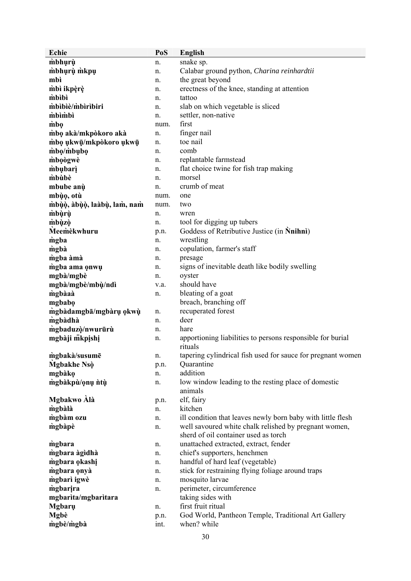| Echie                       | PoS  | <b>English</b>                                              |
|-----------------------------|------|-------------------------------------------------------------|
| mbhurù                      | n.   | snake sp.                                                   |
| mbhụrụ mkpụ                 | n.   | Calabar ground python, Charina reinhardtii                  |
| mbì                         | n.   | the great beyond                                            |
| mbì ikpèrè                  | n.   | erectness of the knee, standing at attention                |
| mbibi                       | n.   | tattoo                                                      |
| mbibiè/mbiribiri            | n.   | slab on which vegetable is sliced                           |
| mbimbi                      | n.   | settler, non-native                                         |
| mbo                         | num. | first                                                       |
| mbo akà/mkpòkoro akà        | n.   | finger nail                                                 |
| mbo ukwū/mkpòkoro ukwū      | n.   | toe nail                                                    |
| mbo/mbubo                   | n.   | comb                                                        |
| mboogwe                     | n.   | replantable farmstead                                       |
| <i>mbubari</i>              | n.   | flat choice twine for fish trap making                      |
| mbùbè                       | n.   | morsel                                                      |
| mbube anù                   | n.   | crumb of meat                                               |
| mbùo, otù                   | num. | one                                                         |
| mbùò, àbùò, laàbù, lam, nam | num. | two                                                         |
| mbùrù                       | n.   | wren                                                        |
| mbùzò                       | n.   | tool for digging up tubers                                  |
| Meemekwhuru                 | p.n. | Goddess of Retributive Justice (in Nnihni)                  |
| mgba                        | n.   | wrestling                                                   |
| mgbà                        | n.   | copulation, farmer's staff                                  |
| mgba àmà                    | n.   | presage                                                     |
| mgba ama onwu               | n.   | signs of inevitable death like bodily swelling              |
| mgbà/mgbè                   | n.   | oyster                                                      |
| mgbà/mgbè/mbù/ndì           | v.a. | should have                                                 |
| mgbàaà                      | n.   | bleating of a goat                                          |
| mgbabo                      |      | breach, branching off                                       |
| mgbàdamgbā/mgbàrụ okwù      | n.   | recuperated forest                                          |
| mgbàdhà                     | n.   | deer                                                        |
| mgbaduzò/nwurūrù            | n.   | hare                                                        |
| mgbàji mkpishi              | n.   | apportioning liabilities to persons responsible for burial  |
|                             |      | rituals                                                     |
| mgbakà/susumē               | n    | tapering cylindrical fish used for sauce for pregnant women |
| Mgbakhe Nsò                 | p.n. | Quarantine<br>addition                                      |
| mgbàkọ                      | n.   | low window leading to the resting place of domestic         |
| mgbàkpù/ọnụ ntụ             | n.   | animals                                                     |
| Mgbakwo Alà                 | p.n. | elf, fairy                                                  |
| mgbàlà                      | n.   | kitchen                                                     |
| mgbàm ozu                   | n.   | ill condition that leaves newly born baby with little flesh |
| mgbàpè                      | n.   | well savoured white chalk relished by pregnant women,       |
|                             |      | sherd of oil container used as torch                        |
| mgbara                      | n.   | unattached extracted, extract, fender                       |
| mgbara àgìdhà               | n.   | chief's supporters, henchmen                                |
| mgbara okashi               | n.   | handful of hard leaf (vegetable)                            |
| mgbara onyà                 | n.   | stick for restraining flying foliage around traps           |
| mgbari igwè                 | n.   | mosquito larvae                                             |
| mgbarira                    | n.   | perimeter, circumference                                    |
| mgbarita/mgbaritara         |      | taking sides with                                           |
| <b>Mgbaru</b>               | n.   | first fruit ritual                                          |
| <b>Mgbè</b>                 | p.n. | God World, Pantheon Temple, Traditional Art Gallery         |
| mgbè/mgbà                   | int. | when? while                                                 |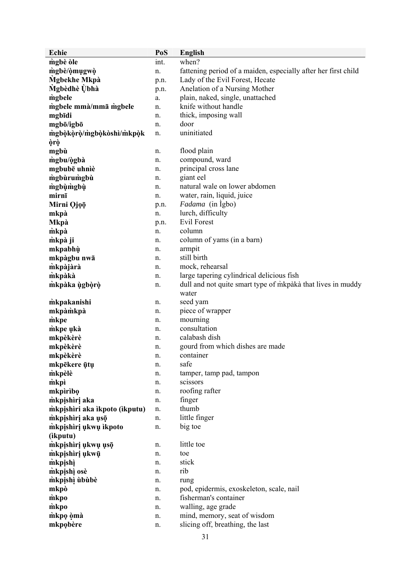| <b>Echie</b>                  | PoS  | <b>English</b>                                                 |
|-------------------------------|------|----------------------------------------------------------------|
| mgbè òle                      | int. | when?                                                          |
| mgbè/òmugwò                   | n.   | fattening period of a maiden, especially after her first child |
| Mgbekhe Mkpà                  | p.n. | Lady of the Evil Forest, Hecate                                |
| Mgbèdhè Ùbhà                  | p.n. | Anelation of a Nursing Mother                                  |
| mgbele                        | a.   | plain, naked, single, unattached                               |
| mgbele mmà/mmā mgbele         | n.   | knife without handle                                           |
| mgbīdi                        | n.   | thick, imposing wall                                           |
| mgbō/igbō                     | n.   | door                                                           |
| mgbòkòrò/mgbòkòshì/mkpòk      | n.   | uninitiated                                                    |
| òrò                           |      |                                                                |
| mgbù                          | n.   | flood plain                                                    |
| mgbu/ògbà                     | n.   | compound, ward                                                 |
| mgbubē uhniè                  | n.   | principal cross lane                                           |
| mgbùrumgbù                    | n.   | giant eel                                                      |
| mgbùmgbù                      | n.   | natural wale on lower abdomen                                  |
| mirnī                         | n.   | water, rain, liquid, juice                                     |
| Mirni Qjọō                    |      | <i>Fadama</i> (in Igbo)                                        |
|                               | p.n. | lurch, difficulty                                              |
| mkpà                          | n.   | <b>Evil Forest</b>                                             |
| <b>Mkpà</b>                   | p.n. |                                                                |
| mkpà                          | n.   | column                                                         |
| mkpà ji                       | n.   | column of yams (in a barn)                                     |
| mkpabhù                       | n.   | armpit                                                         |
| mkpàgbu nwā                   | n.   | still birth                                                    |
| mkpàjàrà                      | n.   | mock, rehearsal                                                |
| mkpàkà                        | n.   | large tapering cylindrical delicious fish                      |
| mkpàka ùgbòrò                 | n.   | dull and not quite smart type of mkpaka that lives in muddy    |
|                               |      | water                                                          |
| mkpakanishi                   | n.   | seed yam                                                       |
| mkpàmkpà                      | n.   | piece of wrapper                                               |
| mkpe                          | n.   | mourning                                                       |
| mkpe ukà                      | n.   | consultation                                                   |
| mkpèkèrè                      | n.   | calabash dish                                                  |
| mkpèkèrè                      | n.   | gourd from which dishes are made                               |
| mkpèkèrè                      | n.   | container                                                      |
| mkpēkere ūtu                  | n.   | safe                                                           |
| mkpèlè                        | n.   | tamper, tamp pad, tampon                                       |
| mkpi                          | n.   | scissors                                                       |
| mkpìrìbo                      | n.   | roofing rafter                                                 |
| mkpishiri aka                 | n.   | finger                                                         |
| mkpishiri aka ikpoto (ikputu) | n.   | thumb                                                          |
| mkpishiri aka usō             | n.   | little finger                                                  |
| mkpįshirį ukwų ikpoto         | n.   | big toe                                                        |
| (ikputu)                      |      |                                                                |
| mkpishiri ukwu uso            | n.   | little toe                                                     |
| mkpishiri ukwū                | n.   | toe                                                            |
| mkpishi                       | n.   | stick                                                          |
| mkpishì osè                   | n.   | rib                                                            |
| mkpishi ububè                 | n.   | rung                                                           |
| mkpò                          | n.   | pod, epidermis, exoskeleton, scale, nail                       |
| mkpo                          | n.   | fisherman's container                                          |
| mkpo                          | n.   | walling, age grade                                             |
| mkpo òmà                      | n.   | mind, memory, seat of wisdom                                   |
| mkpobère                      | n.   | slicing off, breathing, the last                               |
|                               |      |                                                                |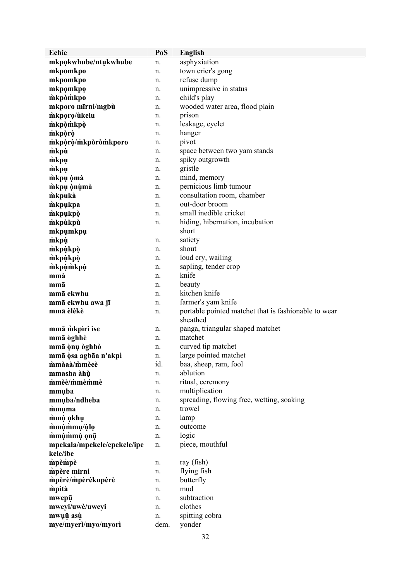| Echie                       | PoS  | <b>English</b>                                       |
|-----------------------------|------|------------------------------------------------------|
| mkpokwhube/ntukwhube        | n.   | asphyxiation                                         |
| mkpomkpo                    | n.   | town crier's gong                                    |
| mkpomkpo                    | n.   | refuse dump                                          |
| mkpomkpo                    | n.   | unimpressive in status                               |
| mkpomkpo                    | n.   | child's play                                         |
| mkporo mīrni/mgbù           | n.   | wooded water area, flood plain                       |
| mkporo/ùkelu                | n.   | prison                                               |
| mkpòmkpò                    | n.   | leakage, eyelet                                      |
| mkpòrò                      | n.   | hanger                                               |
| mkporo/mkporomkporo         | n.   | pivot                                                |
| mkpù                        | n.   | space between two yam stands                         |
| mkpu                        | n.   | spiky outgrowth                                      |
| mkpu                        | n.   | gristle                                              |
| mkpų òmà                    | n.   | mind, memory                                         |
| mkpų onuma                  | n.   | pernicious limb tumour                               |
| mkpuka                      | n.   | consultation room, chamber                           |
| mkpukpa                     | n.   | out-door broom                                       |
| mkpukpò                     | n.   | small inedible cricket                               |
| mkpùkpù                     | n.   | hiding, hibernation, incubation                      |
| mkpumkpu                    |      | short                                                |
| mkpù                        | n.   | satiety                                              |
| mkpùkpò                     | n.   | shout                                                |
| mkpùkpò                     | n.   | loud cry, wailing                                    |
| mkpùmkpù                    | n.   | sapling, tender crop                                 |
| mmà                         | n.   | knife                                                |
| mmā                         | n.   | beauty                                               |
| mmā ekwhu                   | n.   | kitchen knife                                        |
| mmā ekwhu awa jī            | n.   | farmer's yam knife                                   |
| mmā èlèkè                   | n.   | portable pointed matchet that is fashionable to wear |
|                             |      | sheathed                                             |
| mmā mkpiri ise              | n.   | panga, triangular shaped matchet                     |
| mmā òghhè                   | n.   | matchet                                              |
| mmā ònụ òghhò               | n.   | curved tip matchet                                   |
| mmā ģsa agbāa n'akpì        | n.   | large pointed matchet                                |
| mmàaà/mmèeè                 | id.  | baa, sheep, ram, fool                                |
| mmasha àhù                  | n.   | ablution                                             |
| mmèè/mmèmmè                 | n.   | ritual, ceremony                                     |
| mmuba                       | n.   | multiplication                                       |
| mmuba/ndheba                | n.   | spreading, flowing free, wetting, soaking            |
| mmuma                       | n.   | trowel                                               |
| mmù okhu                    | n.   | lamp                                                 |
| mmùmmu/ùlo                  | n.   | outcome                                              |
| mmùmmù onū                  | n.   | logic                                                |
| mpekala/mpekele/epekele/ipe | n.   | piece, mouthful                                      |
| kele/ibe                    |      |                                                      |
| mpèmpè                      | n.   | ray (fish)                                           |
| mpère mirni                 | n.   | flying fish                                          |
| mpèrè/mpèrèkupèrè           | n.   | butterfly                                            |
| mpità                       | n.   | mud                                                  |
| mwepū                       | n.   | subtraction                                          |
| mweyi/uwè/uweyi             | n.   | clothes                                              |
| mwuū asù                    | n.   | spitting cobra                                       |
| mye/myerì/myo/myorì         | dem. | yonder                                               |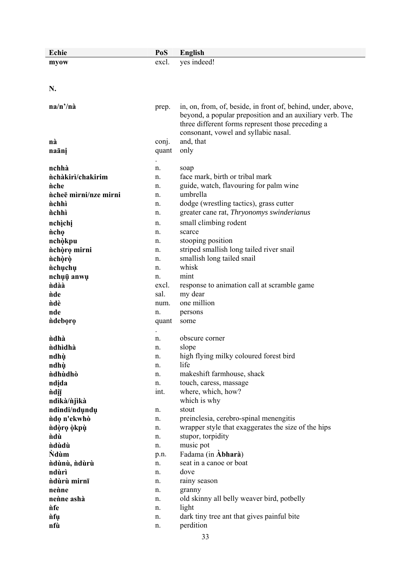| Echie                 | PoS        | <b>English</b>                                               |
|-----------------------|------------|--------------------------------------------------------------|
| myow                  | excl.      | yes indeed!                                                  |
|                       |            |                                                              |
|                       |            |                                                              |
| N.                    |            |                                                              |
|                       |            |                                                              |
| na/n'/nà              | prep.      | in, on, from, of, beside, in front of, behind, under, above, |
|                       |            | beyond, a popular preposition and an auxiliary verb. The     |
|                       |            | three different forms represent those preceding a            |
|                       |            | consonant, vowel and syllabic nasal.                         |
| nà                    | conj.      | and, that                                                    |
| naāni                 | quant      | only                                                         |
| nchhà                 |            |                                                              |
| nchàkirì/chakirim     | n.<br>n.   | soap<br>face mark, birth or tribal mark                      |
| <i>nche</i>           | n.         | guide, watch, flavouring for palm wine                       |
| ncheē mìrni/nze mirni | n.         | umbrella                                                     |
| <i>nchhì</i>          | n.         | dodge (wrestling tactics), grass cutter                      |
| <i>nchhì</i>          | n.         | greater cane rat, Thryonomys swinderianus                    |
| nchịchị               | n.         | small climbing rodent                                        |
| <i>ncho</i>           | n.         | scarce                                                       |
| nchòkpu               | n.         | stooping position                                            |
| nchòro mirni          | n.         | striped smallish long tailed river snail                     |
| nchọrọ                | n.         | smallish long tailed snail                                   |
| nchụchụ               | n.         | whisk                                                        |
| nchụụ anwụ            | n.         | mint                                                         |
| ndàà                  | excl.      | response to animation call at scramble game                  |
| <b>nde</b>            | sal.       | my dear                                                      |
| ndè                   | num.       | one million                                                  |
| nde                   | n.         | persons                                                      |
| ndeboro               | quant      | some                                                         |
|                       |            |                                                              |
| <i>ndhà</i>           | n.         | obscure corner                                               |
| ndhìdhà               | n.         | slope                                                        |
| ndhù                  | n.         | high flying milky coloured forest bird                       |
| ndhù                  | n.         | life                                                         |
| ndhùdhò               | n.         | makeshift farmhouse, shack                                   |
| ndida                 | n.<br>int. | touch, caress, massage<br>where, which, how?                 |
| ndiī<br>ndìkà/njìkà   |            | which is why                                                 |
| ndindi/ndundu         | n.         | stout                                                        |
| ndo n'ekwhò           | n.         | preinclesia, cerebro-spinal menengitis                       |
| ndòrọ òkpù            | n.         | wrapper style that exaggerates the size of the hips          |
| <i>ndù</i>            | n.         | stupor, torpidity                                            |
| <i>ndùdù</i>          | n.         | music pot                                                    |
| <b>N</b> dum          | p.n.       | Fadama (in Abharà)                                           |
| ndùnù, ndùrù          | n.         | seat in a canoe or boat                                      |
| ndùrì                 | n.         | dove                                                         |
| ndùrù mirnī           | n.         | rainy season                                                 |
| nenne                 | n.         | granny                                                       |
| nenne ashà            | n.         | old skinny all belly weaver bird, potbelly                   |
| <i>nfe</i>            | n.         | light                                                        |
| <i>nfu</i>            | n.         | dark tiny tree ant that gives painful bite                   |
| nfù                   | n.         | perdition                                                    |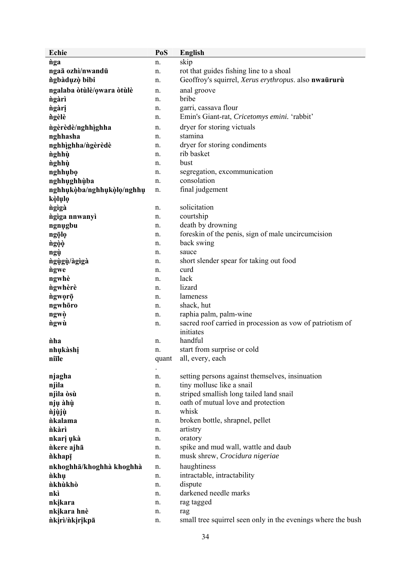| Echie                     | PoS   | <b>English</b>                                                         |
|---------------------------|-------|------------------------------------------------------------------------|
| nga                       | n.    | skip                                                                   |
| ngaā ozhì/nwandū          | n.    | rot that guides fishing line to a shoal                                |
| ngbàdụzò bibi             | n.    | Geoffroy's squirrel, Xerus erythropus. also nwaūrurù                   |
| ngalaba òtùlè/owara òtùlè | n.    | anal groove                                                            |
| ngàrì                     | n.    | bribe                                                                  |
| ngàri                     | n.    | garri, cassava flour                                                   |
| ngèlè                     | n.    | Emin's Giant-rat, Cricetomys emini. 'rabbit'                           |
| ngèrèdè/nghhìghha         | n.    | dryer for storing victuals                                             |
| nghhasha                  | n.    | stamina                                                                |
| nghhìghha/ngèrèdè         | n.    | dryer for storing condiments                                           |
| nghhù                     | n.    | rib basket                                                             |
| nghhù                     | n.    | bust                                                                   |
| nghhubo                   | n.    | segregation, excommunication                                           |
| nghhughhùba               | n.    | consolation                                                            |
| nghhukòba/nghhukòlo/nghhu | n.    | final judgement                                                        |
| kòlụlọ                    |       |                                                                        |
| ngigà                     | n.    | solicitation                                                           |
| ngiga nnwanyi             | n.    | courtship                                                              |
| ngnugbu                   | n.    | death by drowning                                                      |
| ngọlọ                     | n.    | foreskin of the penis, sign of male uncircumcision                     |
| ngọọ                      | n.    | back swing                                                             |
| ngù                       | n.    | sauce                                                                  |
| ngùgù/àgìgà               | n.    | short slender spear for taking out food                                |
| ngwe                      | n.    | curd                                                                   |
| ngwhè                     | n.    | lack                                                                   |
| ngwhèrè                   | n.    | lizard                                                                 |
| ngwọrō                    | n.    | lameness                                                               |
| ngwhōro                   | n.    | shack, hut                                                             |
| ngwò                      | n.    | raphia palm, palm-wine                                                 |
| ngwù                      | n.    | sacred roof carried in procession as vow of patriotism of<br>initiates |
| <i>iha</i>                | n.    | handful                                                                |
| nhụkàshị                  | n.    | start from surprise or cold                                            |
| niile                     | quant | all, every, each                                                       |
|                           |       |                                                                        |
| njagha                    | n.    | setting persons against themselves, insinuation                        |
| njìla                     | n.    | tiny mollusc like a snail                                              |
| njìla òsù                 | n.    | striped smallish long tailed land snail                                |
| njų àhù                   | n.    | oath of mutual love and protection                                     |
| <i>njùjù</i>              | n.    | whisk                                                                  |
| <i>nkalama</i>            | n.    | broken bottle, shrapnel, pellet                                        |
| <i>nkàrì</i>              | n.    | artistry                                                               |
| nkarį ųkà                 | n.    | oratory                                                                |
| nkere ajhā                | n.    | spike and mud wall, wattle and daub                                    |
| nkhapī                    | n.    | musk shrew, Crocidura nigeriae                                         |
| nkhoghhā/khoghhà khoghhà  | n.    | haughtiness                                                            |
| <i>nkhu</i>               | n.    | intractable, intractability                                            |
| nkhùkhò                   | n.    | dispute                                                                |
| nkì                       | n.    | darkened needle marks                                                  |
| nkikara                   | n.    | rag tagged                                                             |
| nkikara hnè               | n.    | rag                                                                    |
| nkiri/nkirikpā            | n.    | small tree squirrel seen only in the evenings where the bush           |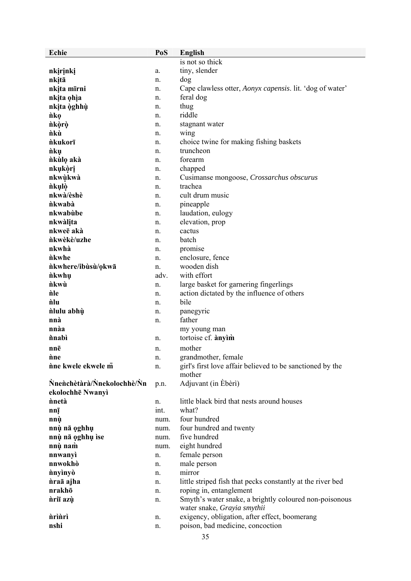| <b>Echie</b>               | PoS  | English                                                             |
|----------------------------|------|---------------------------------------------------------------------|
|                            |      | is not so thick                                                     |
| nkirinki                   | a.   | tiny, slender                                                       |
| nkitā                      | n.   | dog                                                                 |
| nkita mīrni                | n.   | Cape clawless otter, <i>Aonyx capensis</i> . lit. 'dog of water'    |
| nkita ohia                 | n.   | feral dog                                                           |
| nkita òghhù                | n.   | thug                                                                |
| <i>nko</i>                 | n.   | riddle                                                              |
| ñkòrò                      | n.   | stagnant water                                                      |
| ñkù                        | n.   | wing                                                                |
| <i>nkukorī</i>             | n.   | choice twine for making fishing baskets                             |
| <i>nkų</i>                 |      | truncheon                                                           |
|                            | n.   | forearm                                                             |
| nkulo aka                  | n.   |                                                                     |
| nkukòri                    | n.   | chapped                                                             |
| nkwùkwà                    | n.   | Cusimanse mongoose, Crossarchus obscurus                            |
| nkulò                      | n.   | trachea                                                             |
| nkwà/èshè                  | n.   | cult drum music                                                     |
| nkwabà                     | n.   | pineapple                                                           |
| nkwabùbe                   | n.   | laudation, eulogy                                                   |
| nkwàlita                   | n.   | elevation, prop                                                     |
| nkweē akà                  | n.   | cactus                                                              |
| <i>nkwèkè/uzhe</i>         | n.   | batch                                                               |
| nkwhà                      | n.   | promise                                                             |
| <i>nkwhe</i>               | n.   | enclosure, fence                                                    |
| nkwhere/ibùsù/okwā         | n.   | wooden dish                                                         |
| <i>nkwhu</i>               | adv. | with effort                                                         |
| <i>nkwù</i>                | n.   | large basket for garnering fingerlings                              |
| nle                        | n.   | action dictated by the influence of others                          |
| nlu                        | n.   | bile                                                                |
| nlulu abhù                 | n.   | panegyric                                                           |
| nnà                        | n.   | father                                                              |
| nnàa                       |      | my young man                                                        |
| <i>i</i> nabi              | n.   | tortoise cf. anyim                                                  |
|                            |      | mother                                                              |
| nnē<br>ñne                 | n.   |                                                                     |
|                            | n.   | grandmother, female                                                 |
| nne kwele ekwele m         | n.   | girl's first love affair believed to be sanctioned by the<br>mother |
| Nnenchetara/Nnekolochhe/Nn | p.n. | Adjuvant (in Ebèri)                                                 |
| ekolochhē Nwanyì           |      |                                                                     |
| nnetà                      | n.   | little black bird that nests around houses                          |
| nnį                        | int. | what?                                                               |
| nnù                        | num. | four hundred                                                        |
| nnù nā oghhụ               | num. | four hundred and twenty                                             |
| nnù nā oghhụ ìse           | num. | five hundred                                                        |
| nnù nam                    | num. | eight hundred                                                       |
| nnwanyì                    | n.   | female person                                                       |
| nnwokhò                    | n.   | male person                                                         |
| nnyinyò                    | n.   | mirror                                                              |
| nraā ajha                  | n.   | little striped fish that pecks constantly at the river bed          |
| nrakhō                     | n.   | roping in, entanglement                                             |
| nriī azù                   | n.   | Smyth's water snake, a brightly coloured non-poisonous              |
|                            |      | water snake, Grayia smythii                                         |
| <i>nrìnrì</i>              | n.   | exigency, obligation, after effect, boomerang                       |
| nshi                       | n.   | poison, bad medicine, concoction                                    |
|                            |      |                                                                     |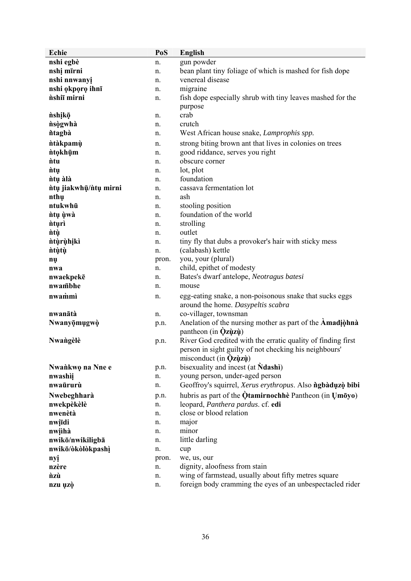| Echie                 | PoS   | <b>English</b>                                                  |
|-----------------------|-------|-----------------------------------------------------------------|
| nshi egbè             | n.    | gun powder                                                      |
| nshị mīrni            | n.    | bean plant tiny foliage of which is mashed for fish dope        |
| nshi nnwanyi          | n.    | venereal disease                                                |
| nshi okporo ihnī      | n.    | migraine                                                        |
| nshiī mirni           | n.    | fish dope especially shrub with tiny leaves mashed for the      |
|                       |       | purpose                                                         |
| nshikō                | n.    | crab                                                            |
| nsogwhà               | n.    | crutch                                                          |
| ntagbà                | n.    | West African house snake, Lamprophis spp.                       |
| <i>ntakpamu</i>       | n.    | strong biting brown ant that lives in colonies on trees         |
| <i>n</i> tokhūm       | n.    | good riddance, serves you right                                 |
| <i>ntu</i>            | n.    | obscure corner                                                  |
| <i>ntu</i>            | n.    | lot, plot                                                       |
| ntų àlà               | n.    | foundation                                                      |
| ntų jiakwhų/ntų mirni | n.    | cassava fermentation lot                                        |
| nthụ                  | n.    | ash                                                             |
| ntukwhū               | n.    | stooling position                                               |
| ntų ùwà               | n.    | foundation of the world                                         |
| <i>nturi</i>          | n.    | strolling                                                       |
| <i>ntų</i>            | n.    | outlet                                                          |
| <i>ntùrùhikì</i>      | n.    | tiny fly that dubs a provoker's hair with sticky mess           |
| <i>ntùtù</i>          | n.    | (calabash) kettle                                               |
| nų                    | pron. | you, your (plural)                                              |
| nwa                   | n.    | child, epithet of modesty                                       |
| nwaekpekē             | n.    | Bates's dwarf antelope, Neotragus batesi                        |
| nwambhe               | n.    | mouse                                                           |
| nwammi                | n.    | egg-eating snake, a non-poisonous snake that sucks eggs         |
|                       |       | around the home. Dasypeltis scabra                              |
| nwanātà               | n.    | co-villager, townsman                                           |
| Nwanyōmugwò           | p.n.  | Anelation of the nursing mother as part of the Amadional        |
|                       |       | pantheon (in $\dot{Q}z\dot{u}z\dot{u}$ )                        |
| Nwangèlè              | p.n.  | River God credited with the erratic quality of finding first    |
|                       |       | person in sight guilty of not checking his neighbours'          |
|                       |       | misconduct (in $\dot{Q}z\dot{q}z\dot{q}$ )                      |
| Nwankwo na Nne e      | p.n.  | bisexuality and incest (at <b>Ndashi</b> )                      |
| nwashii               | n.    | young person, under-aged person                                 |
| nwaūrurù              | n.    | Geoffroy's squirrel, Xerus erythropus. Also ngbàduzò bibi       |
| Nwebeghharà           | p.n.  | hubris as part of the $\dot{Q}$ tamirnochhè Pantheon (in Umōyo) |
| nwekpèkèlè            | n.    | leopard, Panthera pardus. cf. edi                               |
| nwenètà               | n.    | close or blood relation                                         |
| nwiīdi                | n.    | major                                                           |
| nwihà                 | n.    | minor                                                           |
| nwikō/nwikiligbā      | n.    | little darling                                                  |
| nwikō/òkòlòkpashì     | n.    | cup                                                             |
| nyi                   | pron. | we, us, our                                                     |
| nzère                 | n.    | dignity, aloofness from stain                                   |
| ñzù                   | n.    | wing of farmstead, usually about fifty metres square            |
| nzu uzò               | n.    | foreign body cramming the eyes of an unbespectacled rider       |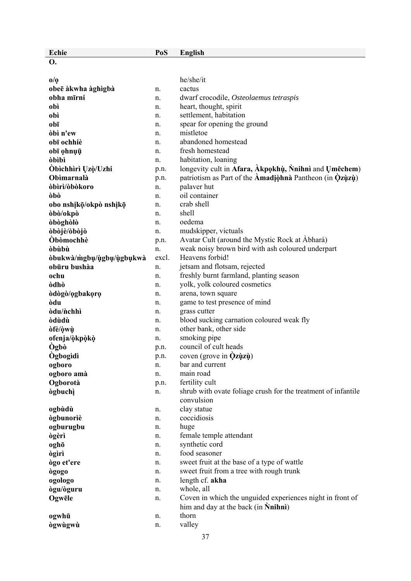| Echie                      | PoS        | <b>English</b>                                                                                   |
|----------------------------|------------|--------------------------------------------------------------------------------------------------|
| <b>O.</b>                  |            |                                                                                                  |
|                            |            |                                                                                                  |
| $\mathbf{0}/\mathbf{0}$    |            | he/she/it                                                                                        |
| obeē àkwha àghìgbà         | n.         | cactus                                                                                           |
| obha mīrni                 | n.         | dwarf crocodile, Osteolaemus tetraspis                                                           |
| obì                        | n.         | heart, thought, spirit                                                                           |
| obì                        | n.         | settlement, habitation                                                                           |
| obī                        | n.         | spear for opening the ground                                                                     |
| òbì n'ew                   | n.         | mistletoe                                                                                        |
| obī ochhiè                 | n.         | abandoned homestead                                                                              |
| obī ohnuū                  | n.         | fresh homestead                                                                                  |
| <b>obibi</b>               | n.         | habitation, loaning                                                                              |
| Öbichhiri Uzò/Uzhi         | p.n.       | longevity cult in Afara, Akpokhù, Nnihnì and Umechem)                                            |
| Obìmarnalà                 | p.n.       | patriotism as Part of the Amadional Pantheon (in $\dot{Q}$ zùzù)                                 |
| òbìrì/òbòkoro              | n.         | palaver hut                                                                                      |
| òbò                        | n.         | oil container                                                                                    |
| obo nshikō/okpò nshikō     | n.         | crab shell                                                                                       |
| òbò/okpò                   | n.         | shell<br>oedema                                                                                  |
| òbòghòlò<br>òbòjè/òbòjò    | n.         |                                                                                                  |
| <b>Obomochhè</b>           | n.         | mudskipper, victuals<br>Avatar Cult (around the Mystic Rock at Abhara)                           |
| <b>obubu</b>               | p.n.<br>n. | weak noisy brown bird with ash coloured underpart                                                |
| òbukwà/mgbu/uุgbu/uุgbukwa | excl.      | Heavens forbid!                                                                                  |
| obūru bushàa               | n.         | jetsam and flotsam, rejected                                                                     |
| ochu                       | n.         | freshly burnt farmland, planting season                                                          |
| òdhò                       | n.         | yolk, yolk coloured cosmetics                                                                    |
| òdògò/ogbakoro             | n.         | arena, town square                                                                               |
| òdu                        | n.         | game to test presence of mind                                                                    |
| òdu/ <i>n</i> chhì         | n.         | grass cutter                                                                                     |
| <b>odudu</b>               | n.         | blood sucking carnation coloured weak fly                                                        |
| òfè/òwù                    | n.         | other bank, other side                                                                           |
| ofenja/òkpòkò              | n.         | smoking pipe                                                                                     |
| Ògbò                       | p.n.       | council of cult heads                                                                            |
| <b>Ogbogidi</b>            | p.n.       | coven (grove in $Qz\psi z\psi$ )                                                                 |
| ogboro                     | n.         | bar and current                                                                                  |
| ogboro amà                 | n.         | main road                                                                                        |
| Ogborotà                   | p.n.       | fertility cult                                                                                   |
| <b>ògbuch</b>              | n.         | shrub with ovate foliage crush for the treatment of infantile                                    |
|                            |            | convulsion                                                                                       |
| ogbùdù                     | n.         | clay statue                                                                                      |
| <b>ògbunoriè</b>           | n.         | coccidiosis                                                                                      |
| ogburugbu                  | n.         | huge                                                                                             |
| <b>ògèrì</b>               | n.         | female temple attendant                                                                          |
| oghō                       | n.         | synthetic cord                                                                                   |
| <b>ògìrì</b>               | n.         | food seasoner                                                                                    |
| ògo et'ere                 | n.         | sweet fruit at the base of a type of wattle                                                      |
| <b>ògogo</b>               | n.         | sweet fruit from a tree with rough trunk                                                         |
| ogologo                    | n.         | length cf. akha                                                                                  |
| ògu/òguru                  | n.         | whole, all                                                                                       |
| Ogwēle                     | n.         | Coven in which the unguided experiences night in front of<br>him and day at the back (in Nnihni) |
| ogwhū                      | n.         | thorn                                                                                            |
| <b>ògwùgwù</b>             | n.         | valley                                                                                           |
|                            |            |                                                                                                  |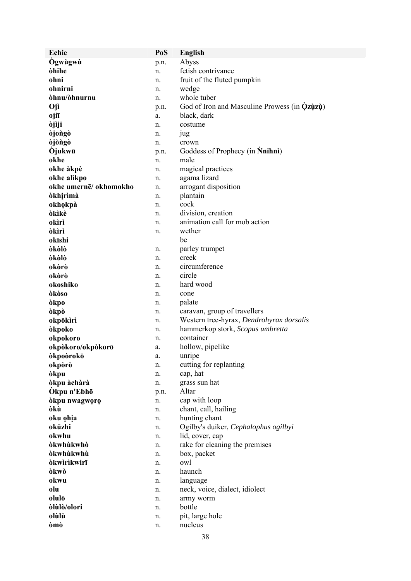| Echie                 | PoS  | <b>English</b>                                       |
|-----------------------|------|------------------------------------------------------|
| Ogwùgwù               | p.n. | Abyss                                                |
| òhihe                 | n.   | fetish contrivance                                   |
| ohni                  | n.   | fruit of the fluted pumpkin                          |
| ohnirni               | n.   | wedge                                                |
| òhnu/òhnurnu          | n.   | whole tuber                                          |
| Ojì                   | p.n. | God of Iron and Masculine Prowess (in <b>Qzuzu</b> ) |
| ojiī                  | a.   | black, dark                                          |
| òjìji                 | n.   | costume                                              |
| òjongò                | n.   | jug                                                  |
| <b>ojongo</b>         | n.   | crown                                                |
| Òjukwū                | p.n. | Goddess of Prophecy (in Nnihni)                      |
| okhe                  | n.   | male                                                 |
| okhe àkpè             | n.   | magical practices                                    |
| okhe alikpo           | n.   | agama lizard                                         |
| okhe umernē/okhomokho | n.   | arrogant disposition                                 |
| òkhịrìmà              | n.   | plantain                                             |
| okhokpà               | n.   | cock                                                 |
| òkìkè                 | n.   | division, creation                                   |
| okìrì                 |      | animation call for mob action                        |
| òkìrì                 | n.   | wether                                               |
|                       | n.   |                                                      |
| okīshi                |      | be                                                   |
| òkòlò                 | n.   | parley trumpet                                       |
| òkòlò                 | n.   | creek                                                |
| okòrò                 | n.   | circumference                                        |
| okòrò                 | n.   | circle                                               |
| okoshiko              | n.   | hard wood                                            |
| òkòso                 | n.   | cone                                                 |
| òkpo                  | n.   | palate                                               |
| òkpò                  | n.   | caravan, group of travellers                         |
| okpōkìrì              | n.   | Western tree-hyrax, Dendrohyrax dorsalis             |
| òkpoko                | n.   | hammerkop stork, Scopus umbretta                     |
| okpokoro              | n.   | container                                            |
| okpòkoro/okpòkorō     | a.   | hollow, pipelike                                     |
| dkpodrokō             | a.   | unripe                                               |
| okpòrò                | n.   | cutting for replanting                               |
| òkpu                  | n.   | cap, hat                                             |
| òkpu àchàrà           | n.   | grass sun hat                                        |
| Ókpu n'Ebhō           | p.n. | Altar                                                |
| òkpu nwagworo         | n.   | cap with loop                                        |
| òkù                   | n.   | chant, call, hailing                                 |
| oku ohja              | n.   | hunting chant                                        |
| okūzhi                | n.   | Ogilby's duiker, Cephalophus ogilbyi                 |
| okwhu                 | n.   | lid, cover, cap                                      |
| òkwhùkwhò             | n.   | rake for cleaning the premises                       |
| òkwhùkwhù             | n.   | box, packet                                          |
| <b>òkwirikwirī</b>    | n.   | owl                                                  |
| òkwò                  | n.   | haunch                                               |
| okwu                  | n.   | language                                             |
| olu                   | n.   | neck, voice, dialect, idiolect                       |
| olulō                 | n.   | army worm                                            |
| òlùlò/olori           | n.   | bottle                                               |
| olùlù                 | n.   | pit, large hole                                      |
| òmò                   | n.   | nucleus                                              |
|                       |      |                                                      |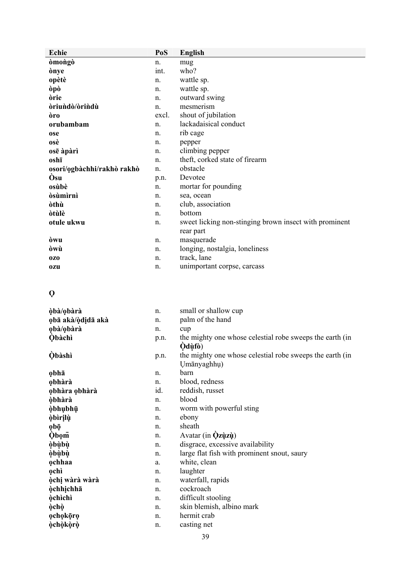| Echie                      | PoS         | <b>English</b>                                         |
|----------------------------|-------------|--------------------------------------------------------|
| <b>omongo</b>              | n.          | mug                                                    |
| ònye                       | int.        | who?                                                   |
| opètè                      | n.          | wattle sp.                                             |
| òpò                        | n.          | wattle sp.                                             |
| òrie                       | n.          | outward swing                                          |
| driundo/drindu             | $n_{\cdot}$ | mesmerism                                              |
| òro                        | excl.       | shout of jubilation                                    |
| orubambam                  | n.          | lackadaisical conduct                                  |
| ose                        | n.          | rib cage                                               |
| osè                        | n.          | pepper                                                 |
| osē àpàrì                  | n.          | climbing pepper                                        |
| oshī                       | n.          | theft, corked state of firearm                         |
| osori/ogbàchhi/rakhò rakhò | n.          | obstacle                                               |
| Òsu                        | p.n.        | Devotee                                                |
| osùbè                      | n.          | mortar for pounding                                    |
| òsùmìrnì                   | n.          | sea, ocean                                             |
| òthù                       | n.          | club, association                                      |
| òtùlè                      | n.          | bottom                                                 |
| otule ukwu                 | n.          | sweet licking non-stinging brown insect with prominent |
|                            |             | rear part                                              |
| òwu                        | n.          | masquerade                                             |
| òwù                        | n.          | longing, nostalgia, loneliness                         |
| 0Z <sub>0</sub>            | n.          | track, lane                                            |
| <b>ozu</b>                 | n.          | unimportant corpse, carcass                            |

### **Ọ**

| òbà/obàrà         | n.          | small or shallow cup                                     |
|-------------------|-------------|----------------------------------------------------------|
| obā akà/òdidā akà | n.          | palm of the hand                                         |
| obà/obàrà         | n.          | cup                                                      |
| <b>Obàchì</b>     | p.n.        | the mighty one whose celestial robe sweeps the earth (in |
|                   |             | Òdùfò)                                                   |
| <b>Obàshì</b>     | p.n.        | the mighty one whose celestial robe sweeps the earth (in |
|                   |             | Umānyaghhu)                                              |
| obhā              | n.          | barn                                                     |
| obhàrà            | n.          | blood, redness                                           |
| obhàra obhàrà     | id.         | reddish, russet                                          |
| <b>òbhàrà</b>     | n.          | blood                                                    |
| <b>òbhubhū</b>    | n.          | worm with powerful sting                                 |
| <b>òbìrilù</b>    | n.          | ebony                                                    |
| obō               | $n_{\cdot}$ | sheath                                                   |
| <b>Obom</b>       | n.          | Avatar (in <b>Qzùzù</b> )                                |
| <i>obùbù</i>      | n.          | disgrace, excessive availability                         |
| òbùbù             | n.          | large flat fish with prominent snout, saury              |
| ochhaa            | a.          | white, clean                                             |
| ochì              | n.          | laughter                                                 |
| òchị wàrà wàrà    | n.          | waterfall, rapids                                        |
| <b>òchhichhā</b>  | n.          | cockroach                                                |
| <b>òchìchì</b>    | n.          | difficult stooling                                       |
| <b>òchò</b>       | n.          | skin blemish, albino mark                                |
| ochokōro          | n.          | hermit crab                                              |
| <b>òchòkòrò</b>   | n.          | casting net                                              |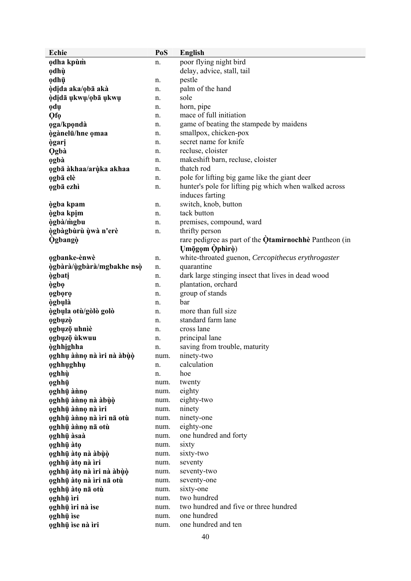| <b>Echie</b>                                  | PoS          | <b>English</b>                                                |
|-----------------------------------------------|--------------|---------------------------------------------------------------|
| odha kpùm                                     | n.           | poor flying night bird                                        |
| odhù                                          |              | delay, advice, stall, tail                                    |
| odhū                                          | n.           | pestle                                                        |
| òdida aka/obā akà                             | n.           | palm of the hand                                              |
| òdidā ukwu/obā ukwu                           | n.           | sole                                                          |
| odų                                           | n.           | horn, pipe                                                    |
| Qf <sub>0</sub>                               | n.           | mace of full initiation                                       |
| oga/kpondà                                    | n.           | game of beating the stampede by maidens                       |
| ògànelū/hne omaa                              | n.           | smallpox, chicken-pox                                         |
| <b>ògari</b>                                  | n.           | secret name for knife                                         |
| <b>Ogbà</b>                                   | n.           | recluse, cloister                                             |
| ogbà                                          | n.           | makeshift barn, recluse, cloister                             |
| ogbā àkhaa/arùka akhaa                        | n.           | thatch rod                                                    |
| ogbā elè                                      | n.           | pole for lifting big game like the giant deer                 |
| ogbā ezhì                                     | n.           | hunter's pole for lifting pig which when walked across        |
|                                               |              | induces farting                                               |
| <b>ògba</b> kpam                              | n.           | switch, knob, button                                          |
| ògba kpim                                     | n.           | tack button                                                   |
| ògbà/mgbu                                     | n.           | premises, compound, ward                                      |
| ògbàgbùrù ùwà n'erè                           | n.           | thrifty person                                                |
| <b>Ogbango</b>                                |              | rare pedigree as part of the <b>Qtamirnochhe</b> Pantheon (in |
|                                               |              | Umōgọm Ophìrò)                                                |
| ogbanke-ènwè                                  | n.           | white-throated guenon, Cercopithecus erythrogaster            |
| ògbàrà/ùgbàrà/mgbakhe nsò                     | n.           | quarantine                                                    |
| <b>ogbati</b>                                 | n.           | dark large stinging insect that lives in dead wood            |
| ògbọ                                          | n.           | plantation, orchard                                           |
| ogboro                                        | n.           | group of stands                                               |
| <b>ògbulà</b>                                 | n.           | bar                                                           |
| ògbula otù/gòlò golò                          | n.           | more than full size                                           |
| ogbuzò                                        | n.           | standard farm lane                                            |
| ogbuzō uhnìè                                  | n.           | cross lane                                                    |
| ogbųzō ùkwuu                                  | n.           | principal lane                                                |
| <b>òghhighha</b>                              | n.           | saving from trouble, maturity                                 |
| oghhụ ànno nà ìri nà àbùò                     | num.         | ninety-two                                                    |
| oghhughhu                                     | n.           | calculation                                                   |
| oghhù                                         | n.           | hoe                                                           |
| oghhū                                         | num.         | twenty                                                        |
| oghhū ànno                                    | num.         | eighty                                                        |
| oghhụ ànno nà àbùò                            | num.         | eighty-two                                                    |
| oghhụ ànno nà ìri                             | num.         | ninety<br>ninety-one                                          |
| oghhụ ànno nà ìri nā otù<br>oghhū ànno nā otù | num.<br>num. | eighty-one                                                    |
| oghhū àsaà                                    | num.         | one hundred and forty                                         |
| oghhū àto                                     | num.         | sixty                                                         |
| oghhụ àto nà àbùò                             | num.         | sixty-two                                                     |
| oghhụ àtọ nà ìri                              | num.         | seventy                                                       |
| oghhụ àto nà ìri nà àbùò                      | num.         | seventy-two                                                   |
| oghhụ àto nà ìri nā otù                       | num.         | seventy-one                                                   |
| oghhū àto nā otù                              | num.         | sixty-one                                                     |
| oghhū ìri                                     |              |                                                               |
|                                               |              |                                                               |
|                                               | num.         | two hundred                                                   |
| oghhụ ìri nà ìse<br>oghhū ise                 | num.<br>num. | two hundred and five or three hundred<br>one hundred          |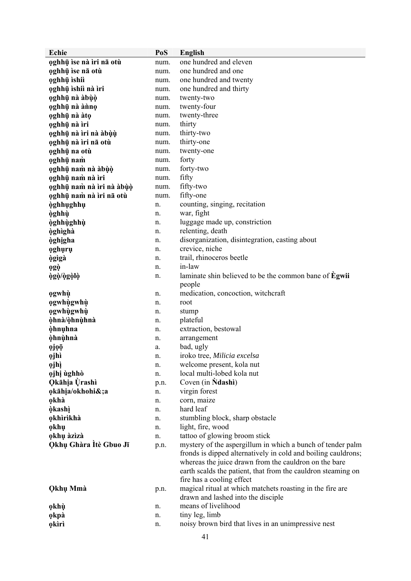| Echie                         | PoS  | <b>English</b>                                                |  |
|-------------------------------|------|---------------------------------------------------------------|--|
| oghhū ìse nà ìri nā otù       | num. | one hundred and eleven                                        |  |
| oghhū ise nā otù              | num. | one hundred and one                                           |  |
| oghhū ìshiì                   | num. | one hundred and twenty                                        |  |
| oghhụ ìshiì nà ìri            | num. | one hundred and thirty                                        |  |
| oghhụ nà àbùò                 | num. | twenty-two                                                    |  |
| oghhụ nà ànno                 | num. | twenty-four                                                   |  |
| oghhụ nà àto                  | num. | twenty-three                                                  |  |
| oghhụ nà ìri                  | num. | thirty                                                        |  |
| oghhụ nà ìri nà àbùù          | num. | thirty-two                                                    |  |
| oghhụ nà ìri nā otù           | num. | thirty-one                                                    |  |
| oghhū na otù                  | num. | twenty-one                                                    |  |
| oghhū nam                     | num. | forty                                                         |  |
| oghhụ nam nà àbùò             | num. | forty-two                                                     |  |
| oghhụ nam nà ìri              | num. | fifty                                                         |  |
| oghhụ nam nà ìri nà àbùò      | num. | fifty-two                                                     |  |
| oghhū nam nà ìri nā otù       | num. | fifty-one                                                     |  |
| <b>òghhughhu</b>              | n.   | counting, singing, recitation                                 |  |
| <b>òghhù</b>                  | n.   | war, fight                                                    |  |
| <b>òghhùghhù</b>              | n.   | luggage made up, constriction                                 |  |
| <b>òghìghà</b>                | n.   | relenting, death                                              |  |
| <b>òghigha</b>                | n.   | disorganization, disintegration, casting about                |  |
| oghuru                        | n.   | crevice, niche                                                |  |
| ògìgà                         | n.   | trail, rhinoceros beetle                                      |  |
| <b>ogò</b>                    | n.   | in-law                                                        |  |
| ògò/ògòlò                     | n.   | laminate shin believed to be the common bane of <b>Egwii</b>  |  |
|                               |      | people                                                        |  |
| ogwhù                         | n.   | medication, concoction, witchcraft                            |  |
| ogwhùgwhù                     | n.   | root                                                          |  |
| ogwhùgwhù                     | n.   | stump                                                         |  |
| òhnà/òhnùhnà                  | n.   | plateful                                                      |  |
| <b>òhnuhna</b>                | n.   | extraction, bestowal                                          |  |
| òhnùhnà                       | n.   | arrangement                                                   |  |
| ojoō                          | a.   | bad, ugly                                                     |  |
| 0jhì                          | n.   | iroko tree, Milicia excelsa                                   |  |
| <b>ojhì</b>                   | n.   | welcome present, kola nut                                     |  |
| ojhi ùghhò                    | n.   | local multi-lobed kola nut                                    |  |
| <b>Qkāhia</b> Ùrashì          | p.n. | Coven (in <b>Ndashi</b> )                                     |  |
| okāhia/okhohi&;a              | n.   | virgin forest                                                 |  |
| okhà                          | n.   | corn, maize<br>hard leaf                                      |  |
| <b>òkashì</b><br>okhìrìkhà    | n.   | stumbling block, sharp obstacle                               |  |
|                               | n.   | light, fire, wood                                             |  |
| okhu<br>okhụ àzìzà            | n.   | tattoo of glowing broom stick                                 |  |
| <b>Qkhụ Ghàra Ìtè Gbuo Jī</b> | n.   | mystery of the aspergillum in which a bunch of tender palm    |  |
|                               | p.n. | fronds is dipped alternatively in cold and boiling cauldrons; |  |
|                               |      | whereas the juice drawn from the cauldron on the bare         |  |
|                               |      | earth scalds the patient, that from the cauldron steaming on  |  |
|                               |      | fire has a cooling effect                                     |  |
| <b>Qkhụ Mmà</b>               | p.n. | magical ritual at which matchets roasting in the fire are     |  |
|                               |      | drawn and lashed into the disciple                            |  |
| ọkhù                          | n.   | means of livelihood                                           |  |
| okpà                          | n.   | tiny leg, limb                                                |  |
| <b>okiri</b>                  | n.   | noisy brown bird that lives in an unimpressive nest           |  |
|                               |      |                                                               |  |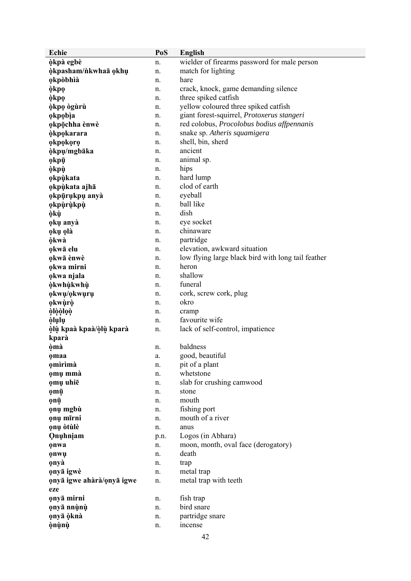| <b>Echie</b>              | PoS      | <b>English</b>                                     |
|---------------------------|----------|----------------------------------------------------|
| òkpà egbè                 | n.       | wielder of firearms password for male person       |
| òkpasham/nkwhaā okhu      | n.       | match for lighting                                 |
| okpòbhià                  | n.       | hare                                               |
| òkpọ                      | n.       | crack, knock, game demanding silence               |
| òkpọ                      | n.       | three spiked catfish                               |
| òkpo ògùrù                | n.       | yellow coloured three spiked catfish               |
| okpobia                   | n.       | giant forest-squirrel, Protoxerus stangeri         |
| okpōchha ènwè             | n.       | red colobus, Procolobus bodius affpennanis         |
| <b>òkpokarara</b>         | n.       | snake sp. Atheris squamigera                       |
| ọkpọkọrọ                  | n.       | shell, bin, sherd                                  |
| òkpu/mgbāka               | n.       | ancient                                            |
| ọkpū                      | n.       | animal sp.                                         |
| òkpù                      | n.       | hips                                               |
| okpùkata                  | n.       | hard lump                                          |
| okpùkata ajhā             | n.       | clod of earth                                      |
| okpūrukpu anyà            | n.       | eyeball                                            |
| okpùrùkpù                 | n.       | ball like                                          |
| òkù                       | n.       | dish                                               |
| oku anyà                  | n.       | eye socket                                         |
| okų olà                   | n.       | chinaware                                          |
| òkwà                      | n.       | partridge                                          |
| okwā elu                  | n.       | elevation, awkward situation                       |
| okwā ènwè                 | n.       | low flying large black bird with long tail feather |
| okwa mirni                | n.       | heron                                              |
| okwa njala                | n.       | shallow                                            |
| òkwhùkwhù                 | n.       | funeral                                            |
| okwu/okwuru               | n.       | cork, screw cork, plug                             |
| okwùrò                    | n.       | okro                                               |
| òlòòloò                   | n.       | cramp                                              |
| òlulu                     | n.       | favourite wife                                     |
| òlù kpaà kpaà/òlù kparà   | n.       | lack of self-control, impatience                   |
| kparà                     |          | baldness                                           |
| òmà                       | n.       |                                                    |
| omaa                      | a.       | good, beautiful                                    |
| omirimà                   | n.       | pit of a plant<br>whetstone                        |
| omų mmà<br>omų uhie       | n.       | slab for crushing camwood                          |
|                           | n.<br>n. | stone                                              |
| ọmū<br>ọnụ                | n.       | mouth                                              |
| ọnụ mgbù                  | n.       | fishing port                                       |
| <b>onų mīrni</b>          | n.       | mouth of a river                                   |
| ọnų òtùlè                 | n.       | anus                                               |
| Qnuhniam                  | p.n.     | Logos (in Abhara)                                  |
| onwa                      | n.       | moon, month, oval face (derogatory)                |
| onwu                      | n.       | death                                              |
| onyà                      | n.       | trap                                               |
| onyā igwè                 | n.       | metal trap                                         |
| onyā igwe ahàrà/onyā igwe | n.       | metal trap with teeth                              |
| eze                       |          |                                                    |
| onyā mirni                | n.       | fish trap                                          |
| onyā nnùnù                | n.       | bird snare                                         |
| ọnyā òknà                 | n.       | partridge snare                                    |
| <b>ònùnù</b>              | n.       | incense                                            |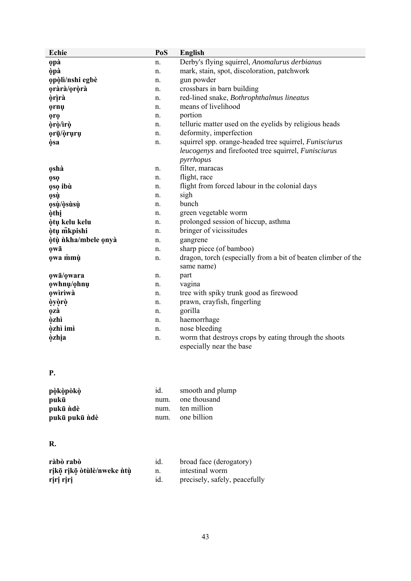| Echie               | PoS | English                                                                           |
|---------------------|-----|-----------------------------------------------------------------------------------|
| <b>opà</b>          | n.  | Derby's flying squirrel, Anomalurus derbianus                                     |
| òpà                 | n.  | mark, stain, spot, discoloration, patchwork                                       |
| opòlì/nshi egbè     | n.  | gun powder                                                                        |
| oràrà/oròrà         | n.  | crossbars in barn building                                                        |
| òrìrà               | n.  | red-lined snake, Bothrophthalmus lineatus                                         |
| ornų                | n.  | means of livelihood                                                               |
| <b>oro</b>          | n.  | portion                                                                           |
| òrò/ìrò             | n.  | telluric matter used on the eyelids by religious heads                            |
| ọrū/òrụrụ           | n.  | deformity, imperfection                                                           |
| òsa                 | n.  | squirrel spp. orange-headed tree squirrel, <i>Funisciurus</i>                     |
|                     |     | leucogenys and firefooted tree squirrel, Funisciurus                              |
|                     |     | pyrrhopus                                                                         |
| oshà                | n.  | filter, maracas                                                                   |
| <b>QSQ</b>          | n.  | flight, race                                                                      |
| oso ibù             | n.  | flight from forced labour in the colonial days                                    |
| <b>osù</b>          | n.  | sigh                                                                              |
| osù/òsùsù           | n.  | bunch                                                                             |
| òthị                | n.  | green vegetable worm                                                              |
| òtụ kelu kelu       | n.  | prolonged session of hiccup, asthma                                               |
| òtų mkpishi         | n.  | bringer of vicissitudes                                                           |
| òtù nkha/mbele onyà | n.  | gangrene                                                                          |
| <b>QW</b> a         | n.  | sharp piece (of bamboo)                                                           |
| owa mmu             | n.  | dragon, torch (especially from a bit of beaten climber of the<br>same name)       |
| owā/owara           | n.  | part                                                                              |
| owhnu/ohnu          | n.  | vagina                                                                            |
| owiriwà             | n.  | tree with spiky trunk good as firewood                                            |
| òyòrò               | n.  | prawn, crayfish, fingerling                                                       |
| <b>ozà</b>          | n.  | gorilla                                                                           |
| <b>òzhì</b>         | n.  | haemorrhage                                                                       |
| òzhì imì            | n.  | nose bleeding                                                                     |
| <b>òzhia</b>        | n.  | worm that destroys crops by eating through the shoots<br>especially near the base |

### **P.**

| pòkòpòkò      | id.  | smooth and plump |
|---------------|------|------------------|
| pukū          | num. | one thousand     |
| pukū ndè      | num. | ten million      |
| pukū pukū ndè |      | num. one billion |

## **R.**

| ràbò rabò                 | 1d. | broad face (derogatory)       |
|---------------------------|-----|-------------------------------|
| rikō rikō òtùlè/nweke ntù | n.  | intestinal worm               |
| riri riri                 | id. | precisely, safely, peacefully |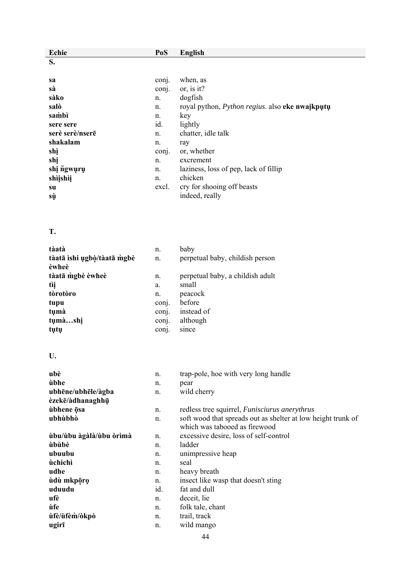| Echie                       | PoS            | <b>English</b>                                               |
|-----------------------------|----------------|--------------------------------------------------------------|
| S.                          |                |                                                              |
|                             |                |                                                              |
| sa                          | conj.          | when, as                                                     |
| sà                          | conj.          | or, is it?                                                   |
| sàko                        | n.             | dogfish                                                      |
| salò                        | n.             | royal python, <i>Python regius</i> . also eke nwaikputu      |
| sambì                       | n.<br>id.      | key                                                          |
| sere sere                   |                | lightly                                                      |
| serè serè/nserē<br>shakalam | n.             | chatter, idle talk                                           |
| shì                         | n.<br>conj.    | ray<br>or, whether                                           |
| shị                         | n.             | excrement                                                    |
| shi ngwuru                  | n.             | laziness, loss of pep, lack of fillip                        |
| shìishìi                    | n.             | chicken                                                      |
| su                          | excl.          | cry for shooing off beasts                                   |
| sù                          |                | indeed, really                                               |
|                             |                |                                                              |
|                             |                |                                                              |
|                             |                |                                                              |
| T.                          |                |                                                              |
|                             |                |                                                              |
| tàatà                       | n.             | baby                                                         |
| tàatā ishi ugbò/tàatā mgbè  | n.             | perpetual baby, childish person                              |
| èwheè                       |                |                                                              |
| tàatā mgbè èwheè            | n.             | perpetual baby, a childish adult<br>small                    |
| tìị<br>tòrotòro             | a.             |                                                              |
|                             | n.             | peacock<br>before                                            |
| tupu<br>tụmà                | conj.          | instead of                                                   |
| tụmàshị                     | conj.<br>conj. | although                                                     |
| tụtụ                        | conj.          | since                                                        |
|                             |                |                                                              |
| U.                          |                |                                                              |
| ubè                         | n.             | trap-pole, hoe with very long handle                         |
| ùbhe                        | n.             | pear                                                         |
| ubhēne/ubhēle/àgba          | n.             | wild cherry                                                  |
| èzekē/àdhanaghhū            |                |                                                              |
| ùbhene ōsa                  | n.             | redless tree squirrel, Funisciurus anerythrus                |
| ubhùbhò                     | n.             | soft wood that spreads out as shelter at low height trunk of |
|                             |                | which was tabooed as firewood                                |
| ùbu/ùbu àgàlà/ùbu òrìmà     | n.             | excessive desire, loss of self-control                       |
| ùbùbè                       | n.             | ladder                                                       |
| ubuubu                      | n.             | unimpressive heap                                            |
| ùchichì                     | n.             | seal                                                         |
| udhe                        | n.             | heavy breath                                                 |
| ùdù mkpōrọ                  | n.             | insect like wasp that doesn't sting                          |
| uduudu                      | id.            | fat and dull                                                 |
| ufè                         | n.             | deceit, lie                                                  |
| ùfe                         | n.             | folk tale, chant                                             |
| ùfè/ùfèm/òkpò               | n.             | trail, track                                                 |
| ugirī                       | n.             | wild mango                                                   |
|                             |                |                                                              |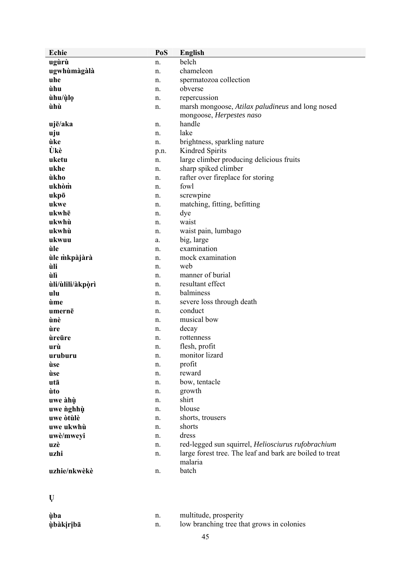| Echie            | PoS  | <b>English</b>                                           |
|------------------|------|----------------------------------------------------------|
| ugùrù            | n.   | belch                                                    |
| ugwhùmàgàlà      | n.   | chameleon                                                |
| uhe              | n.   | spermatozoa collection                                   |
| ùhu              | n.   | obverse                                                  |
| ùhu/ùlo          | n.   | repercussion                                             |
| ùhù              | n.   | marsh mongoose, Atilax paludineus and long nosed         |
|                  |      | mongoose, Herpestes naso                                 |
| ujē/aka          | n.   | handle                                                   |
| uju              | n.   | lake                                                     |
| ùke              | n.   | brightness, sparkling nature                             |
| Ùkè              | p.n. | Kindred Spirits                                          |
| uketu            | n.   | large climber producing delicious fruits                 |
| ukhe             | n.   | sharp spiked climber                                     |
| ùkho             | n.   | rafter over fireplace for storing                        |
| ukhòm            | n.   | fowl                                                     |
| ukpō             | n.   | screwpine                                                |
| ukwe             | n.   | matching, fitting, befitting                             |
| ukwhē            | n.   | dye                                                      |
| ukwhù            | n.   | waist                                                    |
| ukwhù            | n.   | waist pain, lumbago                                      |
| ukwuu            | a.   | big, large                                               |
| ùle              | n.   | examination                                              |
| ùle mkpàjàrà     | n.   | mock examination                                         |
| ùli              | n.   | web                                                      |
| ùlì              | n.   | manner of burial                                         |
| ùli/ùlili/àkpòrì | n.   | resultant effect                                         |
| ulu              | n.   | balminess                                                |
| ùme              | n.   | severe loss through death                                |
| umernē           | n.   | conduct                                                  |
| ùnè              | n.   | musical bow                                              |
| ùre              | n.   | decay                                                    |
| ùreūre           | n.   | rottenness                                               |
| urù              | n.   | flesh, profit                                            |
| uruburu          | n.   | monitor lizard                                           |
| ùse              | n.   | profit                                                   |
| ùse              | n.   | reward                                                   |
| utā              | n.   | bow, tentacle                                            |
| ùto              | n.   | growth                                                   |
| uwe àhù          | n.   | shirt                                                    |
| uwe nghhù        | n.   | blouse                                                   |
| uwe òtùlè        | n.   | shorts, trousers                                         |
| uwe ukwhù        | n.   | shorts                                                   |
| uwè/mweyi        | n.   | dress                                                    |
| uzè              | n.   | red-legged sun squirrel, Heliosciurus rufobrachium       |
| uzhi             | n.   | large forest tree. The leaf and bark are boiled to treat |
|                  |      | malaria                                                  |
| uzhie/nkwèkè     | n.   | batch                                                    |
|                  |      |                                                          |

**Ụ**

| ùba       |     | multitude, prosperity                     |
|-----------|-----|-------------------------------------------|
| ùbàkiribā | 11. | low branching tree that grows in colonies |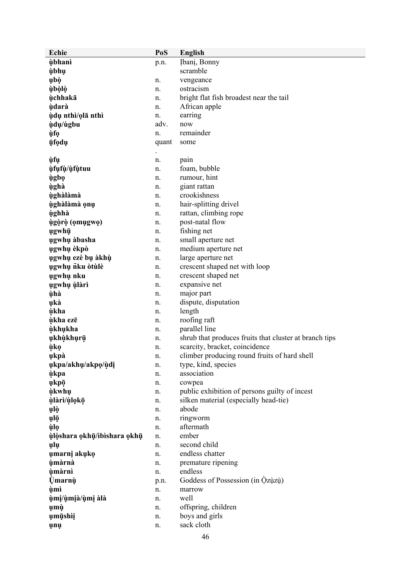| <b>Echie</b>                | PoS      | <b>English</b>                                          |
|-----------------------------|----------|---------------------------------------------------------|
| ùbhanì                      | p.n.     | Ibani, Bonny                                            |
| ùbhụ                        |          | scramble                                                |
| ubò                         | n.       | vengeance                                               |
| ùbòlò                       | n.       | ostracism                                               |
| ùchhakā                     | n.       | bright flat fish broadest near the tail                 |
| <b>ùdarà</b>                | n.       | African apple                                           |
| ùdụ nthì/ọlā nthì           | n.       | earring                                                 |
| ùdu/ùgbu                    | adv.     | now                                                     |
| ùfọ                         | n.       | remainder                                               |
| ūfodų                       | quant    | some                                                    |
|                             |          |                                                         |
| ùfụ                         | n.       | pain                                                    |
| ùfufù/ùfùtuu                | n.       | foam, bubble                                            |
| ùgbọ                        | n.       | rumour, hint                                            |
| ùghà                        | n.       | giant rattan                                            |
| ùghàlàmà                    | n.       | crookishness                                            |
| ùghàlàmà ọnụ                | n.       | hair-splitting drivel                                   |
| ùghhà                       | n.       | rattan, climbing rope                                   |
| ùgòrò (omugwo)              | n.       | post-natal flow                                         |
| ugwhū                       | n.       | fishing net                                             |
| ugwhu àbasha                | n.       | small aperture net                                      |
| ugwhų èkpò                  | n.       | medium aperture net                                     |
| ụgwhụ ezè bụ àkhù           | n.       | large aperture net                                      |
| ugwhų nku òtùlè             | n.       | crescent shaped net with loop                           |
| ugwhu nku                   | n.       | crescent shaped net                                     |
| ugwhụ ùlàrì                 | n.       | expansive net                                           |
| ùhà                         | n.       | major part                                              |
| ukà                         |          | dispute, disputation                                    |
| ùkha                        | n.<br>n. | length                                                  |
| ùkha ezē                    |          | roofing raft                                            |
|                             | n.       | parallel line                                           |
| ùkhukha                     | n.       | shrub that produces fruits that cluster at branch tips  |
| ụkhùkhụrū<br>ùkọ            | n.       | scarcity, bracket, coincidence                          |
|                             | n.       | climber producing round fruits of hard shell            |
| ukpà                        | n.       |                                                         |
| ukpa/akhu/akpo/ùdi          | n.       | type, kind, species<br>association                      |
| ùkpa                        | n.       |                                                         |
| ukpō                        | n.       | cowpea<br>public exhibition of persons guilty of incest |
| ùkwhụ                       | n.       | silken material (especially head-tie)                   |
| ùlàrì/ùlọkō                 | n.       | abode                                                   |
| ulò                         | n.       |                                                         |
| ųlō                         | n.       | ringworm<br>aftermath                                   |
| ùlọ                         | n.       | ember                                                   |
| ùlòshara okhū/ibìshara okhū | n.       | second child                                            |
| ulu                         | n.       | endless chatter                                         |
| umarnį akuko                | n.       |                                                         |
| ùmàrnà                      | n.       | premature ripening<br>endless                           |
| ùmàrnì                      | n.       | Goddess of Possession (in Qzuzu)                        |
| <b>Úmarnù</b>               | p.n.     |                                                         |
| ùmì<br>ùmi/ùmià/ùmi àlà     | n.       | marrow<br>well                                          |
|                             | n.       | offspring, children                                     |
| ųmù                         | n.       |                                                         |
| umūshìi                     | n.       | boys and girls                                          |
| unu                         | n.       | sack cloth                                              |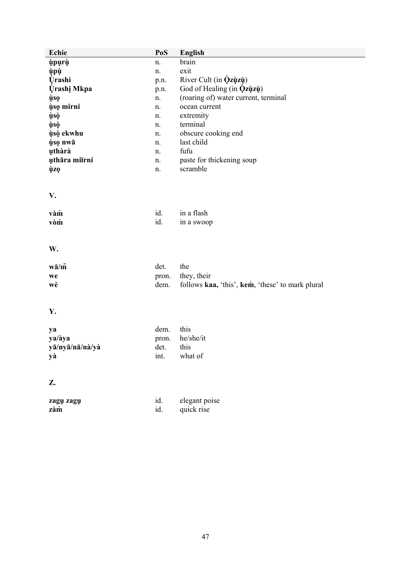| Echie              | PoS   | <b>English</b>                                   |
|--------------------|-------|--------------------------------------------------|
| ùpụrù              | n.    | brain                                            |
| ùpù                | n.    | exit                                             |
| <b>Úrashì</b>      | p.n.  | River Cult (in $\dot{Q}z\dot{q}z\dot{q}$ )       |
| <b>Urashi Mkpa</b> | p.n.  | God of Healing (in $\dot{Q}z\dot{q}z\dot{q}$ )   |
| ùsọ                | n.    | (roaring of) water current, terminal             |
| ùso mirni          | n.    | ocean current                                    |
| ùsò                | n.    | extremity                                        |
| ùsò                | n.    | terminal                                         |
| ùsò ekwhu          | n.    | obscure cooking end                              |
| ùso nwā            | n.    | last child                                       |
| uthàrà             | n.    | fufu                                             |
| uthāra miīrni      | n.    | paste for thickening soup                        |
| ùzọ                | n.    | scramble                                         |
| V.                 |       |                                                  |
| vàm                | id.   | in a flash                                       |
| vòm                | id.   | in a swoop                                       |
| W.                 |       |                                                  |
| $w\bar{a}/\bar{m}$ | det.  | the                                              |
| we                 | pron. | they, their                                      |
| wè                 | dem.  | follows kaa, 'this', kem, 'these' to mark plural |
| Y.                 |       |                                                  |
| ya                 | dem.  | this                                             |
| ya/àya             | pron. | he/she/it                                        |
| yā/nyā/nā/nà/yà    | det.  | this                                             |
| уà                 | int.  | what of                                          |
| Z.                 |       |                                                  |
| zagų zagų          | id.   | elegant poise                                    |
| zàm                | id.   | quick rise                                       |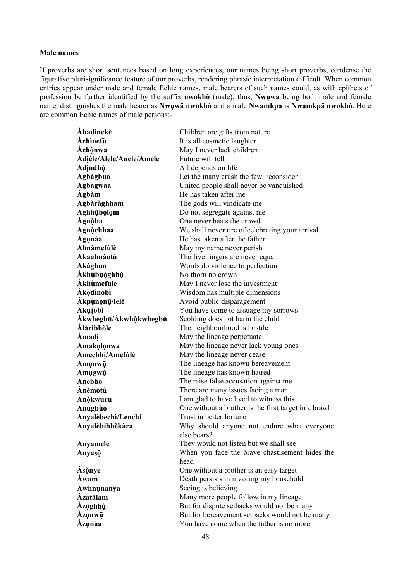#### **Male names**

If proverbs are short sentences based on long experiences, our names being short proverbs, condense the figurative plurisignificance feature of our proverbs, rendering phrasic interpretation difficult. When common entries appear under male and female Echie names, male bearers of such names could, as with epithets of profession be further identified by the suffix **nwokhò** (male); thus, **Nwụwā** being both male and female name, distinguishes the male bearer as **Nwụwā nwokhò** and a male **Nwamkpà** is **Nwamkpā nwokhò**. Here are common Echie names of male persons:-

| <b>Abadinekè</b>         | Children are gifts from nature                                   |
|--------------------------|------------------------------------------------------------------|
| Achinefù                 | It is all cosmetic laughter                                      |
| Achònwa                  | May I never lack children                                        |
| Adièle/Alele/Anele/Amele | Future will tell                                                 |
| Adindhù                  |                                                                  |
|                          | All depends on life<br>Let the many crush the few, reconsider    |
| Agbàgbuo                 |                                                                  |
| Agbagwaa                 | United people shall never be vanquished<br>He has taken after me |
| <b>Agbam</b>             |                                                                  |
| Agbàràghham              | The gods will vindicate me                                       |
| Aghhūbolom               | Do not segregate against me                                      |
| Àgnùba                   | One never beats the crowd                                        |
| Agnùchhaa                | We shall never tire of celebrating your arrival                  |
| Agūnàa                   | He has taken after the father                                    |
| Ahnàmefùlè               | May my name never perish                                         |
| Akaahnàotù               | The five fingers are never equal                                 |
| Akàgbuo                  | Words do violence to perfection                                  |
| Akhùbuòghhù              | No thorn no crown                                                |
| <b>Akhùmefule</b>        | May I never lose the investment                                  |
| <b>Akodinobi</b>         | Wisdom has multiple dimensions                                   |
| Akpùnonū/lelē            | Avoid public disparagement                                       |
| Akujobì                  | You have come to assuage my sorrows                              |
| Àkwhegbū/Àkwhùkwhegbū    | Scolding does not harm the child                                 |
| Àlàribhòle               | The neighbourhood is hostile                                     |
| Amadi                    | May the lineage perpetuate                                       |
| Amakōlonwa               | May the lineage never lack young ones                            |
| Amechhi/Amefulè          | May the lineage never cease                                      |
| Amonwū                   | The lineage has known bereavement                                |
| Amugwù                   | The lineage has known hatred                                     |
| Anebho                   | The raise false accusation against me                            |
| Anèmotù                  | There are many issues facing a man                               |
| Anòkwuru                 | I am glad to have lived to witness this                          |
| Anugbùo                  | One without a brother is the first target in a brawl             |
| Anyalèbechì/Lenchi       | Trust in better fortune                                          |
| Anyalèbibhèkàra          | Why should anyone not endure what everyone                       |
|                          | else bears?                                                      |
| Anyāmele                 | They would not listen but we shall see                           |
| Anyasō                   | When you face the brave chastisement hides the                   |
|                          | head                                                             |
| Asònye                   | One without a brother is an easy target                          |
| Àwam                     | Death persists in invading my household                          |
| Awhnunanya               | Seeing is believing                                              |
| <b>Azatālam</b>          | Many more people follow in my lineage                            |
| <b>Azoghhù</b>           | But for dispute setbacks would not be many                       |
| Azonwū                   | But for bereavement setbacks would not be many                   |
| Àzụnàa                   | You have come when the father is no more                         |
|                          |                                                                  |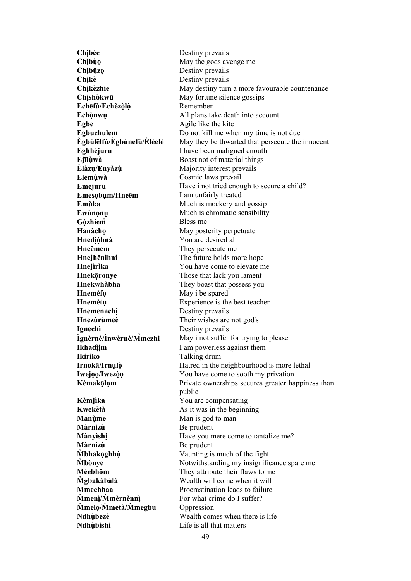**Chibèe Destiny prevails Chibùo** May the gods avenge me **Chịbūẓ ọ** Destiny prevails **Chịkè** Destiny prevails **Chishòkwū** May fortune silence gossips **Echēfù/Echèzòlọ̀ ̣** Remember **Egbe** Agile like the kite **Ejīlùwà ̣** Boast not of material things **Èlàzụ/Enyàzù ̣** Majority interest prevails **Elemùwà ̣** Cosmic laws prevail **Emesọbụm/Hneēm** I am unfairly treated **Gòzhiem** Bless me **Hanàcho** May posterity perpetuate **Hnedìọ̀hnà ̣** You are desired all **HneE**mem They persecute me **Hnejhēnihni** The future holds more hope **Hnekōronye ̣** Those that lack you lament **Hnekwhàbha They boast that possess you Hnemèfo** May i be spared **Hnemēnachị** Destiny prevails **Hnezùrùmeè** Their wishes are not god's **Ignēchì** Destiny prevails **Ìgnèrnè/Ìnwèrnè/M̀ Ikhadìim** I am powerless against them **Ikiriko** Talking drum **Kèmjìka** You are compensating **Kwekètà As it was in the beginning Manùme Man** is god to man **Màrnizù** Be prudent **Màrnizù** Be prudent **Mmeni/Mmèrnènnì** For what crime do I suffer? **Mmetà/M<b>megbu** Oppression **Ndhùbishi** *Life is all that matters* 

**Chikèzhie May destiny turn a more favourable countenance Echònwu** All plans take death into account **Egbūchulem** Do not kill me when my time is not due **Ègbùlēlfù/Ègbùnefù/Èlèelè** May they be thwarted that persecute the innocent **Eghhèjuru** I have been maligned enouth **Emejuru Have i not tried enough to secure a child? Emùka** Much is mockery and gossip **Ewùnonū Much is chromatic sensibility Hnejìrìka** You have come to elevate me **Hnemètu** Experience is the best teacher **mezhi** May i not suffer for trying to please **Irnokā/Irnụlò ̣** Hatred in the neighbourhood is more lethal **Iwejoo/Iwezòo** You have come to sooth my privation **Kèmakōlm Private** ownerships secures greater happiness than public **Mànyìshi** Have you mere come to tantalize me? **M̀ bhakōghhù ̣ ̣** Vaunting is much of the fight **Mbònye** Notwithstanding my insignificance spare me **Mèebhōm** They attribute their flaws to me **M̀ gbakàbàlà** Wealth will come when it will **Mmechhaa** Procrastination leads to failure **Ndhùbezè ̣** Wealth comes when there is life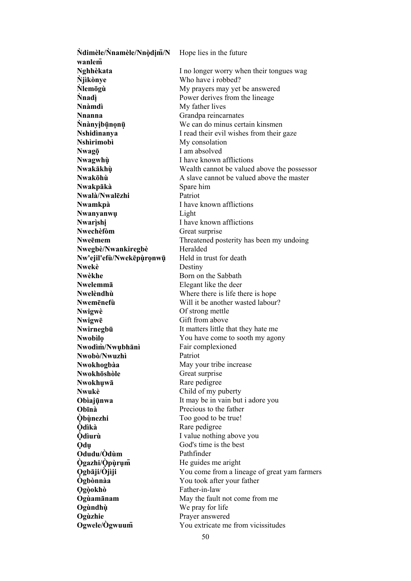| Ndimèle/Nnamèle/Nnòdim/N    | Hope lies in the future                                     |
|-----------------------------|-------------------------------------------------------------|
| wanlem                      |                                                             |
| Nghhèkata                   | I no longer worry when their tongues wag                    |
| <b>Njikonye</b>             | Who have i robbed?                                          |
| <b>Nlemögù</b>              | My prayers may yet be answered                              |
| <b>Nnadi</b>                | Power derives from the lineage                              |
| Nnàmdì                      | My father lives                                             |
| <b>Nnanna</b>               | Grandpa reincarnates                                        |
| Nnànyịbūnọnū                | We can do minus certain kinsmen                             |
| Nshidinanya                 | I read their evil wishes from their gaze                    |
| <b>Nshìrimobì</b>           | My consolation                                              |
| Nwagō                       | I am absolved                                               |
| Nwagwhù                     | I have known afflictions                                    |
| Nwakākhù                    | Wealth cannot be valued above the possessor                 |
| Nwakōhù                     | A slave cannot be valued above the master                   |
| Nwakpākà                    | Spare him                                                   |
| Nwalà/Nwalezhi              | Patriot                                                     |
| Nwamkpà                     | I have known afflictions                                    |
| Nwanyanwu                   | Light                                                       |
| Nwarishi                    | I have known afflictions                                    |
| <b>Nwechèfòm</b>            | Great surprise                                              |
| Nweēmem                     | Threatened posterity has been my undoing                    |
| Nwegbè/Nwankiregbè          | Heralded                                                    |
| Nw'ejil'efù/Nwekēpùronwū    | Held in trust for death                                     |
| Nwekè                       | Destiny                                                     |
| Nwèkhe                      | Born on the Sabbath                                         |
| Nwelemmā                    | Elegant like the deer                                       |
| Nwelèndhù                   | Where there is life there is hope                           |
| Nwemenefù                   | Will it be another wasted labour?                           |
|                             |                                                             |
| Nwigwè                      | Of strong mettle<br>Gift from above                         |
| Nwigwē                      |                                                             |
| Nwirnegbū<br><b>Nwobilo</b> | It matters little that they hate me                         |
| Nwodim/Nwubhani             | You have come to sooth my agony<br>Fair complexioned        |
|                             | Patriot                                                     |
| Nwobò/Nwuzhì                |                                                             |
| Nwokhogbàa<br>Nwokhōshòle   | May your tribe increase                                     |
|                             | Great surprise                                              |
| Nwokhuwā                    | Rare pedigree                                               |
| Nwukè                       | Child of my puberty                                         |
| Obiajūnwa                   | It may be in vain but i adore you<br>Precious to the father |
| Obīnà                       |                                                             |
| <b>Obùnezhi</b><br>Òdìkà    | Too good to be true!                                        |
|                             | Rare pedigree                                               |
| <b>O</b> diurù              | I value nothing above you<br>God's time is the best         |
| <b>Qdu</b>                  |                                                             |
| Odudu/Òdùm                  | Pathfinder                                                  |
| <b>Ogazhi/Opurum</b>        | He guides me aright                                         |
| Qgbāji/Ojiji                | You come from a lineage of great yam farmers                |
| <b>Ogbònnàa</b>             | You took after your father                                  |
| <b>Ogòokhò</b>              | Father-in-law                                               |
| Ogùamānam                   | May the fault not come from me                              |
| Ogùndhù                     | We pray for life                                            |
| Ogùzhie                     | Prayer answered                                             |
| Ogwele/Ogwuum               | You extricate me from vicissitudes                          |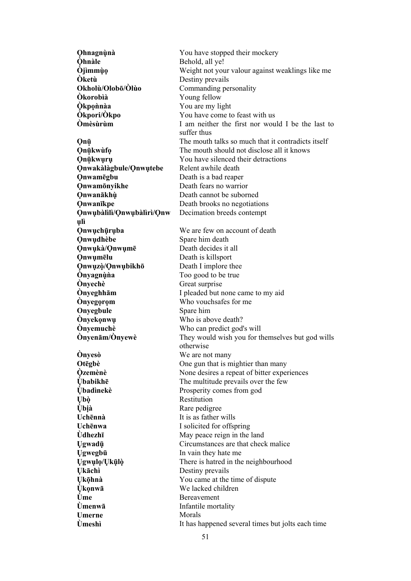**Ọhnagnùnà ̣** You have stopped their mockery **Òhnàle** Behold, all ye! **Òjìmmùo** Weight not your valour against weaklings like me **Òketù** Destiny prevails **Okholù/Olobō/Òlùo** Commanding personality **Òkorobìà** Young fellow **Òkponaa** You are my light **Òkpori/Òkpo** You have come to feast with us **Òmèsùrùm** I am neither the first nor would I be the last to suffer thus **Onū** The mouth talks so much that it contradicts itself **Onūkwùfo** The mouth should not disclose all it knows *Y* ou have silenced their detractions **Ọnwakàlàgbule/Ọnwụtebe** Relent awhile death **Ọnwamēgbu** Death is a bad reaper **Onwamonvikhe Death fears no warrior Ọnwanākhù ̣** Death cannot be suborned **OnwanIkpe Death** brooks no negotiations **Ọnwụbàlìlì/Ọnwụbàlìrì/Ọnw ụlì**  Decimation breeds contempt **O**nwuchūruba We are few on account of death **Onwudhèbe** Spare him death **Ọnwụkà/Ọnwụmē** Death decides it all **Onwumēlu** Death is killsport **Ọnwụzò/̣Ọnwụbikhō** Death I implore thee **Ònyagnùna** Too good to be true **Ònyechè** Great surprise **Ònyeghhām** I pleaded but none came to my aid **Ònyegorom** Who vouchsafes for me **Onyegbule** Spare him **Ònyekọnwụ** Who is above death? **Ònyemuchè** Who can predict god's will **Ònyenām/Ònyewè** They would wish you for themselves but god wills otherwise **Ònyesò** We are not many **Otegbè** One gun that is mightier than many **Òzemènè ̣** None desires a repeat of bitter experiences **Ùbabikhē** The multitude prevails over the few **Ùbadìnekè Prosperity comes from god Ụbò ̣** Restitution **Ùḅ ịà** Rare pedigree **Uchēnnà** It is as father wills **Uchēnwa** I solicited for offspring **Ùdhezhī** May peace reign in the land Ugwadū **Circumstances** are that check malice **Ụgwegbū** In vain they hate me **Ụgwụlọ/Ụkūlọ̀ ̣** There is hatred in the neighbourhood **Ụkāchì** Destiny prevails **Ụkōhnà ̣** You came at the time of dispute  $\dot{U}$ **konwa** We lacked children **Ùme** Bereavement **Ùmenwā** Infantile mortality Umerne **Morals Ùmeshì** It has happened several times but jolts each time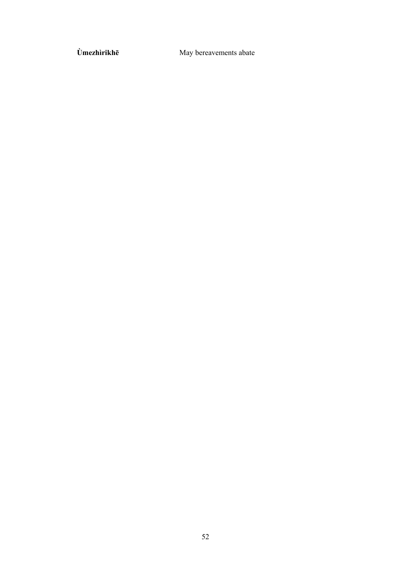Ùmezhìrikhē

May bereavements abate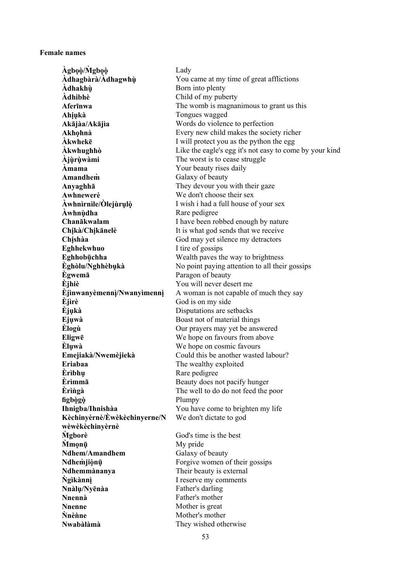#### **Female names**

 $\lambda$ gbọò/Mgbọò Lady **Àdhagbàrà/Àdhagwhù** You came at my time of great afflictions  $\hat{\mathbf{A}}$ **dhakhù** Born into plenty **Àdhibhè** Child of my puberty **Afer<sub>Inwa</sub>** The womb is magnanimous to grant us this **Ahịụkà** Tongues wagged **Akājàa/Akājìa** Words do violence to perfection **Akhọhnà** Every new child makes the society richer **Akwheke** I will protect you as the python the egg **Àkwhughhò** Like the eagle's egg it's not easy to come by your kind **Àjùrụ̀ wàmi ̣** The worst is to cease struggle **Àmama** Your beauty rises daily **Amandhem̀** Galaxy of beauty<br> **Anvaghhā** They devour you They devour you with their gaze **Awhnewerè** We don't choose their sex **Àwhnìrnìle/Òlejùrụlò ̣** I wish i had a full house of your sex **Awhnùdha** Rare pedigree **Chanākwalam** I have been robbed enough by nature **Chikà/Chikānelè** It is what god sends that we receive **Chishàa** God may yet silence my detractors **Eghhekwhuo** I tire of gossips **Eghhobūchha ̣** Wealth paves the way to brightness **Èghòlu/Nghhèbụkà** No point paying attention to all their gossips **Ègwemā** Paragon of beauty **Èjhiè** You will never desert me **Èjìnwanyèmennì/Nwanyìmennì** A woman is not capable of much they say **Èjìrè** God is on my side **Èjụkà** Disputations are setbacks **Ejụwà** Boast not of material things **Èlogù** Our prayers may yet be answered **Eligwe**<br> **Eligwe**<br> **Eligwa**<br> **We hope on cosmic favours**<br> **Eligwa**<br> **We hope on cosmic favours** We hope on cosmic favours **Emejiakà/Nwemèjiekà** Could this be another wasted labour? **Eriabaa** The wealthy exploited **Èrìbhu** Rare pedigree **Èrìmmā** Beauty does not pacify hunger **Èrìngà** The well to do do not feed the poor **figbògò** Plumpy **Ihnigba/Ihnishàa** You have come to brighten my life **Kèchinyèrnè/Èwèkèchinyerne/N wèwèkèchinyèrnè**  We don't dictate to god **M<u></u> gborè God's** time is the best **M<sup><b>n**</sup> **M** *M* **M Ndhem/Amandhem Galaxy of beauty Ndhem̀jiònū**<br> **Ndhemmànanya**<br> **I** Forgive women of their gossips<br> **Ndhemmànanya**<br> **I** Their beauty is external Their beauty is external **Ǹgìkànnì ̣** I reserve my comments **Nnàlụ/Nyēnàa** Father's darling **Nnennà** Father's mother **Nnenne Mother is great Nnène** *Mother's mother* **Nwabàlàmà** They wished otherwise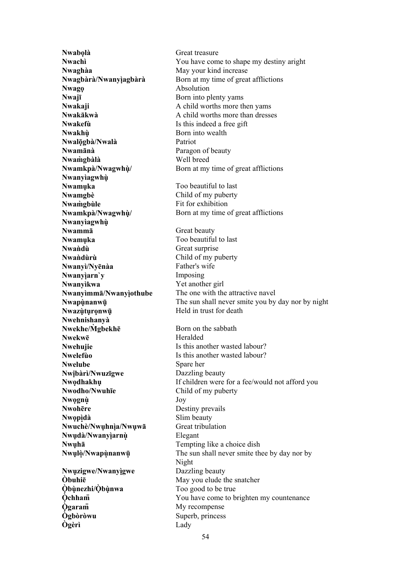**Nwaghàa** May your kind increase **Nwagọ** Absolution **Nwajī** Born into plenty yams **Nwakefù** Is this indeed a free gift **Nwakhù Born** into wealth **Nwalōgbà/Nwalà ̣** Patriot **Nwamānà** Paragon of beauty **Nwam̀gbàlà** Well breed **Nwamkpà/Nwagwhù/ ̣ Nwanyìagwhù ̣ Nwamuka** Too beautiful to last **Nwamgbè** Child of my puberty **Nwam̀** $\alpha$ **bùle** Fit for exhibition **Nwamkpà/Nwagwhù/ ̣ Nwanyìagwhù ̣ Nwamma** Great beauty **Nwamuka** Too beautiful to last Nwandù Great surprise **Nwaǹdùrù** Child of my puberty **Nwanyì/Nyēnàa** Father's wife **Nwanyiarn'y Imposing Nwanyìkwa** Yet another girl **Nwazùturonwū Held** in trust for death **Nwehnishanyà Nwekhe/Mgbekhē** Born on the sabbath **Nwekwe** Heralded **Nwelube** Spare her **Nwịbàrì/Nwuzīgwe** Dazzling beauty **Nwodho/Nwuhīe** Child of my puberty **Nwọgnù ̣** Joy **Nwohēre** Destiny prevails **Nwọpìdà ̣** Slim beauty **Nwuchè/Nwuhnìa/Nwuwa** Great tribulation **Nwụdà/Nwanyìarnù ̣ ̣** Elegant **Nwụhā** Tempting like a choice dish **Nwụzigwe/Nwanyìgwe ̣** Dazzling beauty **Òbuhi<code>ē</code> May you elude the snatcher Òbùnezhi/Òbùnwa** Too good to be true  $\dot{O}$ **garam** My recompense **Ògbòròwu** Superb, princess **Ògèrì** Lady

**Nwabọlà** Great treasure **Nwachì** You have come to shape my destiny aright **Nwagbàrà/Nwanyìagbàrà** Born at my time of great afflictions **Nwakaji A** child worths more then yams **Nwakākwà** A child worths more than dresses Born at my time of great afflictions Born at my time of great afflictions **Nwanyìmmā/Nwanyìothube ̣** The one with the attractive navel **Nwapunanwu i** The sun shall never smite you by day nor by night **Nwehujie Is this another wasted labour? Nwelefùo** Is this another wasted labour? **Nwodhakhu** If children were for a fee/would not afford you **Nwulò/Nwapùnanwū** The sun shall never smite thee by day nor by Night **Òchham** *You have come to brighten my countenance*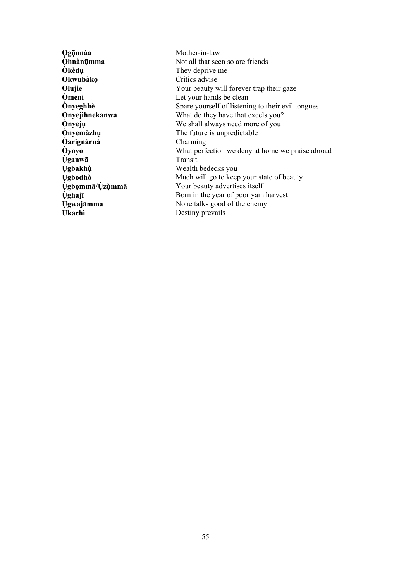**Ogōnnàa Ohnànūmma** Òkèdụ Okwubàko Olujie Òmeni **Onveghhè** Onyejihnekānwa **Onvejū** *<u>Onyemàzhu</u>* **Oarignarna Ovovo** *<u>Uganwā*</u> **Ugbakhù** Ugbodhò Ųgbommā/Ųzùmmā **<u>Ùghajī</u> Ugwajāmma** Ukāchì

Mother-in-law Not all that seen so are friends They deprive me Critics advise Your beauty will forever trap their gaze Let your hands be clean Spare yourself of listening to their evil tongues What do they have that excels you? We shall always need more of you The future is unpredictable Charming What perfection we deny at home we praise abroad Transit Wealth bedecks you Much will go to keep your state of beauty Your beauty advertises itself Born in the year of poor yam harvest None talks good of the enemy Destiny prevails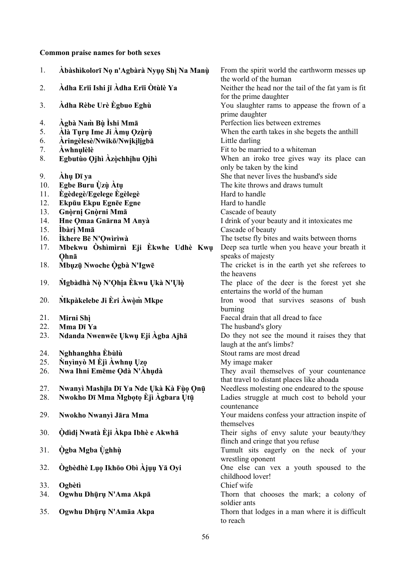**Common praise names for both sexes** 

| 1.  | Abàshìkolorī Nọ n'Agbàrà Nyụọ Shì Na Manù | From the spirit world the earthworm messes up<br>the world of the human       |
|-----|-------------------------------------------|-------------------------------------------------------------------------------|
| 2.  | Àdha Erīi Ishi jī Àdha Erīi Òtùlè Ya      | Neither the head nor the tail of the fat yam is fit<br>for the prime daughter |
| 3.  | Àdha Rèbe Urè Ègbuo Eghù                  | You slaughter rams to appease the frown of a<br>prime daughter                |
| 4.  | Àgbà Nam Bù Ìshi Mmā                      | Perfection lies between extremes                                              |
| 5.  | Àlà Tụrụ Ime Ji Àmụ Qzùrù                 | When the earth takes in she begets the anthill                                |
| 6.  | Aringèlesè/Nwikō/Nwikiligbā               | Little darling                                                                |
| 7.  | <b>Awhnulèlè</b>                          | Fit to be married to a whiteman                                               |
| 8.  | Egbutùo Qjhì Àzòchhịhu Qjhì               | When an iroko tree gives way its place can                                    |
|     |                                           | only be taken by the kind                                                     |
| 9.  | Ahu Dī ya                                 | She that never lives the husband's side                                       |
| 10. | Egbe Buru Ùzù Àtụ                         | The kite throws and draws tumult                                              |
| 11. | <b>Egèdegè/Egelege Egèlegè</b>            | Hard to handle                                                                |
| 12. | Ekpūu Ekpu Egnēe Egne                     | Hard to handle                                                                |
| 13. | Gnòrni Gnòrni Mmā                         | Cascade of beauty                                                             |
| 14. | Hne Qmaa Gnārna M Anyà                    | I drink of your beauty and it intoxicates me                                  |
| 15. | İbàri Mmā                                 | Cascade of beauty                                                             |
| 16. | Îkhere Bē N'Qwiriwà                       | The tsetse fly bites and waits between thorns                                 |
| 17. | Mbekwu Oshimirni Eji Ekwhe Udhè Kwu       | Deep sea turtle when you heave your breath it                                 |
|     | Ohnā                                      | speaks of majesty                                                             |
|     | Mbuzū Nwoche Ogbà N'Igwē                  |                                                                               |
| 18. |                                           | The cricket is in the earth yet she referees to<br>the heavens                |
| 19. | Mgbàdhà Nò N'Qhịa Èkwu Ukà N'Ulò          | The place of the deer is the forest yet she                                   |
|     |                                           | entertains the world of the human                                             |
| 20. | Mkpàkelebe Ji Èri Àwòm Mkpe               | Iron wood that survives seasons of bush                                       |
|     |                                           | burning                                                                       |
| 21. | Mirni Shì                                 | Faecal drain that all dread to face                                           |
| 22. | Mma Dī Ya                                 | The husband's glory                                                           |
| 23. | Ndanda Nwenwēe Ukwu Eji Agba Ajhā         | Do they not see the mound it raises they that                                 |
|     |                                           | laugh at the ant's limbs?                                                     |
| 24. | Nghhanghha Èbùlù                          | Stout rams are most dread                                                     |
| 25. | Nnyinyò M Èji Awhnụ Ųzọ                   | My image maker                                                                |
| 26. | Nwa Ihni Emēme Qdà N'Àhụdà                | They avail themselves of your countenance                                     |
|     |                                           | that travel to distant places like ahoada                                     |
| 27. | Nwanyì Mashila Dī Ya Nde Ukà Kà Fùo Qnū   | Needless molesting one endeared to the spouse                                 |
| 28. | Nwokho Dī Mma Mgboto Eji Agbara Utū       | Ladies struggle at much cost to behold your                                   |
|     |                                           | countenance                                                                   |
| 29. | Nwokho Nwanyi Jāra Mma                    | Your maidens confess your attraction inspite of                               |
|     |                                           | themselves                                                                    |
| 30. | Òdìdị Nwatà Èji Àkpa Ibhè e Akwhā         | Their sighs of envy salute your beauty/they                                   |
|     |                                           | flinch and cringe that you refuse                                             |
| 31. | Ògba Mgba Ùghhù                           | Tumult sits eagerly on the neck of your                                       |
|     |                                           | wrestling oponent                                                             |
| 32. | Ògbèdhè Lụọ Ikhōo Obì Àjụụ Yā Oyi         | One else can vex a youth spoused to the                                       |
|     |                                           | childhood lover!                                                              |
| 33. | Ogbètì                                    | Chief wife                                                                    |
| 34. | Ogwhu Dhụrụ N'Ama Akpā                    | Thorn that chooses the mark; a colony of                                      |
|     |                                           | soldier ants                                                                  |
| 35. | Ogwhu Dhụrụ N'Amāa Akpa                   | Thorn that lodges in a man where it is difficult                              |
|     |                                           | to reach                                                                      |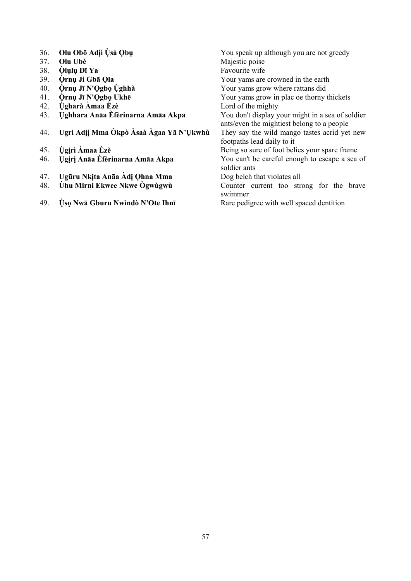| 36. | Olu Obō Adìi Ùsà Qbu                    | You speak up although you are not greedy                       |
|-----|-----------------------------------------|----------------------------------------------------------------|
| 37. | Olu Ubè                                 | Majestic poise                                                 |
| 38. | <b>Olulu Dī Ya</b>                      | Favourite wife                                                 |
| 39. | <b>Ornu Ji Gba Ola</b>                  | Your yams are crowned in the earth                             |
| 40. | Òrnų Jī N'Ogbo Ùghhà                    | Your yams grow where rattans did                               |
| 41. | <b>Ornu Jī N'Ogbo Ukhē</b>              | Your yams grow in plac oe thorny thickets                      |
| 42. | Ùgharà Àmaa Èzè                         | Lord of the mighty                                             |
| 43. | Ughhara Anāa Èfèrinarna Amāa Akpa       | You don't display your might in a sea of soldier               |
|     |                                         | ants/even the mightiest belong to a people                     |
| 44. | Ugri Adii Mma Òkpò Àsaà Àgaa Yā N'Ukwhù | They say the wild mango tastes acrid yet new                   |
|     |                                         | footpaths lead daily to it                                     |
| 45. | Ùgirì Àmaa Èzè                          | Being so sure of foot belies your spare frame                  |
| 46. | Ugiri Anāa Efèrinarna Amāa Akpa         | You can't be careful enough to escape a sea of<br>soldier ants |
| 47. | Ugūru Nkita Anāa Adi Ohna Mma           | Dog belch that violates all                                    |
| 48. | <b>Ühu Mirni Ekwee Nkwe Ogwùgwù</b>     | Counter current too strong for the brave                       |
|     |                                         | swimmer                                                        |
| 49. | Ùso Nwā Gburu Nwindò N'Ote Ihnī         | Rare pedigree with well spaced dentition                       |
|     |                                         |                                                                |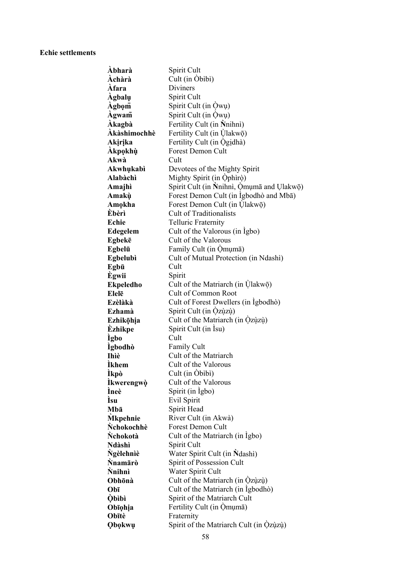### **Echie settlements**

| Àbharà           | Spirit Cult                               |
|------------------|-------------------------------------------|
| Àchàrà           | Cult (in Obibi)                           |
| Àfara            | <b>Diviners</b>                           |
| Àgbalụ           | Spirit Cult                               |
| Agbom            | Spirit Cult (in Owu)                      |
| Àgwam            | Spirit Cult (in Qwu)                      |
| Àkagbà           | Fertility Cult (in Nnihni)                |
| Àkàshimochhè     | Fertility Cult (in Ulakwō)                |
| Akirika          | Fertility Cult (in Ògidhà)                |
| Àkpọkhù          | <b>Forest Demon Cult</b>                  |
| Akwà             | Cult                                      |
| Akwhukabì        | Devotees of the Mighty Spirit             |
| Alabàchì         | Mighty Spirit (in Ophiro)                 |
| Amajhì           | Spirit Cult (in Nnihni, Omumā and Ulakwō) |
| Amakù            | Forest Demon Cult (in Igbodhò and Mba)    |
| Amokha           | Forest Demon Cult (in Ulakwō)             |
| Èbèrì            | <b>Cult of Traditionalists</b>            |
| Echie            | <b>Telluric Fraternity</b>                |
| <b>Edegelem</b>  | Cult of the Valorous (in Igbo)            |
| Egbekē           | Cult of the Valorous                      |
| Egbelū           | Family Cult (in Qmumā)                    |
| Egbelubì         | Cult of Mutual Protection (in Ndashi)     |
| Egbū             | Cult                                      |
| Ègwii            | Spirit                                    |
| <b>Ekpeledho</b> | Cult of the Matriarch (in Ulakwō)         |
| Elelē            | Cult of Common Root                       |
| Ezèlàkà          | Cult of Forest Dwellers (in Igbodho)      |
| Ezhamà           | Spirit Cult (in Qzùzù)                    |
| Ezhikōhia        | Cult of the Matriarch (in Qzùzù)          |
| Èzhikpe          | Spirit Cult (in Isu)                      |
| Ìgbo             | Cult                                      |
| Ìgbodhò          | Family Cult                               |
| Ihìè             | Cult of the Matriarch                     |
| Ìkhem            | Cult of the Valorous                      |
| Ìkpò             | Cult (in Obibi)                           |
| Ìkwerengwò       | Cult of the Valorous                      |
| Ìneè             | Spirit (in Igbo)                          |
| Ìsu              | Evil Spirit                               |
| Mbā              | Spirit Head                               |
| Mkpehnie         | River Cult (in Akwà)                      |
| .<br>Nchokochhè  | <b>Forest Demon Cult</b>                  |
| .<br>Nchokotà    | Cult of the Matriarch (in Igbo)           |
| Ndàshì           | Spirit Cult                               |
| Ñgèlehnìè        | Water Spirit Cult (in Ndashi)             |
| Ñnamārò          | Spirit of Possession Cult                 |
| Nnihnì           | Water Spirit Cult                         |
| Obhōnà           | Cult of the Matriarch (in Qzùzù)          |
| Obī              | Cult of the Matriarch (in Igbodho)        |
| Òbìbì            | Spirit of the Matriarch Cult              |
| Obīọhịa          | Fertility Cult (in Omuma)                 |
| Obītè            | Fraternity                                |
| Qbokwu           | Spirit of the Matriarch Cult (in Qzùzù)   |
|                  |                                           |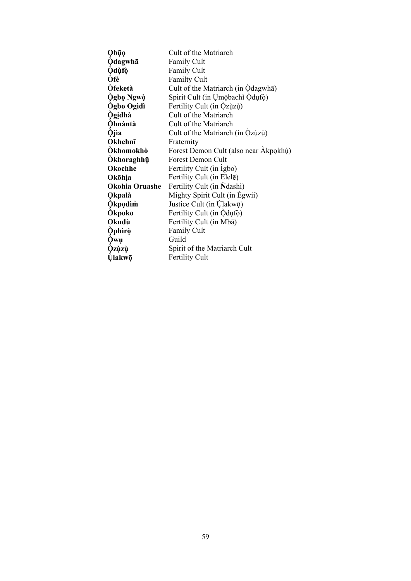| Obūo              | Cult of the Matriarch                 |
|-------------------|---------------------------------------|
| <b>Odagwha</b>    | <b>Family Cult</b>                    |
| <b>Odùfò</b>      | <b>Family Cult</b>                    |
| Òfè               | <b>Familty Cult</b>                   |
| <b>Ofeketà</b>    | Cult of the Matriarch (in Odagwha)    |
| Ògbọ Ngwò         | Spirit Cult (in Umobachi Odufo)       |
| <b>Ogbo Ogidì</b> | Fertility Cult (in Qzùzù)             |
| <b>Ogidhà</b>     | Cult of the Matriarch                 |
| <b>Ohnàntà</b>    | Cult of the Matriarch                 |
| <b>Ojia</b>       | Cult of the Matriarch (in Qzùzù)      |
| Okhehnī           | Fraternity                            |
| Òkhomokhò         | Forest Demon Cult (also near Akpokhù) |
| Òkhoraghhū        | <b>Forest Demon Cult</b>              |
| Okochhe           | Fertility Cult (in Igbo)              |
| Okōhịa            | Fertility Cult (in Elele)             |
| Okohia Oruashe    | Fertility Cult (in Ndashi)            |
| <b>Qkpalà</b>     | Mighty Spirit Cult (in Egwii)         |
| <b>Okpodim</b>    | Justice Cult (in Ulakwō)              |
| <b>Okpoko</b>     | Fertility Cult (in Odufo)             |
| Okudù             | Fertility Cult (in Mba)               |
| <b>Ophiro</b>     | <b>Family Cult</b>                    |
| Òwụ               | Guild                                 |
| <b>Ozùzù</b>      | Spirit of the Matriarch Cult          |
| Ùlakwō            | Fertility Cult                        |
|                   |                                       |